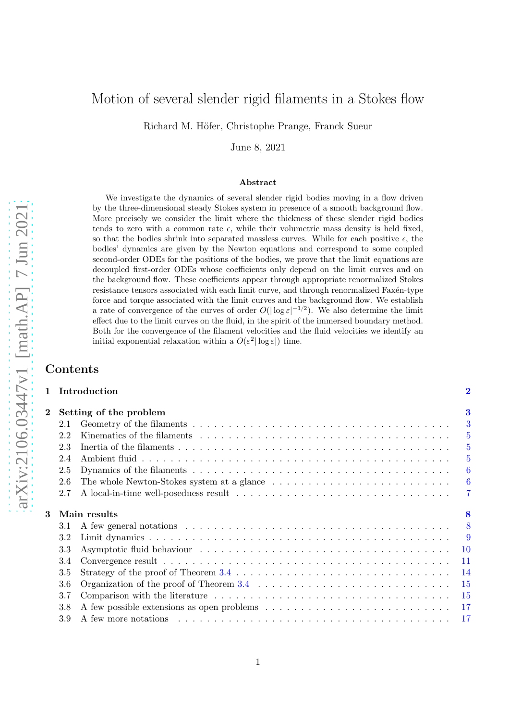# Motion of several slender rigid filaments in a Stokes flow

Richard M. Höfer, Christophe Prange, Franck Sueur

June 8, 2021

#### Abstract

We investigate the dynamics of several slender rigid bodies moving in a flow driven by the three-dimensional steady Stokes system in presence of a smooth background flow. More precisely we consider the limit where the thickness of these slender rigid bodies tends to zero with a common rate  $\epsilon$ , while their volumetric mass density is held fixed, so that the bodies shrink into separated massless curves. While for each positive  $\epsilon$ , the bodies' dynamics are given by the Newton equations and correspond to some coupled second-order ODEs for the positions of the bodies, we prove that the limit equations are decoupled first-order ODEs whose coefficients only depend on the limit curves and on the background flow. These coefficients appear through appropriate renormalized Stokes resistance tensors associated with each limit curve, and through renormalized Faxén-type force and torque associated with the limit curves and the background flow. We establish a rate of convergence of the curves of order  $O(|\log \varepsilon|^{-1/2})$ . We also determine the limit effect due to the limit curves on the fluid, in the spirit of the immersed boundary method. Both for the convergence of the filament velocities and the fluid velocities we identify an initial exponential relaxation within a  $O(\varepsilon^2 |\log \varepsilon|)$  time.

1 Introduction [2](#page-1-0)

## Contents

| $\bf{2}$ | Setting of the problem |                                                                                                                  |  |  |  |
|----------|------------------------|------------------------------------------------------------------------------------------------------------------|--|--|--|
|          | 2.1                    |                                                                                                                  |  |  |  |
|          | 2.2                    |                                                                                                                  |  |  |  |
|          | 2.3                    |                                                                                                                  |  |  |  |
|          | 2.4                    |                                                                                                                  |  |  |  |
|          | 2.5                    |                                                                                                                  |  |  |  |
|          | 2.6                    |                                                                                                                  |  |  |  |
|          | 2.7                    |                                                                                                                  |  |  |  |
|          |                        |                                                                                                                  |  |  |  |
| 3        |                        | Main results                                                                                                     |  |  |  |
|          | 3.1                    |                                                                                                                  |  |  |  |
|          | 3.2                    |                                                                                                                  |  |  |  |
|          | 3.3                    |                                                                                                                  |  |  |  |
|          | 3.4                    |                                                                                                                  |  |  |  |
|          | 3.5                    |                                                                                                                  |  |  |  |
|          | 3.6                    | Organization of the proof of Theorem 3.4 $\ldots \ldots \ldots \ldots \ldots \ldots \ldots \ldots \ldots \ldots$ |  |  |  |
|          | 3.7                    |                                                                                                                  |  |  |  |
|          | 3.8                    |                                                                                                                  |  |  |  |
|          | $3.9\,$                |                                                                                                                  |  |  |  |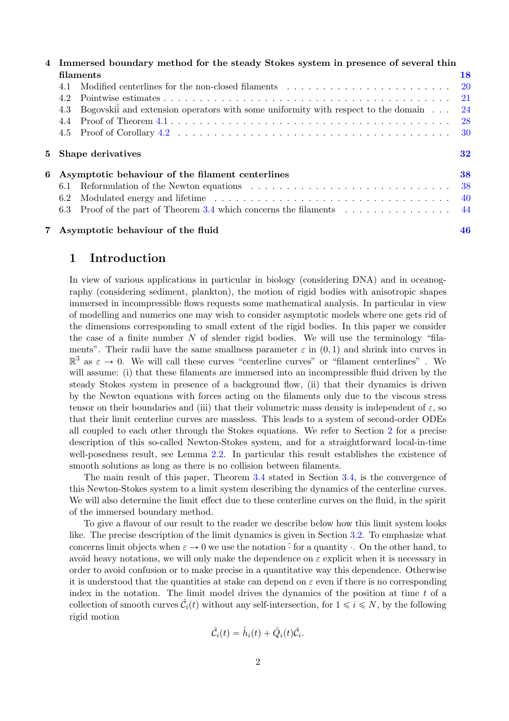|   | 4 Immersed boundary method for the steady Stokes system in presence of several thin |                                                                                   |              |  |
|---|-------------------------------------------------------------------------------------|-----------------------------------------------------------------------------------|--------------|--|
|   | filaments                                                                           |                                                                                   |              |  |
|   | 4.1                                                                                 | Modified centerlines for the non-closed filaments                                 | $-20$        |  |
|   | 4.2                                                                                 |                                                                                   | $^{\rm -21}$ |  |
|   | 4.3                                                                                 | Bogovskii and extension operators with some uniformity with respect to the domain | - 24         |  |
|   | 4.4                                                                                 |                                                                                   | $^{\rm -28}$ |  |
|   |                                                                                     |                                                                                   | -30          |  |
|   |                                                                                     | 5 Shape derivatives                                                               | 32           |  |
| 6 |                                                                                     | Asymptotic behaviour of the filament centerlines                                  | 38           |  |
|   | 6.1                                                                                 |                                                                                   | 38           |  |
|   | 6.2                                                                                 |                                                                                   | - 40         |  |
|   |                                                                                     | 6.3 Proof of the part of Theorem 3.4 which concerns the filaments                 | -44          |  |
|   |                                                                                     | 7 Asymptotic behaviour of the fluid                                               | 46           |  |

## <span id="page-1-0"></span>1 Introduction

In view of various applications in particular in biology (considering DNA) and in oceanography (considering sediment, plankton), the motion of rigid bodies with anisotropic shapes immersed in incompressible flows requests some mathematical analysis. In particular in view of modelling and numerics one may wish to consider asymptotic models where one gets rid of the dimensions corresponding to small extent of the rigid bodies. In this paper we consider the case of a finite number  $N$  of slender rigid bodies. We will use the terminology "filaments". Their radii have the same smallness parameter  $\varepsilon$  in  $(0, 1)$  and shrink into curves in  $\mathbb{R}^3$  as  $\varepsilon \to 0$ . We will call these curves "centerline curves" or "filament centerlines". We will assume: (i) that these filaments are immersed into an incompressible fluid driven by the steady Stokes system in presence of a background flow, (ii) that their dynamics is driven by the Newton equations with forces acting on the filaments only due to the viscous stress tensor on their boundaries and (iii) that their volumetric mass density is independent of  $\varepsilon$ , so that their limit centerline curves are massless. This leads to a system of second-order ODEs all coupled to each other through the Stokes equations. We refer to Section [2](#page-2-0) for a precise description of this so-called Newton-Stokes system, and for a straightforward local-in-time well-posedness result, see Lemma [2.2.](#page-6-1) In particular this result establishes the existence of smooth solutions as long as there is no collision between filaments.

The main result of this paper, Theorem [3.4](#page-10-1) stated in Section [3.4,](#page-10-0) is the convergence of this Newton-Stokes system to a limit system describing the dynamics of the centerline curves. We will also determine the limit effect due to these centerline curves on the fluid, in the spirit of the immersed boundary method.

To give a flavour of our result to the reader we describe below how this limit system looks like. The precise description of the limit dynamics is given in Section [3.2.](#page-8-0) To emphasize what concerns limit objects when  $\varepsilon \to 0$  we use the notation  $\hat{\cdot}$  for a quantity  $\cdot$ . On the other hand, to avoid heavy notations, we will only make the dependence on  $\varepsilon$  explicit when it is necessary in order to avoid confusion or to make precise in a quantitative way this dependence. Otherwise it is understood that the quantities at stake can depend on  $\varepsilon$  even if there is no corresponding index in the notation. The limit model drives the dynamics of the position at time  $t$  of a collection of smooth curves  $\hat{\mathcal{C}}_i(t)$  without any self-intersection, for  $1 \leq i \leq N$ , by the following rigid motion

$$
\hat{\mathcal{C}}_i(t) = \hat{h}_i(t) + \hat{Q}_i(t)\bar{\mathcal{C}}_i.
$$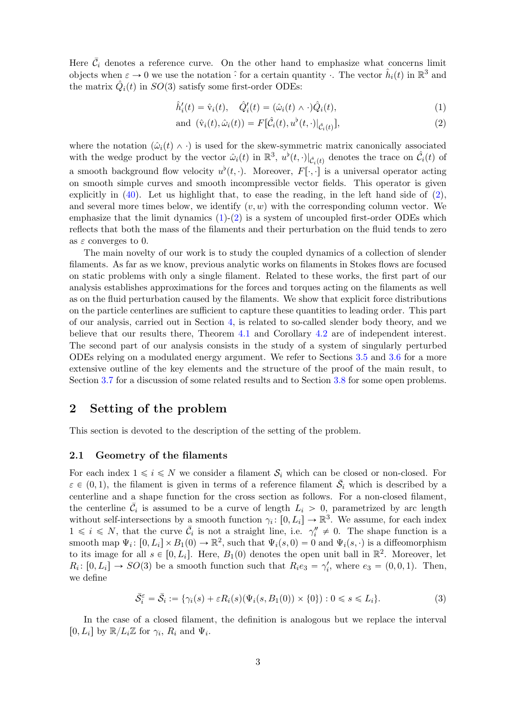Here  $\bar{\mathcal{C}}_i$  denotes a reference curve. On the other hand to emphasize what concerns limit objects when  $\varepsilon \to 0$  we use the notation  $\hat{i}$  for a certain quantity  $\cdot$ . The vector  $\hat{h}_i(t)$  in  $\mathbb{R}^3$  and the matrix  $\hat{Q}_i(t)$  in  $SO(3)$  satisfy some first-order ODEs:

<span id="page-2-3"></span><span id="page-2-2"></span>
$$
\hat{h}'_i(t) = \hat{v}_i(t), \quad \hat{Q}'_i(t) = (\hat{\omega}_i(t) \wedge \cdot) \hat{Q}_i(t), \tag{1}
$$

and 
$$
(\hat{\mathbf{v}}_i(t), \hat{\omega}_i(t)) = F[\hat{\mathcal{C}}_i(t), u^{\flat}(t, \cdot)|_{\hat{\mathcal{C}}_i(t)}],
$$
\n(2)

where the notation  $(\hat{\omega}_i(t) \wedge \cdot)$  is used for the skew-symmetric matrix canonically associated with the wedge product by the vector  $\hat{\omega}_i(t)$  in  $\mathbb{R}^3$ ,  $u^{\flat}(t, \cdot)|_{\hat{\mathcal{C}}_i(t)}$  denotes the trace on  $\hat{\mathcal{C}}_i(t)$  of a smooth background flow velocity  $u^{\flat}(t, \cdot)$ . Moreover,  $F[\cdot, \cdot]$  is a universal operator acting on smooth simple curves and smooth incompressible vector fields. This operator is given explicitly in  $(40)$ . Let us highlight that, to ease the reading, in the left hand side of  $(2)$ , and several more times below, we identify  $(v, w)$  with the corresponding column vector. We emphasize that the limit dynamics  $(1)-(2)$  $(1)-(2)$  is a system of uncoupled first-order ODEs which reflects that both the mass of the filaments and their perturbation on the fluid tends to zero as  $\varepsilon$  converges to 0.

The main novelty of our work is to study the coupled dynamics of a collection of slender filaments. As far as we know, previous analytic works on filaments in Stokes flows are focused on static problems with only a single filament. Related to these works, the first part of our analysis establishes approximations for the forces and torques acting on the filaments as well as on the fluid perturbation caused by the filaments. We show that explicit force distributions on the particle centerlines are sufficient to capture these quantities to leading order. This part of our analysis, carried out in Section [4,](#page-17-0) is related to so-called slender body theory, and we believe that our results there, Theorem [4.1](#page-18-0) and Corollary [4.2](#page-18-1) are of independent interest. The second part of our analysis consists in the study of a system of singularly perturbed ODEs relying on a modulated energy argument. We refer to Sections [3.5](#page-13-0) and [3.6](#page-14-0) for a more extensive outline of the key elements and the structure of the proof of the main result, to Section [3.7](#page-14-1) for a discussion of some related results and to Section [3.8](#page-16-0) for some open problems.

## <span id="page-2-0"></span>2 Setting of the problem

This section is devoted to the description of the setting of the problem.

#### <span id="page-2-1"></span>2.1 Geometry of the filaments

For each index  $1 \leq i \leq N$  we consider a filament  $S_i$  which can be closed or non-closed. For  $\varepsilon \in (0, 1)$ , the filament is given in terms of a reference filament  $\bar{S}_i$  which is described by a centerline and a shape function for the cross section as follows. For a non-closed filament, the centerline  $\bar{\mathcal{C}}_i$  is assumed to be a curve of length  $L_i > 0$ , parametrized by arc length without self-intersections by a smooth function  $\gamma_i: [0, L_i] \to \mathbb{R}^3$ . We assume, for each index  $1 \leq i \leq N$ , that the curve  $\overline{C}_i$  is not a straight line, i.e.  $\gamma''_i \neq 0$ . The shape function is a smooth map  $\Psi_i: [0, L_i] \times B_1(0) \to \mathbb{R}^2$ , such that  $\Psi_i(s, 0) = 0$  and  $\Psi_i(s, \cdot)$  is a diffeomorphism to its image for all  $s \in [0, L_i]$ . Here,  $B_1(0)$  denotes the open unit ball in  $\mathbb{R}^2$ . Moreover, let  $R_i: [0, L_i] \to SO(3)$  be a smooth function such that  $R_i e_3 = \gamma'_i$ , where  $e_3 = (0, 0, 1)$ . Then, we define

<span id="page-2-4"></span>
$$
\bar{\mathcal{S}}_i^{\varepsilon} = \bar{\mathcal{S}}_i := \{ \gamma_i(s) + \varepsilon R_i(s) (\Psi_i(s, B_1(0)) \times \{0\}) : 0 \le s \le L_i \}. \tag{3}
$$

In the case of a closed filament, the definition is analogous but we replace the interval [0,  $L_i$ ] by  $\mathbb{R}/L_i\mathbb{Z}$  for  $\gamma_i$ ,  $R_i$  and  $\Psi_i$ .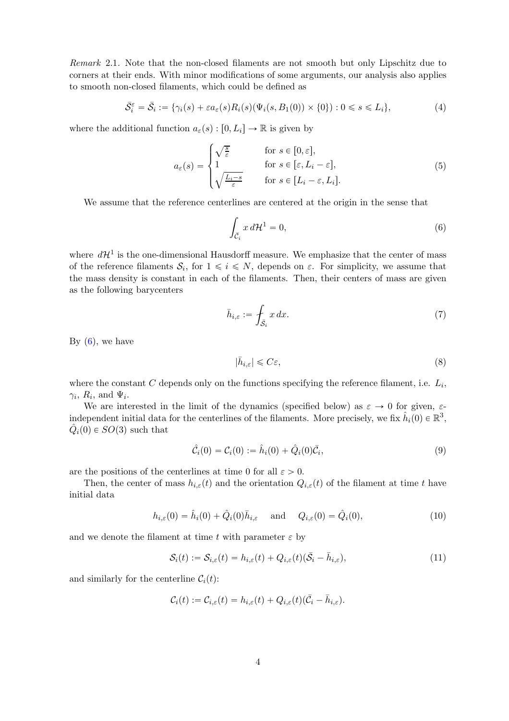Remark 2.1. Note that the non-closed filaments are not smooth but only Lipschitz due to corners at their ends. With minor modifications of some arguments, our analysis also applies to smooth non-closed filaments, which could be defined as

$$
\bar{S}_i^{\varepsilon} = \bar{S}_i := \{ \gamma_i(s) + \varepsilon a_{\varepsilon}(s) R_i(s) (\Psi_i(s, B_1(0)) \times \{0\}) : 0 \le s \le L_i \},\tag{4}
$$

where the additional function  $a_{\varepsilon}(s) : [0, L_i] \to \mathbb{R}$  is given by

$$
a_{\varepsilon}(s) = \begin{cases} \sqrt{\frac{s}{\varepsilon}} & \text{for } s \in [0, \varepsilon],\\ 1 & \text{for } s \in [\varepsilon, L_i - \varepsilon],\\ \sqrt{\frac{L_i - s}{\varepsilon}} & \text{for } s \in [L_i - \varepsilon, L_i]. \end{cases}
$$
(5)

We assume that the reference centerlines are centered at the origin in the sense that

<span id="page-3-0"></span>
$$
\int_{\bar{\mathcal{C}}_i} x \, d\mathcal{H}^1 = 0,\tag{6}
$$

where  $d\mathcal{H}^1$  is the one-dimensional Hausdorff measure. We emphasize that the center of mass of the reference filaments  $S_i$ , for  $1 \leq i \leq N$ , depends on  $\varepsilon$ . For simplicity, we assume that the mass density is constant in each of the filaments. Then, their centers of mass are given as the following barycenters

$$
\bar{h}_{i,\varepsilon} := \int_{\bar{\mathcal{S}}_i} x \, dx. \tag{7}
$$

By  $(6)$ , we have

<span id="page-3-3"></span><span id="page-3-2"></span>
$$
|\bar{h}_{i,\varepsilon}| \leqslant C\varepsilon,\tag{8}
$$

where the constant  $C$  depends only on the functions specifying the reference filament, i.e.  $L_i$ ,  $\gamma_i$ ,  $R_i$ , and  $\Psi_i$ .

We are interested in the limit of the dynamics (specified below) as  $\varepsilon \to 0$  for given,  $\varepsilon$ independent initial data for the centerlines of the filaments. More precisely, we fix  $\hat{h}_i(0) \in \mathbb{R}^3$ ,  $\hat{Q}_i(0) \in SO(3)$  such that

<span id="page-3-1"></span>
$$
\hat{C}_i(0) = C_i(0) := \hat{h}_i(0) + \hat{Q}_i(0)\bar{C}_i,
$$
\n(9)

are the positions of the centerlines at time 0 for all  $\varepsilon > 0$ .

Then, the center of mass  $h_{i,\varepsilon}(t)$  and the orientation  $Q_{i,\varepsilon}(t)$  of the filament at time t have initial data

$$
h_{i,\varepsilon}(0) = \hat{h}_i(0) + \hat{Q}_i(0)\bar{h}_{i,\varepsilon} \quad \text{and} \quad Q_{i,\varepsilon}(0) = \hat{Q}_i(0), \tag{10}
$$

and we denote the filament at time t with parameter  $\varepsilon$  by

$$
\mathcal{S}_i(t) := \mathcal{S}_{i,\varepsilon}(t) = h_{i,\varepsilon}(t) + Q_{i,\varepsilon}(t)(\bar{\mathcal{S}}_i - \bar{h}_{i,\varepsilon}),\tag{11}
$$

and similarly for the centerline  $C_i(t)$ :

$$
\mathcal{C}_i(t) := \mathcal{C}_{i,\varepsilon}(t) = h_{i,\varepsilon}(t) + Q_{i,\varepsilon}(t) (\bar{\mathcal{C}}_i - \bar{h}_{i,\varepsilon}).
$$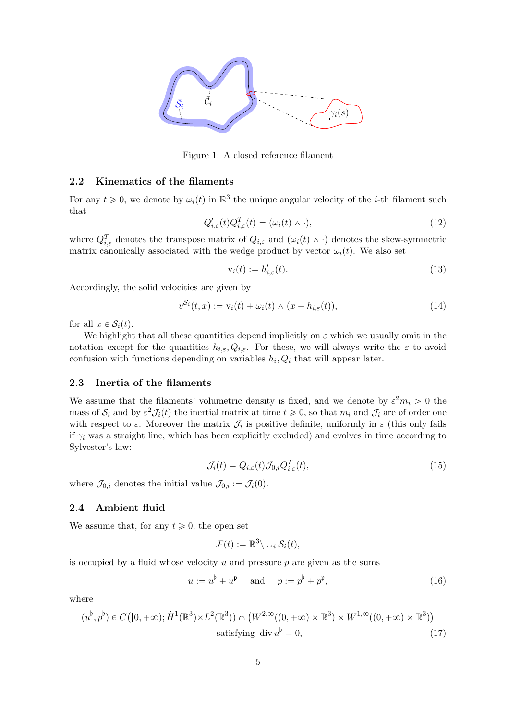

Figure 1: A closed reference filament

#### <span id="page-4-0"></span>2.2 Kinematics of the filaments

For any  $t \geq 0$ , we denote by  $\omega_i(t)$  in  $\mathbb{R}^3$  the unique angular velocity of the *i*-th filament such that

<span id="page-4-3"></span>
$$
Q'_{i,\varepsilon}(t)Q_{i,\varepsilon}^T(t) = (\omega_i(t) \wedge \cdot), \qquad (12)
$$

where  $Q_{i,\varepsilon}^T$  denotes the transpose matrix of  $Q_{i,\varepsilon}$  and  $(\omega_i(t) \wedge \cdot)$  denotes the skew-symmetric matrix canonically associated with the wedge product by vector  $\omega_i(t)$ . We also set

<span id="page-4-4"></span>
$$
\mathbf{v}_i(t) := h'_{i,\varepsilon}(t). \tag{13}
$$

Accordingly, the solid velocities are given by

<span id="page-4-5"></span>
$$
v^{\mathcal{S}_i}(t,x) := \mathbf{v}_i(t) + \omega_i(t) \wedge (x - h_{i,\varepsilon}(t)),\tag{14}
$$

for all  $x \in \mathcal{S}_i(t)$ .

We highlight that all these quantities depend implicitly on  $\varepsilon$  which we usually omit in the notation except for the quantities  $h_{i,\varepsilon}, Q_{i,\varepsilon}$ . For these, we will always write the  $\varepsilon$  to avoid confusion with functions depending on variables  $h_i, Q_i$  that will appear later.

#### <span id="page-4-1"></span>2.3 Inertia of the filaments

We assume that the filaments' volumetric density is fixed, and we denote by  $\varepsilon^2 m_i > 0$  the mass of  $S_i$  and by  $\varepsilon^2 \mathcal{J}_i(t)$  the inertial matrix at time  $t \geq 0$ , so that  $m_i$  and  $\mathcal{J}_i$  are of order one with respect to  $\varepsilon$ . Moreover the matrix  $\mathcal{J}_i$  is positive definite, uniformly in  $\varepsilon$  (this only fails if  $\gamma_i$  was a straight line, which has been explicitly excluded) and evolves in time according to Sylvester's law:

<span id="page-4-6"></span>
$$
\mathcal{J}_i(t) = Q_{i,\varepsilon}(t) \mathcal{J}_{0,i} Q_{i,\varepsilon}^T(t), \tag{15}
$$

where  $\mathcal{J}_{0,i}$  denotes the initial value  $\mathcal{J}_{0,i} := \mathcal{J}_i(0)$ .

#### <span id="page-4-2"></span>2.4 Ambient fluid

We assume that, for any  $t \geq 0$ , the open set

<span id="page-4-8"></span>
$$
\mathcal{F}(t) := \mathbb{R}^3 \setminus \cup_i \mathcal{S}_i(t),
$$

is occupied by a fluid whose velocity  $u$  and pressure  $p$  are given as the sums

<span id="page-4-7"></span>
$$
u := u^{\flat} + u^{\mathfrak{p}} \quad \text{and} \quad p := p^{\flat} + p^{\mathfrak{p}}, \tag{16}
$$

where

$$
(u^{\flat}, p^{\flat}) \in C([0, +\infty); \dot{H}^1(\mathbb{R}^3) \times L^2(\mathbb{R}^3)) \cap (W^{2,\infty}((0, +\infty) \times \mathbb{R}^3) \times W^{1,\infty}((0, +\infty) \times \mathbb{R}^3))
$$
  
satisfying div  $u^{\flat} = 0$ , (17)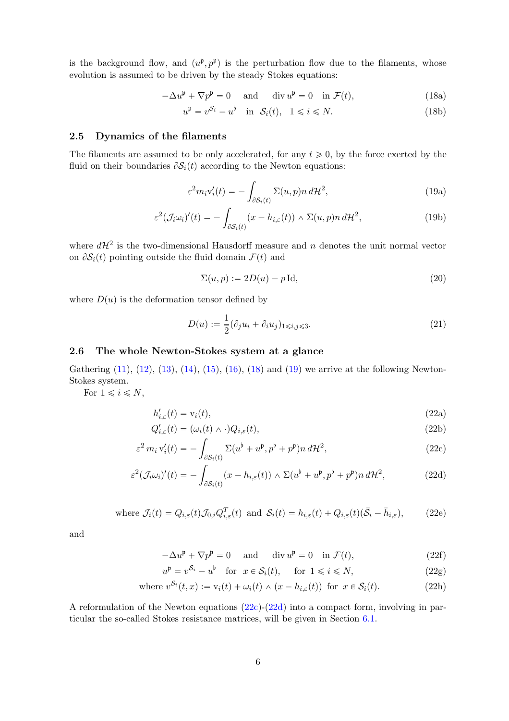is the background flow, and  $(u^{\mathfrak{p}}, p^{\mathfrak{p}})$  is the perturbation flow due to the filaments, whose evolution is assumed to be driven by the steady Stokes equations:

$$
-\Delta u^{\mathfrak{p}} + \nabla p^{\mathfrak{p}} = 0 \quad \text{and} \quad \text{div } u^{\mathfrak{p}} = 0 \quad \text{in } \mathcal{F}(t), \tag{18a}
$$

<span id="page-5-2"></span>
$$
u^{\mathfrak{p}} = v^{\mathcal{S}_i} - u^{\mathfrak{b}} \quad \text{in} \quad \mathcal{S}_i(t), \quad 1 \leq i \leq N. \tag{18b}
$$

### <span id="page-5-0"></span>2.5 Dynamics of the filaments

The filaments are assumed to be only accelerated, for any  $t \geq 0$ , by the force exerted by the fluid on their boundaries  $\partial S_i(t)$  according to the Newton equations:

<span id="page-5-3"></span>
$$
\varepsilon^2 m_i v_i'(t) = -\int_{\partial S_i(t)} \Sigma(u, p) n \, d\mathcal{H}^2,\tag{19a}
$$

$$
\varepsilon^{2}(\mathcal{J}_{i}\omega_{i})'(t) = -\int_{\partial S_{i}(t)} (x - h_{i,\varepsilon}(t)) \wedge \Sigma(u, p) n \, d\mathcal{H}^{2},\tag{19b}
$$

where  $d\mathcal{H}^2$  is the two-dimensional Hausdorff measure and n denotes the unit normal vector on  $\partial S_i(t)$  pointing outside the fluid domain  $\mathcal{F}(t)$  and

$$
\Sigma(u, p) := 2D(u) - p \operatorname{Id},\tag{20}
$$

where  $D(u)$  is the deformation tensor defined by

<span id="page-5-12"></span><span id="page-5-11"></span><span id="page-5-4"></span>
$$
D(u) := \frac{1}{2} (\partial_j u_i + \partial_i u_j)_{1 \leqslant i,j \leqslant 3}.
$$
\n
$$
(21)
$$

### <span id="page-5-1"></span>2.6 The whole Newton-Stokes system at a glance

Gathering  $(11)$ ,  $(12)$ ,  $(13)$ ,  $(14)$ ,  $(15)$ ,  $(16)$ ,  $(18)$  and  $(19)$  we arrive at the following Newton-Stokes system.

For  $1 \leq i \leq N$ ,

<span id="page-5-6"></span>
$$
h'_{i,\varepsilon}(t) = \mathbf{v}_i(t),\tag{22a}
$$

$$
Q'_{i,\varepsilon}(t) = (\omega_i(t) \wedge \cdot) Q_{i,\varepsilon}(t), \qquad (22b)
$$

$$
\varepsilon^2 m_i v_i'(t) = -\int_{\partial S_i(t)} \Sigma(u^\flat + u^\mathfrak{p}, p^\flat + p^\mathfrak{p}) n \, d\mathcal{H}^2,\tag{22c}
$$

$$
\varepsilon^{2}(\mathcal{J}_{i}\omega_{i})'(t) = -\int_{\partial S_{i}(t)} (x - h_{i,\varepsilon}(t)) \wedge \Sigma(u^{\flat} + u^{\mathfrak{p}}, p^{\flat} + p^{\mathfrak{p}}) n d\mathcal{H}^{2}, \tag{22d}
$$

where 
$$
\mathcal{J}_i(t) = Q_{i,\varepsilon}(t) \mathcal{J}_{0,i} Q_{i,\varepsilon}^T(t)
$$
 and  $\mathcal{S}_i(t) = h_{i,\varepsilon}(t) + Q_{i,\varepsilon}(t) (\bar{\mathcal{S}}_i - \bar{h}_{i,\varepsilon}),$  (22e)

and

<span id="page-5-10"></span><span id="page-5-9"></span><span id="page-5-8"></span><span id="page-5-5"></span>
$$
-\Delta u^{\mathfrak{p}} + \nabla p^{\mathfrak{p}} = 0 \quad \text{and} \quad \text{div } u^{\mathfrak{p}} = 0 \quad \text{in } \mathcal{F}(t), \tag{22f}
$$

<span id="page-5-7"></span>
$$
u^{\mathfrak{p}} = v^{\mathcal{S}_i} - u^{\mathfrak{b}} \quad \text{for} \quad x \in \mathcal{S}_i(t), \quad \text{for} \quad 1 \leq i \leq N,
$$
 (22g)

where 
$$
v^{\mathcal{S}_i}(t, x) := v_i(t) + \omega_i(t) \wedge (x - h_{i,\varepsilon}(t))
$$
 for  $x \in \mathcal{S}_i(t)$ . (22h)

A reformulation of the Newton equations [\(22c\)](#page-5-4)-[\(22d\)](#page-5-5) into a compact form, involving in particular the so-called Stokes resistance matrices, will be given in Section [6.1.](#page-37-1)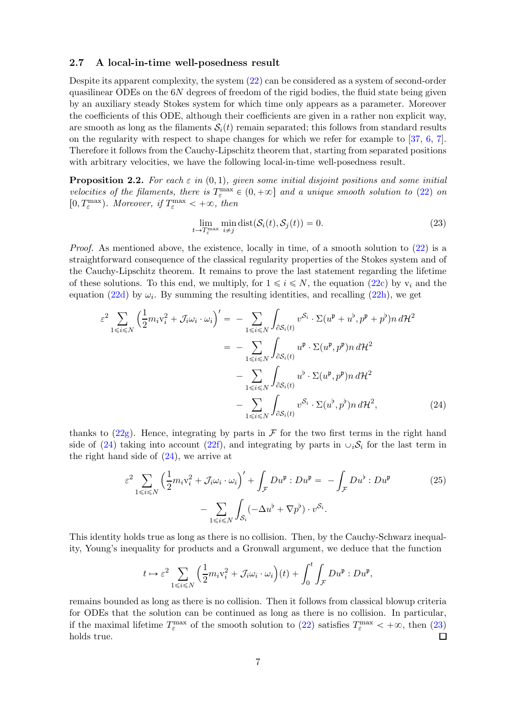#### <span id="page-6-0"></span>2.7 A local-in-time well-posedness result

Despite its apparent complexity, the system [\(22\)](#page-5-6) can be considered as a system of second-order quasilinear ODEs on the  $6N$  degrees of freedom of the rigid bodies, the fluid state being given by an auxiliary steady Stokes system for which time only appears as a parameter. Moreover the coefficients of this ODE, although their coefficients are given in a rather non explicit way, are smooth as long as the filaments  $S_i(t)$  remain separated; this follows from standard results on the regularity with respect to shape changes for which we refer for example to [\[37,](#page-50-0) [6,](#page-48-0) [7\]](#page-48-1). Therefore it follows from the Cauchy-Lipschitz theorem that, starting from separated positions with arbitrary velocities, we have the following local-in-time well-posedness result.

<span id="page-6-1"></span>**Proposition 2.2.** For each  $\varepsilon$  in  $(0, 1)$ , given some initial disjoint positions and some initial velocities of the filaments, there is  $T_{\varepsilon}^{\max} \in (0, +\infty]$  and a unique smooth solution to [\(22\)](#page-5-6) on [0,  $T_{\varepsilon}^{\max}$ ). Moreover, if  $T_{\varepsilon}^{\max} < +\infty$ , then

<span id="page-6-3"></span><span id="page-6-2"></span>
$$
\lim_{t \to T_{\varepsilon}^{\max}} \min_{i \neq j} \text{dist}(\mathcal{S}_i(t), \mathcal{S}_j(t)) = 0.
$$
\n(23)

*Proof.* As mentioned above, the existence, locally in time, of a smooth solution to  $(22)$  is a straightforward consequence of the classical regularity properties of the Stokes system and of the Cauchy-Lipschitz theorem. It remains to prove the last statement regarding the lifetime of these solutions. To this end, we multiply, for  $1 \leq i \leq N$ , the equation [\(22c\)](#page-5-4) by  $v_i$  and the equation [\(22d\)](#page-5-5) by  $\omega_i$ . By summing the resulting identities, and recalling [\(22h\)](#page-5-7), we get

$$
\varepsilon^{2} \sum_{1 \leq i \leq N} \left( \frac{1}{2} m_{i} v_{i}^{2} + \mathcal{J}_{i} \omega_{i} \cdot \omega_{i} \right)' = - \sum_{1 \leq i \leq N} \int_{\partial S_{i}(t)} v^{S_{i}} \cdot \Sigma(u^{p} + u^{b}, p^{p} + p^{b}) n \, d\mathcal{H}^{2}
$$

$$
= - \sum_{1 \leq i \leq N} \int_{\partial S_{i}(t)} u^{p} \cdot \Sigma(u^{p}, p^{p}) n \, d\mathcal{H}^{2}
$$

$$
- \sum_{1 \leq i \leq N} \int_{\partial S_{i}(t)} u^{b} \cdot \Sigma(u^{p}, p^{p}) n \, d\mathcal{H}^{2}
$$

$$
- \sum_{1 \leq i \leq N} \int_{\partial S_{i}(t)} v^{S_{i}} \cdot \Sigma(u^{b}, p^{b}) n \, d\mathcal{H}^{2}, \tag{24}
$$

thanks to  $(22g)$ . Hence, integrating by parts in F for the two first terms in the right hand side of [\(24\)](#page-6-2) taking into account [\(22f\)](#page-5-9), and integrating by parts in  $\cup_i \mathcal{S}_i$  for the last term in the right hand side of  $(24)$ , we arrive at

$$
\varepsilon^2 \sum_{1 \le i \le N} \left( \frac{1}{2} m_i v_i^2 + \mathcal{J}_i \omega_i \cdot \omega_i \right)' + \int_{\mathcal{F}} D u^{\mathfrak{p}} : D u^{\mathfrak{p}} = - \int_{\mathcal{F}} D u^{\mathfrak{b}} : D u^{\mathfrak{p}} \qquad (25)
$$

$$
- \sum_{1 \le i \le N} \int_{\mathcal{S}_i} (-\Delta u^{\mathfrak{b}} + \nabla p^{\mathfrak{b}}) \cdot v^{\mathcal{S}_i}.
$$

This identity holds true as long as there is no collision. Then, by the Cauchy-Schwarz inequality, Young's inequality for products and a Gronwall argument, we deduce that the function

<span id="page-6-4"></span>
$$
t \mapsto \varepsilon^2 \sum_{1 \le i \le N} \left( \frac{1}{2} m_i v_i^2 + \mathcal{J}_i \omega_i \cdot \omega_i \right) (t) + \int_0^t \int_{\mathcal{F}} D u^{\mathfrak{p}} : D u^{\mathfrak{p}},
$$

remains bounded as long as there is no collision. Then it follows from classical blowup criteria for ODEs that the solution can be continued as long as there is no collision. In particular, if the maximal lifetime  $T_{\varepsilon}^{\max}$  of the smooth solution to [\(22\)](#page-5-6) satisfies  $T_{\varepsilon}^{\max} < +\infty$ , then [\(23\)](#page-6-3) holds true.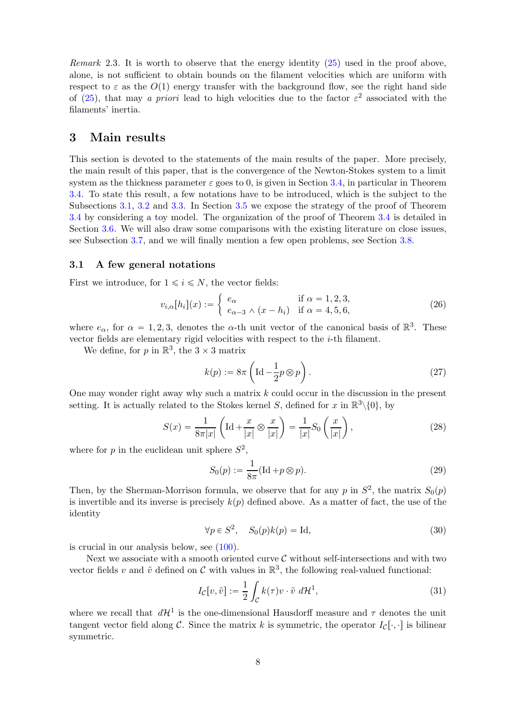Remark 2.3. It is worth to observe that the energy identity [\(25\)](#page-6-4) used in the proof above, alone, is not sufficient to obtain bounds on the filament velocities which are uniform with respect to  $\varepsilon$  as the  $O(1)$  energy transfer with the background flow, see the right hand side of [\(25\)](#page-6-4), that may a priori lead to high velocities due to the factor  $\varepsilon^2$  associated with the filaments' inertia.

## <span id="page-7-0"></span>3 Main results

This section is devoted to the statements of the main results of the paper. More precisely, the main result of this paper, that is the convergence of the Newton-Stokes system to a limit system as the thickness parameter  $\varepsilon$  goes to 0, is given in Section [3.4,](#page-10-0) in particular in Theorem [3.4.](#page-10-1) To state this result, a few notations have to be introduced, which is the subject to the Subsections [3.1,](#page-7-1) [3.2](#page-8-0) and [3.3.](#page-9-0) In Section [3.5](#page-13-0) we expose the strategy of the proof of Theorem [3.4](#page-10-1) by considering a toy model. The organization of the proof of Theorem [3.4](#page-10-1) is detailed in Section [3.6.](#page-14-0) We will also draw some comparisons with the existing literature on close issues, see Subsection [3.7,](#page-14-1) and we will finally mention a few open problems, see Section [3.8.](#page-16-0)

#### <span id="page-7-1"></span>3.1 A few general notations

First we introduce, for  $1 \leq i \leq N$ , the vector fields:

<span id="page-7-4"></span>
$$
v_{i,\alpha}[h_i](x) := \begin{cases} e_{\alpha} & \text{if } \alpha = 1,2,3, \\ e_{\alpha-3} \wedge (x - h_i) & \text{if } \alpha = 4,5,6, \end{cases}
$$
(26)

where  $e_{\alpha}$ , for  $\alpha = 1, 2, 3$ , denotes the  $\alpha$ -th unit vector of the canonical basis of  $\mathbb{R}^3$ . These vector fields are elementary rigid velocities with respect to the  $i$ -th filament.

We define, for  $p$  in  $\mathbb{R}^3$ , the  $3 \times 3$  matrix

<span id="page-7-5"></span>
$$
k(p) := 8\pi \left( \mathrm{Id} - \frac{1}{2}p \otimes p \right). \tag{27}
$$

One may wonder right away why such a matrix  $k$  could occur in the discussion in the present setting. It is actually related to the Stokes kernel S, defined for x in  $\mathbb{R}^3\setminus\{0\}$ , by

<span id="page-7-3"></span>
$$
S(x) = \frac{1}{8\pi|x|} \left( \mathrm{Id} + \frac{x}{|x|} \otimes \frac{x}{|x|} \right) = \frac{1}{|x|} S_0 \left( \frac{x}{|x|} \right),\tag{28}
$$

where for p in the euclidean unit sphere  $S^2$ ,

<span id="page-7-6"></span>
$$
S_0(p) := \frac{1}{8\pi} (\text{Id} + p \otimes p). \tag{29}
$$

Then, by the Sherman-Morrison formula, we observe that for any p in  $S^2$ , the matrix  $S_0(p)$ is invertible and its inverse is precisely  $k(p)$  defined above. As a matter of fact, the use of the identity

<span id="page-7-7"></span>
$$
\forall p \in S^2, \quad S_0(p)k(p) = \text{Id},\tag{30}
$$

is crucial in our analysis below, see [\(100\)](#page-22-0).

Next we associate with a smooth oriented curve  $\mathcal C$  without self-intersections and with two vector fields v and  $\tilde{v}$  defined on C with values in  $\mathbb{R}^3$ , the following real-valued functional:

<span id="page-7-2"></span>
$$
I_{\mathcal{C}}[v,\tilde{v}] := \frac{1}{2} \int_{\mathcal{C}} k(\tau)v \cdot \tilde{v} \, d\mathcal{H}^1,\tag{31}
$$

where we recall that  $d\mathcal{H}^1$  is the one-dimensional Hausdorff measure and  $\tau$  denotes the unit tangent vector field along C. Since the matrix k is symmetric, the operator  $I_c[\cdot, \cdot]$  is bilinear symmetric.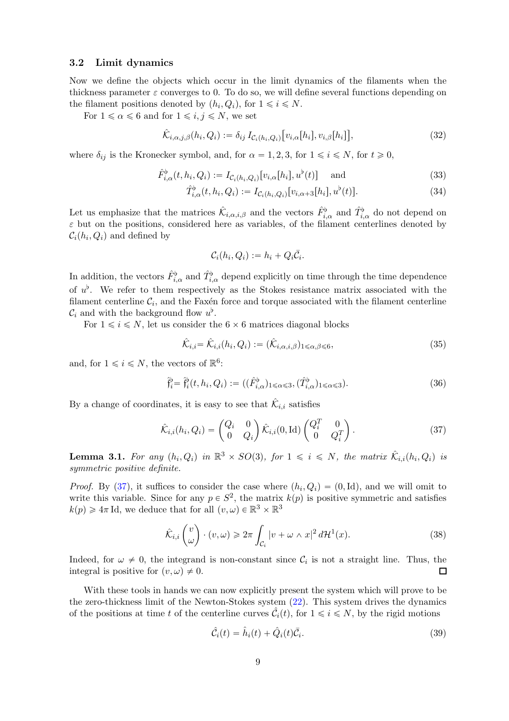#### <span id="page-8-0"></span>3.2 Limit dynamics

Now we define the objects which occur in the limit dynamics of the filaments when the thickness parameter  $\varepsilon$  converges to 0. To do so, we will define several functions depending on the filament positions denoted by  $(h_i, Q_i)$ , for  $1 \leq i \leq N$ .

For  $1 \le \alpha \le 6$  and for  $1 \le i, j \le N$ , we set

$$
\hat{\mathcal{K}}_{i,\alpha,j,\beta}(h_i,Q_i) := \delta_{ij} I_{\mathcal{C}_i(h_i,Q_i)}[v_{i,\alpha}[h_i],v_{i,\beta}[h_i]],
$$
\n(32)

where  $\delta_{ij}$  is the Kronecker symbol, and, for  $\alpha = 1, 2, 3$ , for  $1 \le i \le N$ , for  $t \ge 0$ ,

$$
\hat{F}_{i,\alpha}^{\flat}(t, h_i, Q_i) := I_{\mathcal{C}_i(h_i, Q_i)}[v_{i,\alpha}[h_i], u^{\flat}(t)] \quad \text{and} \tag{33}
$$

$$
\hat{T}_{i,\alpha}^{\flat}(t, h_i, Q_i) := I_{\mathcal{C}_i(h_i, Q_i)}[v_{i,\alpha+3}[h_i], u^{\flat}(t)].
$$
\n(34)

Let us emphasize that the matrices  $\hat{\mathcal{K}}_{i,\alpha,i,\beta}$  and the vectors  $\hat{F}^{\flat}_{i,\alpha}$  and  $\hat{T}^{\flat}_{i,\alpha}$  do not depend on  $\varepsilon$  but on the positions, considered here as variables, of the filament centerlines denoted by  $\mathcal{C}_i(h_i, Q_i)$  and defined by

<span id="page-8-8"></span><span id="page-8-5"></span><span id="page-8-4"></span>
$$
\mathcal{C}_i(h_i,Q_i) := h_i + Q_i \bar{\mathcal{C}}_i.
$$

In addition, the vectors  $\hat{F}^{\flat}_{i,\alpha}$  and  $\hat{T}^{\flat}_{i,\alpha}$  depend explicitly on time through the time dependence of  $u^{\flat}$ . We refer to them respectively as the Stokes resistance matrix associated with the filament centerline  $\mathcal{C}_i$ , and the Faxén force and torque associated with the filament centerline  $\mathcal{C}_i$  and with the background flow  $u^{\flat}$ .

For  $1 \leq i \leq N$ , let us consider the  $6 \times 6$  matrices diagonal blocks

<span id="page-8-2"></span><span id="page-8-1"></span>
$$
\hat{\mathcal{K}}_{i,i} = \hat{\mathcal{K}}_{i,i}(h_i, Q_i) := (\hat{\mathcal{K}}_{i,\alpha,i,\beta})_{1 \leq \alpha,\beta \leq 6},\tag{35}
$$

and, for  $1 \leq i \leq N$ , the vectors of  $\mathbb{R}^6$ :

$$
\hat{\mathfrak{f}}_i^{\flat} = \hat{\mathfrak{f}}_i^{\flat}(t, h_i, Q_i) := ((\hat{F}_{i,\alpha}^{\flat})_{1 \leq \alpha \leq 3}, (\hat{T}_{i,\alpha}^{\flat})_{1 \leq \alpha \leq 3}). \tag{36}
$$

By a change of coordinates, it is easy to see that  $\hat{\mathcal{K}}_{i,i}$  satisfies

$$
\hat{\mathcal{K}}_{i,i}(h_i, Q_i) = \begin{pmatrix} Q_i & 0 \\ 0 & Q_i \end{pmatrix} \hat{\mathcal{K}}_{i,i}(0, \text{Id}) \begin{pmatrix} Q_i^T & 0 \\ 0 & Q_i^T \end{pmatrix} . \tag{37}
$$

<span id="page-8-6"></span>**Lemma 3.1.** For any  $(h_i, Q_i)$  in  $\mathbb{R}^3 \times SO(3)$ , for  $1 \leq i \leq N$ , the matrix  $\hat{\mathcal{K}}_{i,i}(h_i, Q_i)$  is symmetric positive definite.

*Proof.* By [\(37\)](#page-8-1), it suffices to consider the case where  $(h_i, Q_i) = (0, \text{Id})$ , and we will omit to write this variable. Since for any  $p \in S^2$ , the matrix  $k(p)$  is positive symmetric and satisfies  $k(p) \geq 4\pi \,\text{Id}$ , we deduce that for all  $(v, \omega) \in \mathbb{R}^3 \times \mathbb{R}^3$ 

$$
\hat{\mathcal{K}}_{i,i}\begin{pmatrix}v\\ \omega\end{pmatrix}\cdot(v,\omega)\geq 2\pi\int_{\mathcal{C}_i}|v+\omega\wedge x|^2\,d\mathcal{H}^1(x). \tag{38}
$$

Indeed, for  $\omega \neq 0$ , the integrand is non-constant since  $\mathcal{C}_i$  is not a straight line. Thus, the integral is positive for  $(v, \omega) \neq 0$ .  $\Box$ 

With these tools in hands we can now explicitly present the system which will prove to be the zero-thickness limit of the Newton-Stokes system [\(22\)](#page-5-6). This system drives the dynamics of the positions at time t of the centerline curves  $\hat{\mathcal{C}}_i(t)$ , for  $1 \leq i \leq N$ , by the rigid motions

<span id="page-8-7"></span><span id="page-8-3"></span>
$$
\hat{\mathcal{C}}_i(t) = \hat{h}_i(t) + \hat{Q}_i(t)\bar{\mathcal{C}}_i.
$$
\n(39)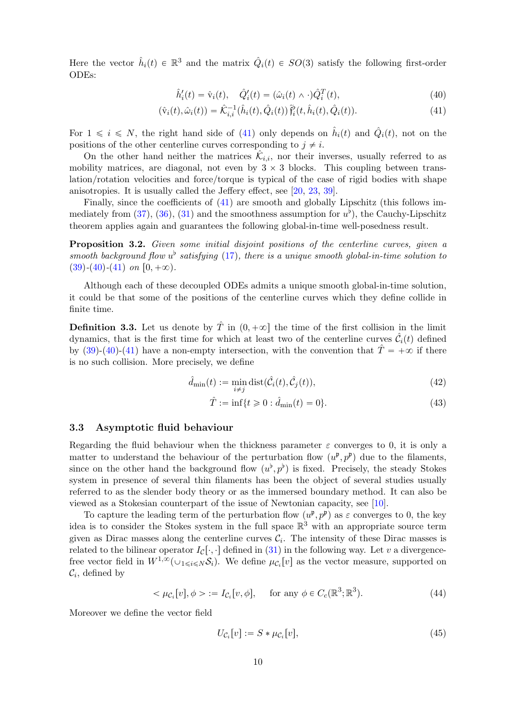Here the vector  $\hat{h}_i(t) \in \mathbb{R}^3$  and the matrix  $\hat{Q}_i(t) \in SO(3)$  satisfy the following first-order ODEs:

<span id="page-9-2"></span><span id="page-9-1"></span>
$$
\hat{h}'_i(t) = \hat{\mathbf{v}}_i(t), \quad \hat{Q}'_i(t) = (\hat{\omega}_i(t) \wedge \cdot) \hat{Q}_i^T(t), \tag{40}
$$

$$
(\hat{\mathbf{v}}_i(t), \hat{\omega}_i(t)) = \hat{\mathcal{K}}_{i,i}^{-1}(\hat{h}_i(t), \hat{Q}_i(t)) \hat{\mathbf{f}}_i^{\flat}(t, \hat{h}_i(t), \hat{Q}_i(t)).
$$
\n(41)

For  $1 \leq i \leq N$ , the right hand side of [\(41\)](#page-9-2) only depends on  $\hat{h}_i(t)$  and  $\hat{Q}_i(t)$ , not on the positions of the other centerline curves corresponding to  $j \neq i$ .

On the other hand neither the matrices  $\hat{\mathcal{K}}_{i,i}$ , nor their inverses, usually referred to as mobility matrices, are diagonal, not even by  $3 \times 3$  blocks. This coupling between translation/rotation velocities and force/torque is typical of the case of rigid bodies with shape anisotropies. It is usually called the Jeffery effect, see [\[20,](#page-49-0) [23,](#page-49-1) [39\]](#page-50-1).

Finally, since the coefficients of [\(41\)](#page-9-2) are smooth and globally Lipschitz (this follows im-mediately from [\(37\)](#page-8-1), [\(36\)](#page-8-2), [\(31\)](#page-7-2) and the smoothness assumption for  $u^{\flat}$ ), the Cauchy-Lipschitz theorem applies again and guarantees the following global-in-time well-posedness result.

<span id="page-9-3"></span>**Proposition 3.2.** Given some initial disjoint positions of the centerline curves, given a smooth background flow  $u^{\flat}$  satisfying [\(17\)](#page-4-8), there is a unique smooth global-in-time solution to  $(39)-(40)-(41)$  $(39)-(40)-(41)$  $(39)-(40)-(41)$  $(39)-(40)-(41)$  $(39)-(40)-(41)$  on  $[0, +\infty)$ .

Although each of these decoupled ODEs admits a unique smooth global-in-time solution, it could be that some of the positions of the centerline curves which they define collide in finite time.

<span id="page-9-4"></span>**Definition 3.3.** Let us denote by  $\hat{T}$  in  $(0, +\infty]$  the time of the first collision in the limit dynamics, that is the first time for which at least two of the centerline curves  $\hat{\mathcal{C}}_i(t)$  defined by [\(39\)](#page-8-3)-[\(40\)](#page-9-1)-[\(41\)](#page-9-2) have a non-empty intersection, with the convention that  $\hat{T} = +\infty$  if there is no such collision. More precisely, we define

$$
\hat{d}_{\min}(t) := \min_{i \neq j} \text{dist}(\hat{\mathcal{C}}_i(t), \hat{\mathcal{C}}_j(t)),\tag{42}
$$

<span id="page-9-7"></span><span id="page-9-6"></span> $\hat{T} := \inf\{t \ge 0 : \hat{d}_{\min}(t) = 0\}.$  (43)

#### <span id="page-9-0"></span>3.3 Asymptotic fluid behaviour

Regarding the fluid behaviour when the thickness parameter  $\varepsilon$  converges to 0, it is only a matter to understand the behaviour of the perturbation flow  $(u^{\mathfrak{p}}, p^{\mathfrak{p}})$  due to the filaments, since on the other hand the background flow  $(u^{\flat}, p^{\flat})$  is fixed. Precisely, the steady Stokes system in presence of several thin filaments has been the object of several studies usually referred to as the slender body theory or as the immersed boundary method. It can also be viewed as a Stokesian counterpart of the issue of Newtonian capacity, see [\[10\]](#page-48-2).

To capture the leading term of the perturbation flow  $(u^{\mathfrak{p}}, p^{\mathfrak{p}})$  as  $\varepsilon$  converges to 0, the key idea is to consider the Stokes system in the full space  $\mathbb{R}^3$  with an appropriate source term given as Dirac masses along the centerline curves  $\mathcal{C}_i$ . The intensity of these Dirac masses is related to the bilinear operator  $I_{\mathcal{C}}[\cdot,\cdot]$  defined in [\(31\)](#page-7-2) in the following way. Let v a divergencefree vector field in  $W^{1,\infty}(\cup_{1\leq i\leq N}S_i)$ . We define  $\mu_{\mathcal{C}_i}[v]$  as the vector measure, supported on  $\mathcal{C}_i$ , defined by

$$
\langle \mu_{\mathcal{C}_i}[v], \phi \rangle := I_{\mathcal{C}_i}[v, \phi], \quad \text{for any } \phi \in C_c(\mathbb{R}^3; \mathbb{R}^3). \tag{44}
$$

Moreover we define the vector field

<span id="page-9-5"></span>
$$
U_{\mathcal{C}_i}[v] := S * \mu_{\mathcal{C}_i}[v],\tag{45}
$$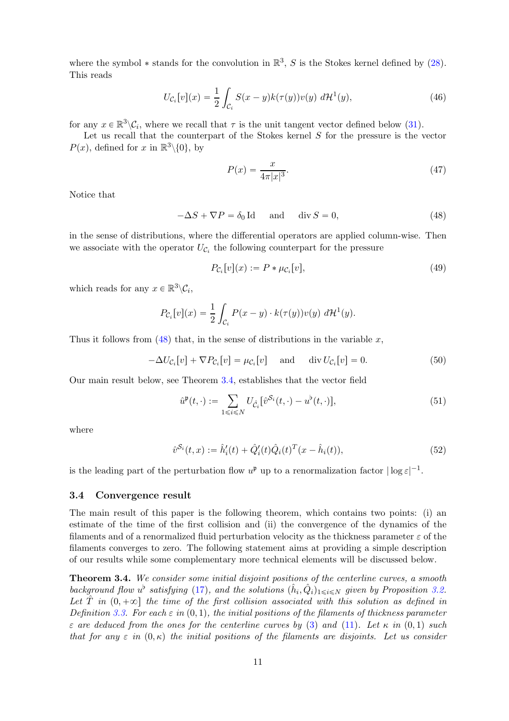where the symbol  $*$  stands for the convolution in  $\mathbb{R}^3$ , S is the Stokes kernel defined by [\(28\)](#page-7-3). This reads

$$
U_{\mathcal{C}_i}[v](x) = \frac{1}{2} \int_{\mathcal{C}_i} S(x - y)k(\tau(y))v(y) \, d\mathcal{H}^1(y),\tag{46}
$$

for any  $x \in \mathbb{R}^3 \setminus \mathcal{C}_i$ , where we recall that  $\tau$  is the unit tangent vector defined below [\(31\)](#page-7-2).

Let us recall that the counterpart of the Stokes kernel  $S$  for the pressure is the vector  $P(x)$ , defined for x in  $\mathbb{R}^3\backslash\{0\}$ , by

<span id="page-10-6"></span><span id="page-10-5"></span><span id="page-10-2"></span>
$$
P(x) = \frac{x}{4\pi|x|^3}.\tag{47}
$$

Notice that

$$
-\Delta S + \nabla P = \delta_0 \operatorname{Id} \quad \text{and} \quad \operatorname{div} S = 0,\tag{48}
$$

in the sense of distributions, where the differential operators are applied column-wise. Then we associate with the operator  $U_{\mathcal{C}_i}$  the following counterpart for the pressure

<span id="page-10-8"></span><span id="page-10-7"></span>
$$
P_{\mathcal{C}_i}[v](x) := P * \mu_{\mathcal{C}_i}[v],\tag{49}
$$

which reads for any  $x \in \mathbb{R}^3 \backslash \mathcal{C}_i$ ,

$$
P_{\mathcal{C}_i}[v](x) = \frac{1}{2} \int_{\mathcal{C}_i} P(x - y) \cdot k(\tau(y)) v(y) d\mathcal{H}^1(y).
$$

Thus it follows from  $(48)$  that, in the sense of distributions in the variable x,

$$
-\Delta U_{\mathcal{C}_i}[v] + \nabla P_{\mathcal{C}_i}[v] = \mu_{\mathcal{C}_i}[v] \quad \text{and} \quad \text{div } U_{\mathcal{C}_i}[v] = 0. \tag{50}
$$

Our main result below, see Theorem [3.4,](#page-10-1) establishes that the vector field

<span id="page-10-4"></span><span id="page-10-3"></span>
$$
\hat{u}^{\mathfrak{p}}(t,\cdot) := \sum_{1 \leq i \leq N} U_{\hat{\mathcal{C}}_i} [\hat{v}^{\mathcal{S}_i}(t,\cdot) - u^{\mathfrak{b}}(t,\cdot)],\tag{51}
$$

where

$$
\hat{v}^{S_i}(t,x) := \hat{h}'_i(t) + \hat{Q}'_i(t)\hat{Q}_i(t)^T(x - \hat{h}_i(t)),
$$
\n(52)

is the leading part of the perturbation flow  $u^{\mathfrak{p}}$  up to a renormalization factor  $|\log \varepsilon|^{-1}$ .

#### <span id="page-10-0"></span>3.4 Convergence result

The main result of this paper is the following theorem, which contains two points: (i) an estimate of the time of the first collision and (ii) the convergence of the dynamics of the filaments and of a renormalized fluid perturbation velocity as the thickness parameter  $\varepsilon$  of the filaments converges to zero. The following statement aims at providing a simple description of our results while some complementary more technical elements will be discussed below.

<span id="page-10-1"></span>Theorem 3.4. We consider some initial disjoint positions of the centerline curves, a smooth background flow  $u^{\flat}$  satisfying [\(17\)](#page-4-8), and the solutions  $(\hat{h}_i, \hat{Q}_i)_{1 \leq i \leq N}$  given by Proposition [3.2.](#page-9-3) Let T in  $(0, +\infty)$  the time of the first collision associated with this solution as defined in Definition [3.3.](#page-9-4) For each  $\varepsilon$  in  $(0, 1)$ , the initial positions of the filaments of thickness parameter  $\varepsilon$  are deduced from the ones for the centerline curves by [\(3\)](#page-2-4) and [\(11\)](#page-3-1). Let  $\kappa$  in (0,1) such that for any  $\varepsilon$  in  $(0, \kappa)$  the initial positions of the filaments are disjoints. Let us consider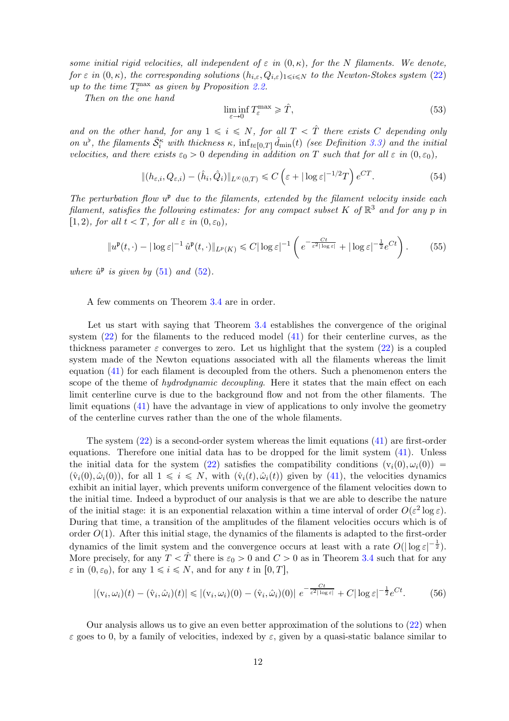some initial rigid velocities, all independent of  $\varepsilon$  in  $(0, \kappa)$ , for the N filaments. We denote, for  $\varepsilon$  in  $(0, \kappa)$ , the corresponding solutions  $(h_{i,\varepsilon}, Q_{i,\varepsilon})_{1\leq i\leq N}$  to the Newton-Stokes system [\(22\)](#page-5-6) up to the time  $T_{\varepsilon}^{\max}$  as given by Proposition [2.2.](#page-6-1)

Then on the one hand

<span id="page-11-3"></span><span id="page-11-1"></span>
$$
\liminf_{\varepsilon \to 0} T_{\varepsilon}^{\max} \geqslant \hat{T},\tag{53}
$$

and on the other hand, for any  $1 \leq i \leq N$ , for all  $T < \hat{T}$  there exists C depending only on  $u^{\flat}$ , the filaments  $\bar{S}_i^{\kappa}$  with thickness  $\kappa$ ,  $\inf_{t\in[0,T]} \hat{d}_{\min}(t)$  (see Definition [3.3\)](#page-9-4) and the initial velocities, and there exists  $\varepsilon_0 > 0$  depending in addition on T such that for all  $\varepsilon$  in  $(0, \varepsilon_0)$ ,

$$
\|(h_{\varepsilon,i}, Q_{\varepsilon,i}) - (\hat{h}_i, \hat{Q}_i)\|_{L^{\infty}(0,T)} \le C\left(\varepsilon + |\log \varepsilon|^{-1/2}T\right)e^{CT}.
$$
\n(54)

The perturbation flow  $u^{\mathfrak{p}}$  due to the filaments, extended by the filament velocity inside each filament, satisfies the following estimates: for any compact subset K of  $\mathbb{R}^3$  and for any p in [1, 2), for all  $t < T$ , for all  $\varepsilon$  in  $(0, \varepsilon_0)$ ,

<span id="page-11-0"></span>
$$
||u^{\mathfrak{p}}(t,\cdot)-|\log \varepsilon|^{-1}\,\hat{u}^{\mathfrak{p}}(t,\cdot)||_{L^{p}(K)} \leq C|\log \varepsilon|^{-1}\left(e^{-\frac{Ct}{\varepsilon^{2}|\log \varepsilon|}}+|\log \varepsilon|^{-\frac{1}{2}}e^{Ct}\right). \tag{55}
$$

where  $\hat{u}^{\mathfrak{p}}$  is given by [\(51\)](#page-10-3) and [\(52\)](#page-10-4).

A few comments on Theorem [3.4](#page-10-1) are in order.

Let us start with saying that Theorem [3.4](#page-10-1) establishes the convergence of the original system [\(22\)](#page-5-6) for the filaments to the reduced model [\(41\)](#page-9-2) for their centerline curves, as the thickness parameter  $\varepsilon$  converges to zero. Let us highlight that the system [\(22\)](#page-5-6) is a coupled system made of the Newton equations associated with all the filaments whereas the limit equation [\(41\)](#page-9-2) for each filament is decoupled from the others. Such a phenomenon enters the scope of the theme of hydrodynamic decoupling. Here it states that the main effect on each limit centerline curve is due to the background flow and not from the other filaments. The limit equations [\(41\)](#page-9-2) have the advantage in view of applications to only involve the geometry of the centerline curves rather than the one of the whole filaments.

The system [\(22\)](#page-5-6) is a second-order system whereas the limit equations [\(41\)](#page-9-2) are first-order equations. Therefore one initial data has to be dropped for the limit system [\(41\)](#page-9-2). Unless the initial data for the system [\(22\)](#page-5-6) satisfies the compatibility conditions  $(v_i(0), \omega_i(0))$  =  $(\hat{v}_i(0), \hat{\omega}_i(0))$ , for all  $1 \leq i \leq N$ , with  $(\hat{v}_i(t), \hat{\omega}_i(t))$  given by [\(41\)](#page-9-2), the velocities dynamics exhibit an initial layer, which prevents uniform convergence of the filament velocities down to the initial time. Indeed a byproduct of our analysis is that we are able to describe the nature of the initial stage: it is an exponential relaxation within a time interval of order  $O(\varepsilon^2 \log \varepsilon)$ . During that time, a transition of the amplitudes of the filament velocities occurs which is of order  $O(1)$ . After this initial stage, the dynamics of the filaments is adapted to the first-order dynamics of the limit system and the convergence occurs at least with a rate  $O(|\log \varepsilon|^{-\frac{1}{2}})$ . More precisely, for any  $T < \hat{T}$  there is  $\varepsilon_0 > 0$  and  $C > 0$  as in Theorem [3.4](#page-10-1) such that for any  $\varepsilon$  in  $(0, \varepsilon_0)$ , for any  $1 \leq i \leq N$ , and for any t in  $[0, T]$ ,

<span id="page-11-2"></span>
$$
|(v_i, \omega_i)(t) - (\hat{v}_i, \hat{\omega}_i)(t)| \le |(v_i, \omega_i)(0) - (\hat{v}_i, \hat{\omega}_i)(0)| e^{-\frac{Ct}{\varepsilon^2 |\log \varepsilon|}} + C|\log \varepsilon|^{-\frac{1}{2}} e^{Ct}.
$$
 (56)

Our analysis allows us to give an even better approximation of the solutions to [\(22\)](#page-5-6) when  $\varepsilon$  goes to 0, by a family of velocities, indexed by  $\varepsilon$ , given by a quasi-static balance similar to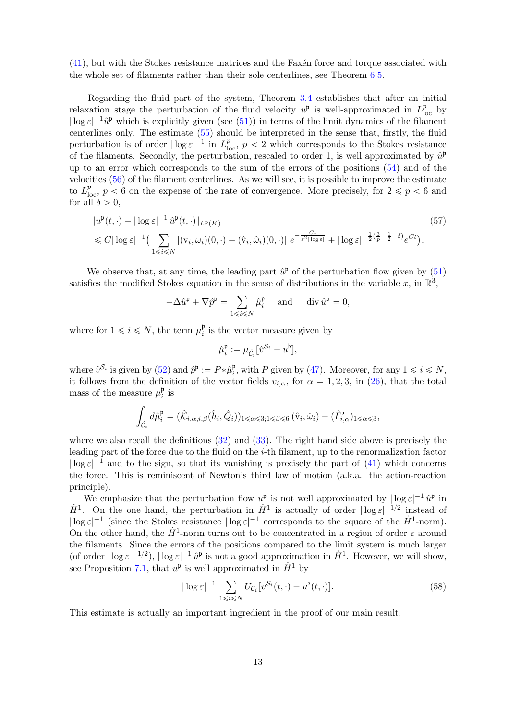$(41)$ , but with the Stokes resistance matrices and the Faxen force and torque associated with the whole set of filaments rather than their sole centerlines, see Theorem [6.5.](#page-43-1)

Regarding the fluid part of the system, Theorem [3.4](#page-10-1) establishes that after an initial relaxation stage the perturbation of the fluid velocity  $u^{\mathfrak{p}}$  is well-approximated in  $L_{\text{loc}}^p$  by  $|\log \varepsilon|^{-1}\hat{u}^{\mathfrak{p}}$  which is explicitly given (see [\(51\)](#page-10-3)) in terms of the limit dynamics of the filament centerlines only. The estimate [\(55\)](#page-11-0) should be interpreted in the sense that, firstly, the fluid perturbation is of order  $|\log \varepsilon|^{-1}$  in  $L^p_{\text{loc}}$ ,  $p < 2$  which corresponds to the Stokes resistance of the filaments. Secondly, the perturbation, rescaled to order 1, is well approximated by  $\hat{u}^{\mathfrak{p}}$ up to an error which corresponds to the sum of the errors of the positions [\(54\)](#page-11-1) and of the velocities [\(56\)](#page-11-2) of the filament centerlines. As we will see, it is possible to improve the estimate to  $L^p_{\text{loc}}$ ,  $p < 6$  on the expense of the rate of convergence. More precisely, for  $2 \leq p < 6$  and for all  $\delta > 0$ ,

$$
\|u^{\mathfrak{p}}(t,\cdot)-|\log \varepsilon|^{-1} \hat{u}^{\mathfrak{p}}(t,\cdot)\|_{L^{p}(K)} \tag{57}
$$
  
\$\leq C|\log \varepsilon|^{-1}\left(\sum\_{1\leq i\leq N} |(v\_{i},\omega\_{i})(0,\cdot)-(\hat{v}\_{i},\hat{\omega}\_{i})(0,\cdot)| e^{-\frac{Ct}{\varepsilon^{2}|\log \varepsilon|}}+|\log \varepsilon|^{-\frac{1}{2}(\frac{3}{p}-\frac{1}{2}-\delta)}e^{Ct}\right).

We observe that, at any time, the leading part  $\hat{u}^{\mathfrak{p}}$  of the perturbation flow given by  $(51)$ satisfies the modified Stokes equation in the sense of distributions in the variable x, in  $\mathbb{R}^3$ ,

$$
-\Delta \hat{u}^{\mathfrak{p}} + \nabla \hat{p}^{\mathfrak{p}} = \sum_{1 \leq i \leq N} \hat{\mu}_i^{\mathfrak{p}} \quad \text{ and } \quad \text{div } \hat{u}^{\mathfrak{p}} = 0,
$$

where for  $1 \leq i \leq N$ , the term  $\mu_i^{\mathfrak{p}}$  $\frac{p}{i}$  is the vector measure given by

<span id="page-12-0"></span>
$$
\hat{\mu}_i^{\mathfrak{p}} := \mu_{\hat{\mathcal{C}}_i} [\hat{v}^{\mathcal{S}_i} - u^{\mathfrak{b}}],
$$

where  $\hat{v}^{\mathcal{S}_i}$  is given by [\(52\)](#page-10-4) and  $\hat{p}^{\mathfrak{p}} := P * \hat{\mu}_i^{\mathfrak{p}}$ <sup>p</sup><sub>i</sub>, with P given by [\(47\)](#page-10-5). Moreover, for any  $1 \leq i \leq N$ , it follows from the definition of the vector fields  $v_{i,\alpha}$ , for  $\alpha = 1, 2, 3$ , in [\(26\)](#page-7-4), that the total mass of the measure  $\mu_i^{\mathfrak{p}}$  $_i^{\mathfrak{p}}$  is

$$
\int_{\hat{\mathcal{C}}_i} d\hat{\mu}_i^{\mathfrak{p}} = (\hat{\mathcal{K}}_{i,\alpha,i,\beta}(\hat{h}_i,\hat{Q}_i))_{1 \leq \alpha \leq 3; 1 \leq \beta \leq 6} (\hat{v}_i,\hat{\omega}_i) - (\hat{F}_{i,\alpha}^{\flat})_{1 \leq \alpha \leq 3},
$$

where we also recall the definitions [\(32\)](#page-8-4) and [\(33\)](#page-8-5). The right hand side above is precisely the leading part of the force due to the fluid on the i-th filament, up to the renormalization factor  $|\log \varepsilon|^{-1}$  and to the sign, so that its vanishing is precisely the part of [\(41\)](#page-9-2) which concerns the force. This is reminiscent of Newton's third law of motion (a.k.a. the action-reaction principle).

We emphasize that the perturbation flow  $u^{\mathfrak{p}}$  is not well approximated by  $|\log \varepsilon|^{-1} \hat{u}^{\mathfrak{p}}$  in  $H^1$ . On the one hand, the perturbation in  $H^1$  is actually of order  $|\log \varepsilon|^{-1/2}$  instead of  $|\log \varepsilon|^{-1}$  (since the Stokes resistance  $|\log \varepsilon|^{-1}$  corresponds to the square of the  $\dot{H}^1$ -norm). On the other hand, the  $H^1$ -norm turns out to be concentrated in a region of order  $\varepsilon$  around the filaments. Since the errors of the positions compared to the limit system is much larger (of order  $|\log \varepsilon|^{-1/2}$ ),  $|\log \varepsilon|^{-1} \hat{u}^{\mathfrak{p}}$  is not a good approximation in  $\hat{H}^1$ . However, we will show, see Proposition [7.1,](#page-45-1) that  $u^p$  is well approximated in  $\dot{H}^1$  by

$$
|\log \varepsilon|^{-1} \sum_{1 \le i \le N} U_{\mathcal{C}_i} [v^{\mathcal{S}_i}(t, \cdot) - u^\flat(t, \cdot)]. \tag{58}
$$

This estimate is actually an important ingredient in the proof of our main result.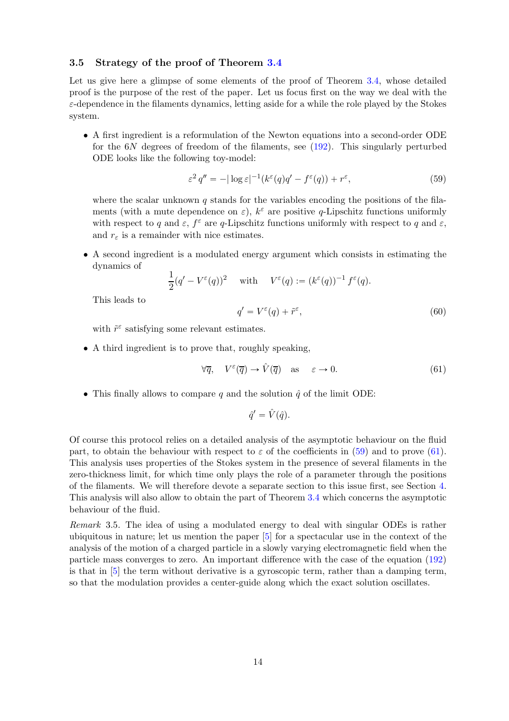#### <span id="page-13-0"></span>3.5 Strategy of the proof of Theorem [3.4](#page-10-1)

Let us give here a glimpse of some elements of the proof of Theorem [3.4,](#page-10-1) whose detailed proof is the purpose of the rest of the paper. Let us focus first on the way we deal with the  $\varepsilon$ -dependence in the filaments dynamics, letting aside for a while the role played by the Stokes system.

• A first ingredient is a reformulation of the Newton equations into a second-order ODE for the 6N degrees of freedom of the filaments, see [\(192\)](#page-38-0). This singularly perturbed ODE looks like the following toy-model:

<span id="page-13-1"></span>
$$
\varepsilon^2 q'' = -|\log \varepsilon|^{-1} (k^{\varepsilon}(q)q' - f^{\varepsilon}(q)) + r^{\varepsilon}, \tag{59}
$$

where the scalar unknown  $q$  stands for the variables encoding the positions of the filaments (with a mute dependence on  $\varepsilon$ ),  $k^{\varepsilon}$  are positive q-Lipschitz functions uniformly with respect to q and  $\varepsilon$ ,  $f^{\varepsilon}$  are q-Lipschitz functions uniformly with respect to q and  $\varepsilon$ , and  $r_{\varepsilon}$  is a remainder with nice estimates.

• A second ingredient is a modulated energy argument which consists in estimating the dynamics of

$$
\frac{1}{2}(q'-V^{\varepsilon}(q))^{2} \quad \text{ with } \quad V^{\varepsilon}(q) := (k^{\varepsilon}(q))^{-1} f^{\varepsilon}(q).
$$

This leads to

$$
q' = V^{\varepsilon}(q) + \tilde{r}^{\varepsilon},\tag{60}
$$

with  $\tilde{r}^{\varepsilon}$  satisfying some relevant estimates.

• A third ingredient is to prove that, roughly speaking,

<span id="page-13-2"></span>
$$
\forall \overline{q}, \quad V^{\varepsilon}(\overline{q}) \to \hat{V}(\overline{q}) \quad \text{as} \quad \varepsilon \to 0. \tag{61}
$$

• This finally allows to compare q and the solution  $\hat{q}$  of the limit ODE:

$$
\hat{q}' = \hat{V}(\hat{q}).
$$

Of course this protocol relies on a detailed analysis of the asymptotic behaviour on the fluid part, to obtain the behaviour with respect to  $\varepsilon$  of the coefficients in [\(59\)](#page-13-1) and to prove [\(61\)](#page-13-2). This analysis uses properties of the Stokes system in the presence of several filaments in the zero-thickness limit, for which time only plays the role of a parameter through the positions of the filaments. We will therefore devote a separate section to this issue first, see Section [4.](#page-17-0) This analysis will also allow to obtain the part of Theorem [3.4](#page-10-1) which concerns the asymptotic behaviour of the fluid.

<span id="page-13-3"></span>Remark 3.5. The idea of using a modulated energy to deal with singular ODEs is rather ubiquitous in nature; let us mention the paper [\[5\]](#page-48-3) for a spectacular use in the context of the analysis of the motion of a charged particle in a slowly varying electromagnetic field when the particle mass converges to zero. An important difference with the case of the equation [\(192\)](#page-38-0) is that in [\[5\]](#page-48-3) the term without derivative is a gyroscopic term, rather than a damping term, so that the modulation provides a center-guide along which the exact solution oscillates.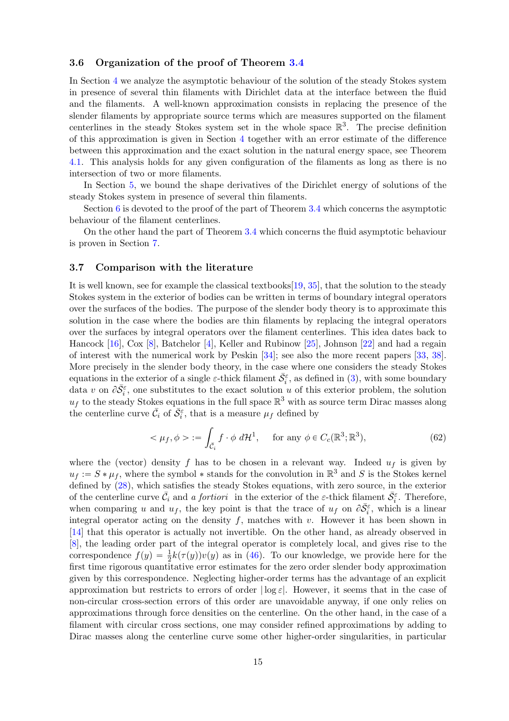#### <span id="page-14-0"></span>3.6 Organization of the proof of Theorem [3.4](#page-10-1)

In Section [4](#page-17-0) we analyze the asymptotic behaviour of the solution of the steady Stokes system in presence of several thin filaments with Dirichlet data at the interface between the fluid and the filaments. A well-known approximation consists in replacing the presence of the slender filaments by appropriate source terms which are measures supported on the filament centerlines in the steady Stokes system set in the whole space  $\mathbb{R}^3$ . The precise definition of this approximation is given in Section [4](#page-17-0) together with an error estimate of the difference between this approximation and the exact solution in the natural energy space, see Theorem [4.1.](#page-18-0) This analysis holds for any given configuration of the filaments as long as there is no intersection of two or more filaments.

In Section [5,](#page-31-0) we bound the shape derivatives of the Dirichlet energy of solutions of the steady Stokes system in presence of several thin filaments.

Section  $6$  is devoted to the proof of the part of Theorem [3.4](#page-10-1) which concerns the asymptotic behaviour of the filament centerlines.

On the other hand the part of Theorem [3.4](#page-10-1) which concerns the fluid asymptotic behaviour is proven in Section [7.](#page-45-0)

#### <span id="page-14-1"></span>3.7 Comparison with the literature

It is well known, see for example the classical textbooks[\[19,](#page-49-2) [35\]](#page-50-2), that the solution to the steady Stokes system in the exterior of bodies can be written in terms of boundary integral operators over the surfaces of the bodies. The purpose of the slender body theory is to approximate this solution in the case where the bodies are thin filaments by replacing the integral operators over the surfaces by integral operators over the filament centerlines. This idea dates back to Hancock [\[16\]](#page-49-3), Cox [\[8\]](#page-48-4), Batchelor [\[4\]](#page-48-5), Keller and Rubinow [\[25\]](#page-49-4), Johnson [\[22\]](#page-49-5) and had a regain of interest with the numerical work by Peskin [\[34\]](#page-50-3); see also the more recent papers [\[33,](#page-50-4) [38\]](#page-50-5). More precisely in the slender body theory, in the case where one considers the steady Stokes equations in the exterior of a single  $\varepsilon$ -thick filament  $\bar{S}_{i}^{\varepsilon}$ , as defined in [\(3\)](#page-2-4), with some boundary data v on  $\partial \bar{S}_i^{\varepsilon}$ , one substitutes to the exact solution u of this exterior problem, the solution  $u_f$  to the steady Stokes equations in the full space  $\mathbb{R}^3$  with as source term Dirac masses along the centerline curve  $\bar{C}_i$  of  $\bar{S}_i^{\varepsilon}$ , that is a measure  $\mu_f$  defined by

$$
\langle \mu_f, \phi \rangle := \int_{\bar{\mathcal{C}}_i} f \cdot \phi \, d\mathcal{H}^1, \quad \text{for any } \phi \in C_c(\mathbb{R}^3; \mathbb{R}^3), \tag{62}
$$

where the (vector) density f has to be chosen in a relevant way. Indeed  $u_f$  is given by  $u_f := S * \mu_f$ , where the symbol  $*$  stands for the convolution in  $\mathbb{R}^3$  and S is the Stokes kernel defined by [\(28\)](#page-7-3), which satisfies the steady Stokes equations, with zero source, in the exterior of the centerline curve  $\bar{C}_i$  and a fortiori in the exterior of the  $\varepsilon$ -thick filament  $\bar{S}_i^{\varepsilon}$ . Therefore, when comparing u and  $u_f$ , the key point is that the trace of  $u_f$  on  $\partial \bar{S}_i^{\varepsilon}$ , which is a linear integral operator acting on the density f, matches with v. However it has been shown in [\[14\]](#page-49-6) that this operator is actually not invertible. On the other hand, as already observed in [\[8\]](#page-48-4), the leading order part of the integral operator is completely local, and gives rise to the correspondence  $f(y) = \frac{1}{2}k(\tau(y))v(y)$  as in [\(46\)](#page-10-6). To our knowledge, we provide here for the first time rigorous quantitative error estimates for the zero order slender body approximation given by this correspondence. Neglecting higher-order terms has the advantage of an explicit approximation but restricts to errors of order  $|\log \varepsilon|$ . However, it seems that in the case of non-circular cross-section errors of this order are unavoidable anyway, if one only relies on approximations through force densities on the centerline. On the other hand, in the case of a filament with circular cross sections, one may consider refined approximations by adding to Dirac masses along the centerline curve some other higher-order singularities, in particular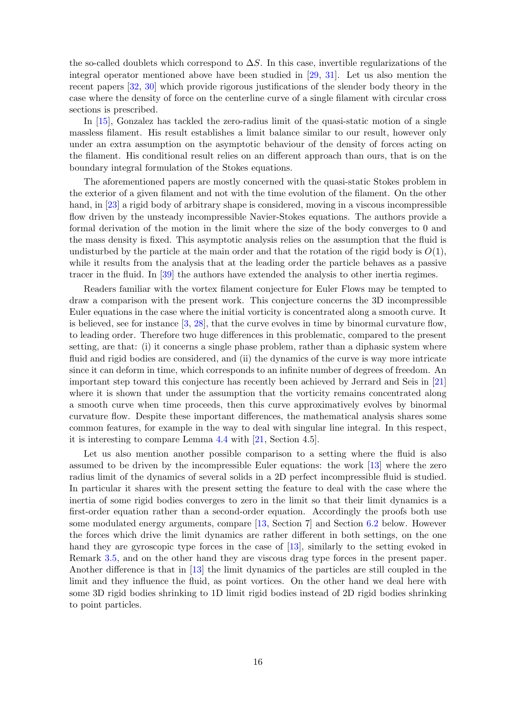the so-called doublets which correspond to  $\Delta S$ . In this case, invertible regularizations of the integral operator mentioned above have been studied in [\[29,](#page-49-7) [31\]](#page-50-6). Let us also mention the recent papers [\[32,](#page-50-7) [30\]](#page-50-8) which provide rigorous justifications of the slender body theory in the case where the density of force on the centerline curve of a single filament with circular cross sections is prescribed.

In [\[15\]](#page-49-8), Gonzalez has tackled the zero-radius limit of the quasi-static motion of a single massless filament. His result establishes a limit balance similar to our result, however only under an extra assumption on the asymptotic behaviour of the density of forces acting on the filament. His conditional result relies on an different approach than ours, that is on the boundary integral formulation of the Stokes equations.

The aforementioned papers are mostly concerned with the quasi-static Stokes problem in the exterior of a given filament and not with the time evolution of the filament. On the other hand, in [\[23\]](#page-49-1) a rigid body of arbitrary shape is considered, moving in a viscous incompressible flow driven by the unsteady incompressible Navier-Stokes equations. The authors provide a formal derivation of the motion in the limit where the size of the body converges to 0 and the mass density is fixed. This asymptotic analysis relies on the assumption that the fluid is undisturbed by the particle at the main order and that the rotation of the rigid body is  $O(1)$ , while it results from the analysis that at the leading order the particle behaves as a passive tracer in the fluid. In [\[39\]](#page-50-1) the authors have extended the analysis to other inertia regimes.

Readers familiar with the vortex filament conjecture for Euler Flows may be tempted to draw a comparison with the present work. This conjecture concerns the 3D incompressible Euler equations in the case where the initial vorticity is concentrated along a smooth curve. It is believed, see for instance [\[3,](#page-48-6) [28\]](#page-49-9), that the curve evolves in time by binormal curvature flow, to leading order. Therefore two huge differences in this problematic, compared to the present setting, are that: (i) it concerns a single phase problem, rather than a diphasic system where fluid and rigid bodies are considered, and (ii) the dynamics of the curve is way more intricate since it can deform in time, which corresponds to an infinite number of degrees of freedom. An important step toward this conjecture has recently been achieved by Jerrard and Seis in [\[21\]](#page-49-10) where it is shown that under the assumption that the vorticity remains concentrated along a smooth curve when time proceeds, then this curve approximatively evolves by binormal curvature flow. Despite these important differences, the mathematical analysis shares some common features, for example in the way to deal with singular line integral. In this respect, it is interesting to compare Lemma [4.4](#page-20-1) with [\[21,](#page-49-10) Section 4.5].

Let us also mention another possible comparison to a setting where the fluid is also assumed to be driven by the incompressible Euler equations: the work [\[13\]](#page-49-11) where the zero radius limit of the dynamics of several solids in a 2D perfect incompressible fluid is studied. In particular it shares with the present setting the feature to deal with the case where the inertia of some rigid bodies converges to zero in the limit so that their limit dynamics is a first-order equation rather than a second-order equation. Accordingly the proofs both use some modulated energy arguments, compare [\[13,](#page-49-11) Section 7] and Section [6.2](#page-39-0) below. However the forces which drive the limit dynamics are rather different in both settings, on the one hand they are gyroscopic type forces in the case of [\[13\]](#page-49-11), similarly to the setting evoked in Remark [3.5,](#page-13-3) and on the other hand they are viscous drag type forces in the present paper. Another difference is that in [\[13\]](#page-49-11) the limit dynamics of the particles are still coupled in the limit and they influence the fluid, as point vortices. On the other hand we deal here with some 3D rigid bodies shrinking to 1D limit rigid bodies instead of 2D rigid bodies shrinking to point particles.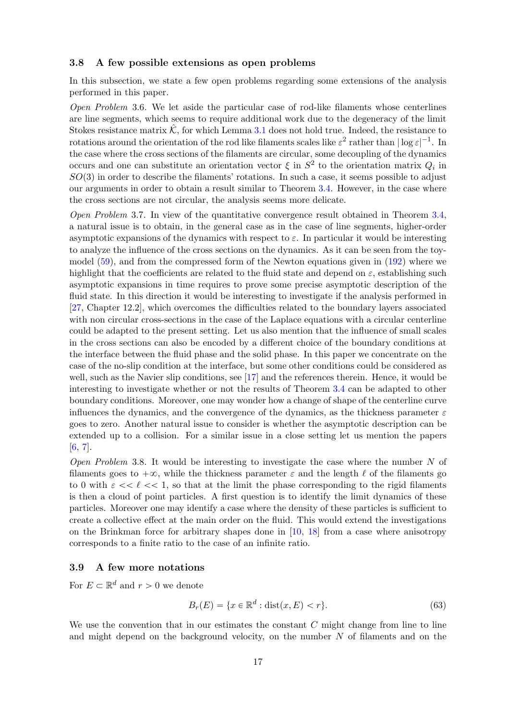#### <span id="page-16-0"></span>3.8 A few possible extensions as open problems

In this subsection, we state a few open problems regarding some extensions of the analysis performed in this paper.

Open Problem 3.6. We let aside the particular case of rod-like filaments whose centerlines are line segments, which seems to require additional work due to the degeneracy of the limit Stokes resistance matrix  $\hat{\mathcal{K}}$ , for which Lemma [3.1](#page-8-6) does not hold true. Indeed, the resistance to rotations around the orientation of the rod like filaments scales like  $\varepsilon^2$  rather than  $|\log \varepsilon|^{-1}$ . In the case where the cross sections of the filaments are circular, some decoupling of the dynamics occurs and one can substitute an orientation vector  $\xi$  in  $S^2$  to the orientation matrix  $Q_i$  in  $SO(3)$  in order to describe the filaments' rotations. In such a case, it seems possible to adjust our arguments in order to obtain a result similar to Theorem [3.4.](#page-10-1) However, in the case where the cross sections are not circular, the analysis seems more delicate.

Open Problem 3.7. In view of the quantitative convergence result obtained in Theorem [3.4,](#page-10-1) a natural issue is to obtain, in the general case as in the case of line segments, higher-order asymptotic expansions of the dynamics with respect to  $\varepsilon$ . In particular it would be interesting to analyze the influence of the cross sections on the dynamics. As it can be seen from the toymodel [\(59\)](#page-13-1), and from the compressed form of the Newton equations given in [\(192\)](#page-38-0) where we highlight that the coefficients are related to the fluid state and depend on  $\varepsilon$ , establishing such asymptotic expansions in time requires to prove some precise asymptotic description of the fluid state. In this direction it would be interesting to investigate if the analysis performed in [\[27,](#page-49-12) Chapter 12.2], which overcomes the difficulties related to the boundary layers associated with non circular cross-sections in the case of the Laplace equations with a circular centerline could be adapted to the present setting. Let us also mention that the influence of small scales in the cross sections can also be encoded by a different choice of the boundary conditions at the interface between the fluid phase and the solid phase. In this paper we concentrate on the case of the no-slip condition at the interface, but some other conditions could be considered as well, such as the Navier slip conditions, see [\[17\]](#page-49-13) and the references therein. Hence, it would be interesting to investigate whether or not the results of Theorem [3.4](#page-10-1) can be adapted to other boundary conditions. Moreover, one may wonder how a change of shape of the centerline curve influences the dynamics, and the convergence of the dynamics, as the thickness parameter  $\varepsilon$ goes to zero. Another natural issue to consider is whether the asymptotic description can be extended up to a collision. For a similar issue in a close setting let us mention the papers [\[6,](#page-48-0) [7\]](#page-48-1).

*Open Problem* 3.8. It would be interesting to investigate the case where the number  $N$  of filaments goes to  $+\infty$ , while the thickness parameter  $\varepsilon$  and the length  $\ell$  of the filaments go to 0 with  $\varepsilon \ll \ell \ll 1$ , so that at the limit the phase corresponding to the rigid filaments is then a cloud of point particles. A first question is to identify the limit dynamics of these particles. Moreover one may identify a case where the density of these particles is sufficient to create a collective effect at the main order on the fluid. This would extend the investigations on the Brinkman force for arbitrary shapes done in [\[10,](#page-48-2) [18\]](#page-49-14) from a case where anisotropy corresponds to a finite ratio to the case of an infinite ratio.

### <span id="page-16-1"></span>3.9 A few more notations

For  $E \subset \mathbb{R}^d$  and  $r > 0$  we denote

$$
B_r(E) = \{x \in \mathbb{R}^d : \text{dist}(x, E) < r\}.\tag{63}
$$

We use the convention that in our estimates the constant  $C$  might change from line to line and might depend on the background velocity, on the number  $N$  of filaments and on the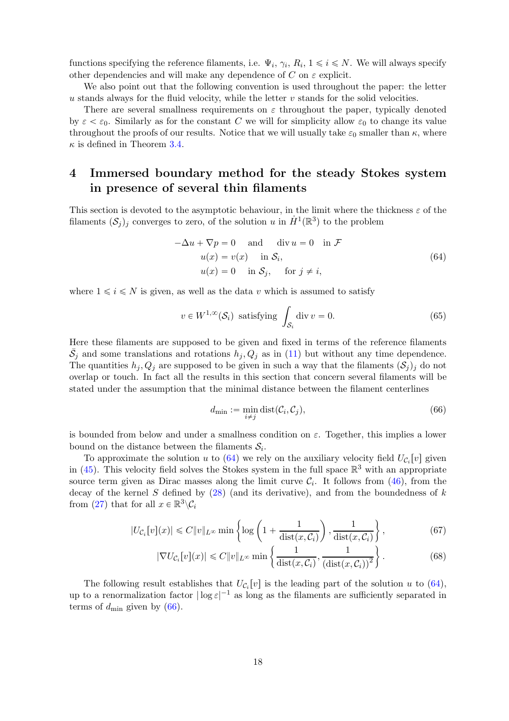functions specifying the reference filaments, i.e.  $\Psi_i$ ,  $\gamma_i$ ,  $R_i$ ,  $1 \leq i \leq N$ . We will always specify other dependencies and will make any dependence of C on  $\varepsilon$  explicit.

We also point out that the following convention is used throughout the paper: the letter  $u$  stands always for the fluid velocity, while the letter  $v$  stands for the solid velocities.

There are several smallness requirements on  $\varepsilon$  throughout the paper, typically denoted by  $\varepsilon < \varepsilon_0$ . Similarly as for the constant C we will for simplicity allow  $\varepsilon_0$  to change its value throughout the proofs of our results. Notice that we will usually take  $\varepsilon_0$  smaller than  $\kappa$ , where  $\kappa$  is defined in Theorem [3.4.](#page-10-1)

## <span id="page-17-0"></span>4 Immersed boundary method for the steady Stokes system in presence of several thin filaments

This section is devoted to the asymptotic behaviour, in the limit where the thickness  $\varepsilon$  of the filaments  $(S_j)_j$  converges to zero, of the solution u in  $\dot{H}^1(\mathbb{R}^3)$  to the problem

<span id="page-17-1"></span>
$$
-\Delta u + \nabla p = 0 \quad \text{and} \quad \text{div } u = 0 \quad \text{in } \mathcal{F}
$$
  

$$
u(x) = v(x) \quad \text{in } \mathcal{S}_i,
$$
  

$$
u(x) = 0 \quad \text{in } \mathcal{S}_j, \quad \text{for } j \neq i,
$$
  
(64)

where  $1 \leq i \leq N$  is given, as well as the data v which is assumed to satisfy

$$
v \in W^{1,\infty}(\mathcal{S}_i) \text{ satisfying } \int_{\mathcal{S}_i} \text{div } v = 0. \tag{65}
$$

Here these filaments are supposed to be given and fixed in terms of the reference filaments  $\bar{S}_j$  and some translations and rotations  $h_j, Q_j$  as in [\(11\)](#page-3-1) but without any time dependence. The quantities  $h_j, Q_j$  are supposed to be given in such a way that the filaments  $(S_j)_j$  do not overlap or touch. In fact all the results in this section that concern several filaments will be stated under the assumption that the minimal distance between the filament centerlines

<span id="page-17-5"></span><span id="page-17-4"></span><span id="page-17-3"></span><span id="page-17-2"></span>
$$
d_{\min} := \min_{i \neq j} \text{dist}(\mathcal{C}_i, \mathcal{C}_j),\tag{66}
$$

is bounded from below and under a smallness condition on  $\varepsilon$ . Together, this implies a lower bound on the distance between the filaments  $S_i$ .

To approximate the solution u to  $(64)$  we rely on the auxiliary velocity field  $U_{\mathcal{C}_i}[v]$  given in  $(45)$ . This velocity field solves the Stokes system in the full space  $\mathbb{R}^3$  with an appropriate source term given as Dirac masses along the limit curve  $\mathcal{C}_i$ . It follows from [\(46\)](#page-10-6), from the decay of the kernel S defined by  $(28)$  (and its derivative), and from the boundedness of k from [\(27\)](#page-7-5) that for all  $x \in \mathbb{R}^3 \backslash C_i$ 

$$
|U_{\mathcal{C}_i}[v](x)| \leq C \|v\|_{L^\infty} \min \left\{ \log \left( 1 + \frac{1}{\text{dist}(x, \mathcal{C}_i)} \right), \frac{1}{\text{dist}(x, \mathcal{C}_i)} \right\},\tag{67}
$$

$$
|\nabla U_{\mathcal{C}_i}[v](x)| \leq C \|v\|_{L^\infty} \min \left\{ \frac{1}{\text{dist}(x, \mathcal{C}_i)}, \frac{1}{\left(\text{dist}(x, \mathcal{C}_i)\right)^2} \right\}.
$$
 (68)

The following result establishes that  $U_{\mathcal{C}_i}[v]$  is the leading part of the solution u to [\(64\)](#page-17-1), up to a renormalization factor  $|\log \varepsilon|^{-1}$  as long as the filaments are sufficiently separated in terms of  $d_{\text{min}}$  given by [\(66\)](#page-17-2).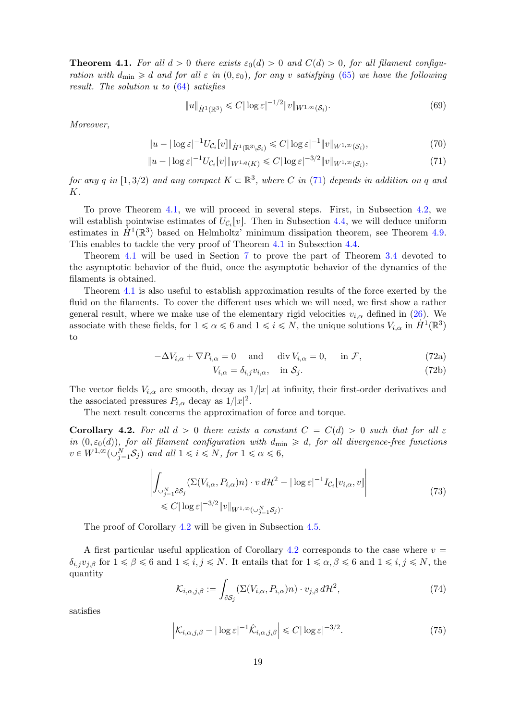<span id="page-18-0"></span>**Theorem 4.1.** For all  $d > 0$  there exists  $\varepsilon_0(d) > 0$  and  $C(d) > 0$ , for all filament configuration with  $d_{\min} \ge d$  and for all  $\varepsilon$  in  $(0, \varepsilon_0)$ , for any v satisfying [\(65\)](#page-17-3) we have the following result. The solution u to [\(64\)](#page-17-1) satisfies

<span id="page-18-6"></span><span id="page-18-5"></span><span id="page-18-2"></span>
$$
||u||_{\dot{H}^1(\mathbb{R}^3)} \leqslant C|\log \varepsilon|^{-1/2}||v||_{W^{1,\infty}(\mathcal{S}_i)}.\tag{69}
$$

Moreover,

$$
||u - |\log \varepsilon|^{-1} U_{\mathcal{C}_i}[v]||_{\dot{H}^1(\mathbb{R}^3 \setminus \mathcal{S}_i)} \leq C |\log \varepsilon|^{-1} ||v||_{W^{1,\infty}(\mathcal{S}_i)},\tag{70}
$$

$$
||u - |\log \varepsilon|^{-1} U_{\mathcal{C}_i}[v]||_{W^{1,q}(K)} \leq C |\log \varepsilon|^{-3/2} ||v||_{W^{1,\infty}(\mathcal{S}_i)},
$$
\n(71)

for any q in  $[1, 3/2)$  and any compact  $K \subset \mathbb{R}^3$ , where C in [\(71\)](#page-18-2) depends in addition on q and K.

To prove Theorem [4.1,](#page-18-0) we will proceed in several steps. First, in Subsection [4.2,](#page-20-0) we will establish pointwise estimates of  $U_{\mathcal{C}_i}[v]$ . Then in Subsection [4.4,](#page-27-0) we will deduce uniform estimates in  $\hat{H}^1(\mathbb{R}^3)$  based on Helmholtz' minimum dissipation theorem, see Theorem [4.9.](#page-27-1) This enables to tackle the very proof of Theorem [4.1](#page-18-0) in Subsection [4.4.](#page-27-0)

Theorem [4.1](#page-18-0) will be used in Section [7](#page-45-0) to prove the part of Theorem [3.4](#page-10-1) devoted to the asymptotic behavior of the fluid, once the asymptotic behavior of the dynamics of the filaments is obtained.

<span id="page-18-7"></span>Theorem [4.1](#page-18-0) is also useful to establish approximation results of the force exerted by the fluid on the filaments. To cover the different uses which we will need, we first show a rather general result, where we make use of the elementary rigid velocities  $v_{i,\alpha}$  defined in [\(26\)](#page-7-4). We associate with these fields, for  $1 \le \alpha \le 6$  and  $1 \le i \le N$ , the unique solutions  $V_{i,\alpha}$  in  $\dot{H}^1(\mathbb{R}^3)$ to

$$
-\Delta V_{i,\alpha} + \nabla P_{i,\alpha} = 0 \quad \text{and} \quad \text{div } V_{i,\alpha} = 0, \quad \text{in } \mathcal{F}, \tag{72a}
$$

<span id="page-18-9"></span><span id="page-18-4"></span>
$$
V_{i,\alpha} = \delta_{i,j} v_{i,\alpha}, \quad \text{in } \mathcal{S}_j. \tag{72b}
$$

The vector fields  $V_{i,\alpha}$  are smooth, decay as  $1/|x|$  at infinity, their first-order derivatives and the associated pressures  $P_{i,\alpha}$  decay as  $1/|x|^2$ .

The next result concerns the approximation of force and torque.

<span id="page-18-1"></span>Corollary 4.2. For all  $d > 0$  there exists a constant  $C = C(d) > 0$  such that for all  $\varepsilon$ in  $(0, \varepsilon_0(d))$ , for all filament configuration with  $d_{\min} \ge d$ , for all divergence-free functions  $v \in W^{1,\infty}(\cup_{j=1}^N S_j)$  and all  $1 \leq i \leq N$ , for  $1 \leq \alpha \leq 6$ ,

$$
\left| \int_{\cup_{j=1}^{N} \partial S_{j}} (\Sigma(V_{i,\alpha}, P_{i,\alpha})n) \cdot v \, d\mathcal{H}^{2} - |\log \varepsilon|^{-1} I_{\mathcal{C}_{i}}[v_{i,\alpha}, v] \right|
$$
\n
$$
\leq C |\log \varepsilon|^{-3/2} \|v\|_{W^{1,\infty}(\cup_{j=1}^{N} S_{j})}.
$$
\n
$$
(73)
$$

The proof of Corollary [4.2](#page-18-1) will be given in Subsection [4.5.](#page-29-0)

A first particular useful application of Corollary [4.2](#page-18-1) corresponds to the case where  $v =$  $\delta_{i,j}v_{j,\beta}$  for  $1 \leq \beta \leq 6$  and  $1 \leq i,j \leq N$ . It entails that for  $1 \leq \alpha, \beta \leq 6$  and  $1 \leq i,j \leq N$ , the quantity

<span id="page-18-8"></span>
$$
\mathcal{K}_{i,\alpha,j,\beta} := \int_{\partial \mathcal{S}_j} \left( \Sigma(V_{i,\alpha}, P_{i,\alpha}) n \right) \cdot v_{j,\beta} \, d\mathcal{H}^2,\tag{74}
$$

satisfies

<span id="page-18-3"></span>
$$
\left| \mathcal{K}_{i,\alpha,j,\beta} - |\log \varepsilon|^{-1} \hat{\mathcal{K}}_{i,\alpha,j,\beta} \right| \leq C |\log \varepsilon|^{-3/2}.
$$
 (75)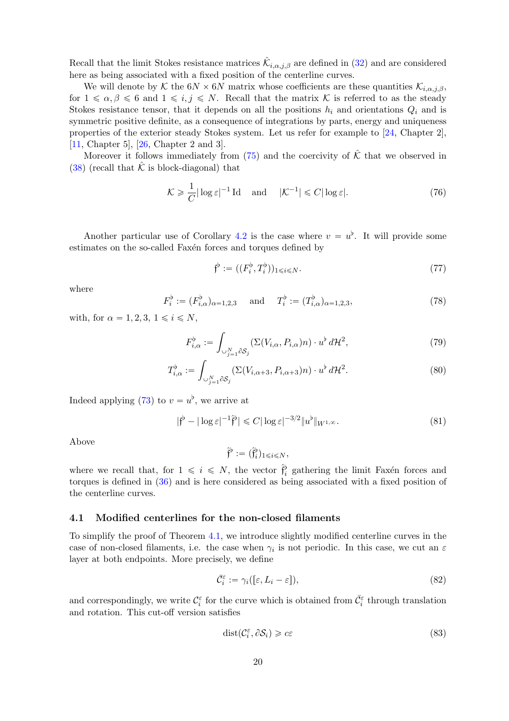Recall that the limit Stokes resistance matrices  $\hat{\mathcal{K}}_{i,\alpha,j,\beta}$  are defined in [\(32\)](#page-8-4) and are considered here as being associated with a fixed position of the centerline curves.

We will denote by K the  $6N \times 6N$  matrix whose coefficients are these quantities  $\mathcal{K}_{i,\alpha,i,\beta}$ , for  $1 \leq \alpha, \beta \leq 6$  and  $1 \leq i, j \leq N$ . Recall that the matrix K is referred to as the steady Stokes resistance tensor, that it depends on all the positions  $h_i$  and orientations  $Q_i$  and is symmetric positive definite, as a consequence of integrations by parts, energy and uniqueness properties of the exterior steady Stokes system. Let us refer for example to [\[24,](#page-49-15) Chapter 2], [\[11,](#page-48-7) Chapter 5], [\[26,](#page-49-16) Chapter 2 and 3].

Moreover it follows immediately from  $(75)$  and the coercivity of  $\hat{\mathcal{K}}$  that we observed in [\(38\)](#page-8-7) (recall that  $\hat{\mathcal{K}}$  is block-diagonal) that

$$
\mathcal{K} \geq \frac{1}{C} |\log \varepsilon|^{-1} \operatorname{Id} \quad \text{and} \quad |\mathcal{K}^{-1}| \leq C |\log \varepsilon|. \tag{76}
$$

Another particular use of Corollary [4.2](#page-18-1) is the case where  $v = u^{\flat}$ . It will provide some estimates on the so-called Faxén forces and torques defined by

<span id="page-19-6"></span><span id="page-19-3"></span><span id="page-19-2"></span>
$$
\mathfrak{f}^{\flat} := ((F_i^{\flat}, T_i^{\flat}))_{1 \leq i \leq N}.
$$
\n(77)

where

<span id="page-19-5"></span>
$$
F_i^{\flat} := (F_{i,\alpha}^{\flat})_{\alpha=1,2,3} \quad \text{and} \quad T_i^{\flat} := (T_{i,\alpha}^{\flat})_{\alpha=1,2,3}, \tag{78}
$$

with, for  $\alpha = 1, 2, 3, 1 \leq i \leq N$ ,

$$
F_{i,\alpha}^{\flat} := \int_{\cup_{j=1}^{N} \partial S_{j}} (\Sigma(V_{i,\alpha}, P_{i,\alpha})n) \cdot u^{\flat} d\mathcal{H}^{2},
$$
\n(79)

$$
T_{i,\alpha}^{\flat} := \int_{\cup_{j=1}^{N} \partial S_j} (\Sigma(V_{i,\alpha+3}, P_{i,\alpha+3})n) \cdot u^{\flat} d\mathcal{H}^2.
$$
 (80)

Indeed applying [\(73\)](#page-18-4) to  $v = u^{\flat}$ , we arrive at

$$
|\mathfrak{f}^{\flat} - |\log \varepsilon|^{-1} \hat{\mathfrak{f}}^{\flat}| \leq C |\log \varepsilon|^{-3/2} \|u^{\flat}\|_{W^{1,\infty}}.
$$
\n
$$
(81)
$$

Above

<span id="page-19-7"></span><span id="page-19-4"></span>
$$
\hat{\mathfrak{f}}^\flat := (\hat{\mathfrak{f}}^\flat_i)_{1 \leqslant i \leqslant N},
$$

where we recall that, for  $1 \leq i \leq N$ , the vector  $\hat{f}_i^b$  gathering the limit Faxén forces and torques is defined in [\(36\)](#page-8-2) and is here considered as being associated with a fixed position of the centerline curves.

#### <span id="page-19-0"></span>4.1 Modified centerlines for the non-closed filaments

To simplify the proof of Theorem [4.1,](#page-18-0) we introduce slightly modified centerline curves in the case of non-closed filaments, i.e. the case when  $\gamma_i$  is not periodic. In this case, we cut an  $\varepsilon$ layer at both endpoints. More precisely, we define

$$
\bar{\mathcal{C}}_i^{\varepsilon} := \gamma_i([\varepsilon, L_i - \varepsilon]),\tag{82}
$$

and correspondingly, we write  $\mathcal{C}_i^{\varepsilon}$  for the curve which is obtained from  $\bar{\mathcal{C}}_i^{\varepsilon}$  through translation and rotation. This cut-off version satisfies

<span id="page-19-1"></span>
$$
dist(\mathcal{C}_i^{\varepsilon}, \partial \mathcal{S}_i) \geqslant c\varepsilon \tag{83}
$$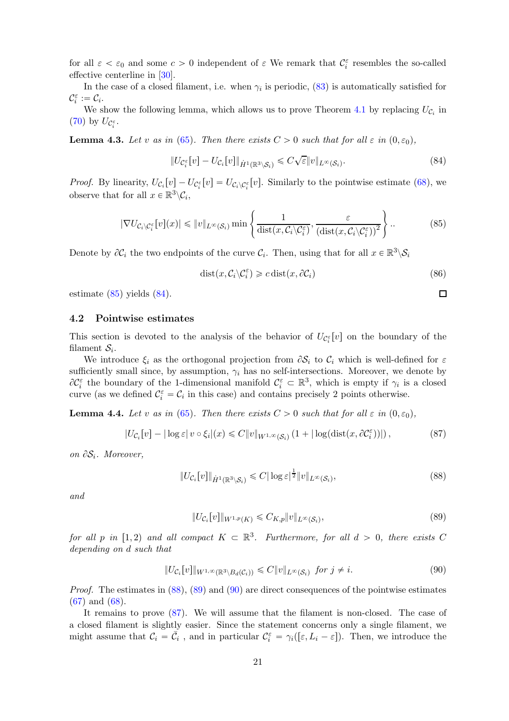for all  $\varepsilon < \varepsilon_0$  and some  $c > 0$  independent of  $\varepsilon$ . We remark that  $\mathcal{C}_i^{\varepsilon}$  resembles the so-called effective centerline in [\[30\]](#page-50-8).

In the case of a closed filament, i.e. when  $\gamma_i$  is periodic, [\(83\)](#page-19-1) is automatically satisfied for  $\mathcal{C}_i^{\varepsilon} := \mathcal{C}_i.$ 

We show the following lemma, which allows us to prove Theorem [4.1](#page-18-0) by replacing  $U_{\mathcal{C}_i}$  in [\(70\)](#page-18-5) by  $U_{\mathcal{C}_i^{\varepsilon}}$ .

<span id="page-20-8"></span>**Lemma 4.3.** Let v as in [\(65\)](#page-17-3). Then there exists  $C > 0$  such that for all  $\varepsilon$  in  $(0, \varepsilon_0)$ ,

$$
||U_{\mathcal{C}_i^{\varepsilon}}[v] - U_{\mathcal{C}_i}[v]||_{\dot{H}^1(\mathbb{R}^3 \setminus \mathcal{S}_i)} \leqslant C\sqrt{\varepsilon}||v||_{L^{\infty}(\mathcal{S}_i)}.
$$
\n(84)

*Proof.* By linearity,  $U_{\mathcal{C}_i}[v] - U_{\mathcal{C}_i^{\varepsilon}}[v] = U_{\mathcal{C}_i \setminus \mathcal{C}_i^{\varepsilon}}[v]$ . Similarly to the pointwise estimate [\(68\)](#page-17-4), we observe that for all  $x \in \mathbb{R}^3 \backslash \mathcal{C}_i$ ,

$$
|\nabla U_{\mathcal{C}_i \setminus \mathcal{C}_i^{\varepsilon}}[v](x)| \leq \|v\|_{L^{\infty}(\mathcal{S}_i)} \min \left\{ \frac{1}{\text{dist}(x, \mathcal{C}_i \setminus \mathcal{C}_i^{\varepsilon})}, \frac{\varepsilon}{(\text{dist}(x, \mathcal{C}_i \setminus \mathcal{C}_i^{\varepsilon}))^2} \right\}.
$$
 (85)

Denote by  $\partial \mathcal{C}_i$  the two endpoints of the curve  $\mathcal{C}_i$ . Then, using that for all  $x \in \mathbb{R}^3 \setminus \mathcal{S}_i$ 

$$
dist(x, C_i \setminus C_i^{\varepsilon}) \geq c \, dist(x, \partial C_i) \tag{86}
$$

<span id="page-20-7"></span><span id="page-20-5"></span><span id="page-20-4"></span><span id="page-20-3"></span><span id="page-20-2"></span> $\Box$ 

estimate [\(85\)](#page-20-2) yields [\(84\)](#page-20-3).

#### <span id="page-20-0"></span>4.2 Pointwise estimates

This section is devoted to the analysis of the behavior of  $U_{\mathcal{C}_i^{\varepsilon}}[v]$  on the boundary of the filament  $S_i$ .

We introduce  $\xi_i$  as the orthogonal projection from  $\partial S_i$  to  $C_i$  which is well-defined for  $\varepsilon$ sufficiently small since, by assumption,  $\gamma_i$  has no self-intersections. Moreover, we denote by  $\partial \mathcal{C}_i^{\varepsilon}$  the boundary of the 1-dimensional manifold  $\mathcal{C}_i^{\varepsilon} \subset \mathbb{R}^3$ , which is empty if  $\gamma_i$  is a closed curve (as we defined  $\mathcal{C}_{i}^{\varepsilon} = \mathcal{C}_{i}$  in this case) and contains precisely 2 points otherwise.

<span id="page-20-1"></span>**Lemma 4.4.** Let v as in [\(65\)](#page-17-3). Then there exists  $C > 0$  such that for all  $\varepsilon$  in  $(0, \varepsilon_0)$ ,

$$
|U_{\mathcal{C}_i}[v] - |\log \varepsilon| \, v \circ \xi_i|(x) \leq C \|v\|_{W^{1,\infty}(\mathcal{S}_i)} \left(1 + |\log(\text{dist}(x, \partial \mathcal{C}_i^{\varepsilon}))|\right),\tag{87}
$$

on  $\partial S_i$ . Moreover,

$$
||U_{\mathcal{C}_i}[v]||_{\dot{H}^1(\mathbb{R}^3\setminus\mathcal{S}_i)} \leq C |\log \varepsilon|^{\frac{1}{2}} ||v||_{L^\infty(\mathcal{S}_i)},\tag{88}
$$

and

$$
||U_{\mathcal{C}_i}[v]||_{W^{1,p}(K)} \leq C_{K,p} ||v||_{L^{\infty}(\mathcal{S}_i)},
$$
\n(89)

for all p in  $[1, 2)$  and all compact  $K \subset \mathbb{R}^3$ . Furthermore, for all  $d > 0$ , there exists C depending on d such that

<span id="page-20-6"></span>
$$
||U_{\mathcal{C}_i}[v]||_{W^{1,\infty}(\mathbb{R}^3 \setminus B_d(\mathcal{C}_i))} \leq C ||v||_{L^{\infty}(\mathcal{S}_i)} \text{ for } j \neq i. \tag{90}
$$

*Proof.* The estimates in  $(88)$ ,  $(89)$  and  $(90)$  are direct consequences of the pointwise estimates [\(67\)](#page-17-5) and [\(68\)](#page-17-4).

It remains to prove [\(87\)](#page-20-7). We will assume that the filament is non-closed. The case of a closed filament is slightly easier. Since the statement concerns only a single filament, we might assume that  $C_i = \bar{C}_i$ , and in particular  $C_i^{\varepsilon} = \gamma_i([\varepsilon, L_i - \varepsilon])$ . Then, we introduce the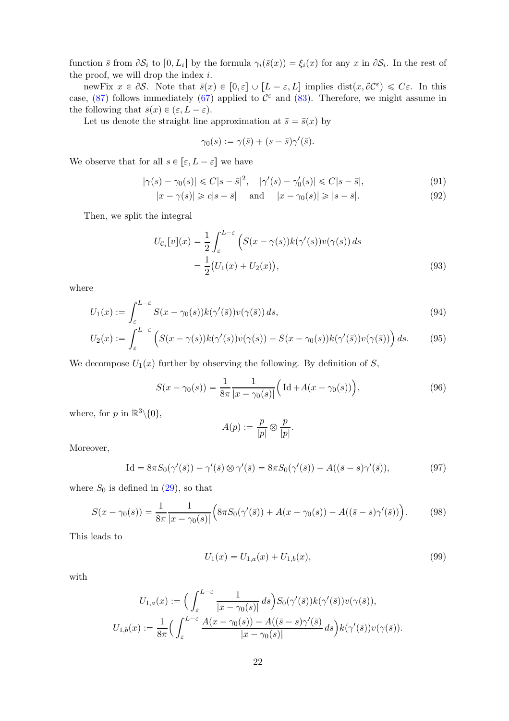function  $\bar{s}$  from  $\partial S_i$  to  $[0, L_i]$  by the formula  $\gamma_i(\bar{s}(x)) = \xi_i(x)$  for any  $x$  in  $\partial S_i$ . In the rest of the proof, we will drop the index  $i$ .

newFix  $x \in \partial S$ . Note that  $\bar{s}(x) \in [0, \varepsilon] \cup [L - \varepsilon, L]$  implies  $dist(x, \partial C^{\varepsilon}) \leq C \varepsilon$ . In this case, [\(87\)](#page-20-7) follows immediately [\(67\)](#page-17-5) applied to  $\mathcal{C}^{\varepsilon}$  and [\(83\)](#page-19-1). Therefore, we might assume in the following that  $\bar{s}(x) \in (\varepsilon, L - \varepsilon)$ .

Let us denote the straight line approximation at  $\bar{s} = \bar{s}(x)$  by

<span id="page-21-0"></span>
$$
\gamma_0(s) := \gamma(\bar{s}) + (s - \bar{s})\gamma'(\bar{s}).
$$

We observe that for all  $s \in [\varepsilon, L - \varepsilon]$  we have

$$
|\gamma(s) - \gamma_0(s)| \leq C|s - \bar{s}|^2, \quad |\gamma'(s) - \gamma'_0(s)| \leq C|s - \bar{s}|,\tag{91}
$$

$$
|x - \gamma(s)| \geq c|s - \bar{s}| \quad \text{and} \quad |x - \gamma_0(s)| \geq |s - \bar{s}|. \tag{92}
$$

Then, we split the integral

$$
U_{\mathcal{C}_i}[v](x) = \frac{1}{2} \int_{\varepsilon}^{L-\varepsilon} \left( S(x - \gamma(s)) k(\gamma'(s)) v(\gamma(s)) ds \right. = \frac{1}{2} (U_1(x) + U_2(x)), \tag{93}
$$

where

$$
U_1(x) := \int_{\varepsilon}^{L-\varepsilon} S(x - \gamma_0(s)) k(\gamma'(\bar{s})) v(\gamma(\bar{s})) ds,
$$
\n(94)

$$
U_2(x) := \int_{\varepsilon}^{L-\varepsilon} \left( S(x - \gamma(s)) k(\gamma'(s)) v(\gamma(s)) - S(x - \gamma_0(s)) k(\gamma'(\bar{s})) v(\gamma(\bar{s})) \right) ds. \tag{95}
$$

We decompose  $U_1(x)$  further by observing the following. By definition of S,

$$
S(x - \gamma_0(s)) = \frac{1}{8\pi} \frac{1}{|x - \gamma_0(s)|} \Big( \operatorname{Id} + A(x - \gamma_0(s)) \Big),\tag{96}
$$

where, for p in  $\mathbb{R}^3\backslash\{0\},\$ 

$$
A(p) := \frac{p}{|p|} \otimes \frac{p}{|p|}.
$$

Moreover,

$$
\text{Id} = 8\pi S_0(\gamma'(\bar{s})) - \gamma'(\bar{s}) \otimes \gamma'(\bar{s}) = 8\pi S_0(\gamma'(\bar{s})) - A((\bar{s} - s)\gamma'(\bar{s})),\tag{97}
$$

where  $S_0$  is defined in  $(29)$ , so that

$$
S(x - \gamma_0(s)) = \frac{1}{8\pi} \frac{1}{|x - \gamma_0(s)|} \Big( 8\pi S_0(\gamma'(\bar{s})) + A(x - \gamma_0(s)) - A((\bar{s} - s)\gamma'(\bar{s})) \Big). \tag{98}
$$

This leads to

<span id="page-21-1"></span>
$$
U_1(x) = U_{1,a}(x) + U_{1,b}(x),\tag{99}
$$

with

$$
U_{1,a}(x) := \Big(\int_{\varepsilon}^{L-\varepsilon} \frac{1}{|x - \gamma_0(s)|} ds\Big) S_0(\gamma'(\bar{s})) k(\gamma'(\bar{s})) v(\gamma(\bar{s})),
$$
  

$$
U_{1,b}(x) := \frac{1}{8\pi} \Big(\int_{\varepsilon}^{L-\varepsilon} \frac{A(x - \gamma_0(s)) - A((\bar{s} - s)\gamma'(\bar{s})}{|x - \gamma_0(s)|} ds\Big) k(\gamma'(\bar{s})) v(\gamma(\bar{s})).
$$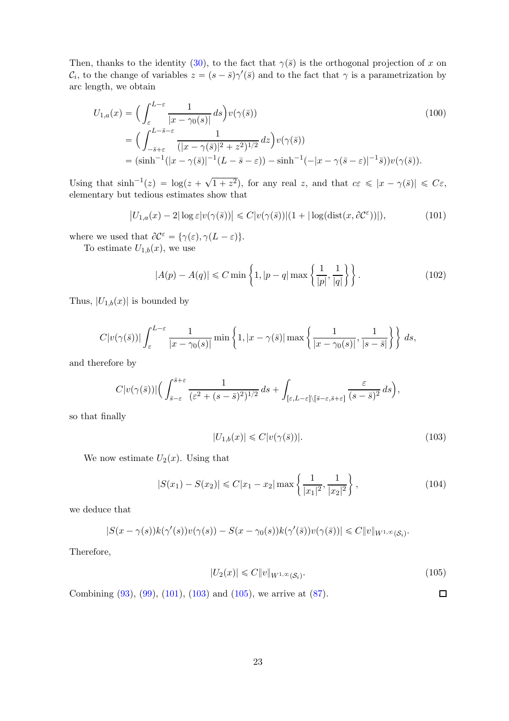Then, thanks to the identity [\(30\)](#page-7-7), to the fact that  $\gamma(\bar{s})$  is the orthogonal projection of x on  $\mathcal{C}_i$ , to the change of variables  $z = (s - \bar{s})\gamma'(\bar{s})$  and to the fact that  $\gamma$  is a parametrization by arc length, we obtain

$$
U_{1,a}(x) = \left(\int_{\varepsilon}^{L-\varepsilon} \frac{1}{|x - \gamma_0(s)|} ds\right) v(\gamma(\bar{s}))
$$
\n
$$
= \left(\int_{-\bar{s}+\varepsilon}^{L-\bar{s}-\varepsilon} \frac{1}{(|x - \gamma(\bar{s})|^2 + z^2)^{1/2}} dz\right) v(\gamma(\bar{s}))
$$
\n
$$
= (\sinh^{-1}(|x - \gamma(\bar{s})|^{-1}(L-\bar{s}-\varepsilon)) - \sinh^{-1}(-|x - \gamma(\bar{s}-\varepsilon)|^{-1}\bar{s})) v(\gamma(\bar{s})).
$$
\n(100)

Using that  $\sinh^{-1}(z) = \log(z + \sqrt{1 + z^2})$ , for any real z, and that  $c\epsilon \leq |x - \gamma(\bar{s})| \leq C\epsilon$ , elementary but tedious estimates show that

$$
\left| U_{1,a}(x) - 2|\log \varepsilon |v(\gamma(\bar{s})) \right| \leq C|v(\gamma(\bar{s}))|(1 + |\log(\text{dist}(x, \partial \mathcal{C}^{\varepsilon}))|),\tag{101}
$$

where we used that  $\partial \mathcal{C}^{\varepsilon} = {\gamma(\varepsilon), \gamma(L - \varepsilon)}$ .

To estimate  $U_{1,b}(x)$ , we use

<span id="page-22-1"></span><span id="page-22-0"></span>
$$
|A(p) - A(q)| \le C \min\left\{1, |p - q| \max\left\{\frac{1}{|p|}, \frac{1}{|q|}\right\}\right\}.
$$
 (102)

Thus,  $|U_{1,b}(x)|$  is bounded by

$$
C|v(\gamma(\bar{s}))| \int_{\varepsilon}^{L-\varepsilon} \frac{1}{|x-\gamma_0(s)|} \min\left\{1, |x-\gamma(\bar{s})| \max\left\{\frac{1}{|x-\gamma_0(s)|}, \frac{1}{|s-\bar{s}|}\right\}\right\} ds,
$$

and therefore by

$$
C|v(\gamma(\bar{s}))|\Big(\int_{\bar{s}-\varepsilon}^{\bar{s}+\varepsilon}\frac{1}{(\varepsilon^2+(s-\bar{s})^2)^{1/2}}\,ds+\int_{[\varepsilon,L-\varepsilon]\setminus[\bar{s}-\varepsilon,\bar{s}+\varepsilon]}\frac{\varepsilon}{(s-\bar{s})^2}\,ds\Big),
$$

so that finally

$$
|U_{1,b}(x)| \leq C|v(\gamma(\bar{s}))|.\tag{103}
$$

We now estimate  $U_2(x)$ . Using that

$$
|S(x_1) - S(x_2)| \le C|x_1 - x_2| \max\left\{\frac{1}{|x_1|^2}, \frac{1}{|x_2|^2}\right\},\tag{104}
$$

we deduce that

$$
|S(x-\gamma(s))k(\gamma'(s))v(\gamma(s))-S(x-\gamma_0(s))k(\gamma'(\bar{s}))v(\gamma(\bar{s}))|\leq C\|v\|_{W^{1,\infty}(S_i)}.
$$

Therefore,

$$
|U_2(x)| \leq C \|v\|_{W^{1,\infty}(\mathcal{S}_i)}.\tag{105}
$$

<span id="page-22-3"></span><span id="page-22-2"></span> $\Box$ 

Combining [\(93\)](#page-21-0), [\(99\)](#page-21-1), [\(101\)](#page-22-1), [\(103\)](#page-22-2) and [\(105\)](#page-22-3), we arrive at [\(87\)](#page-20-7).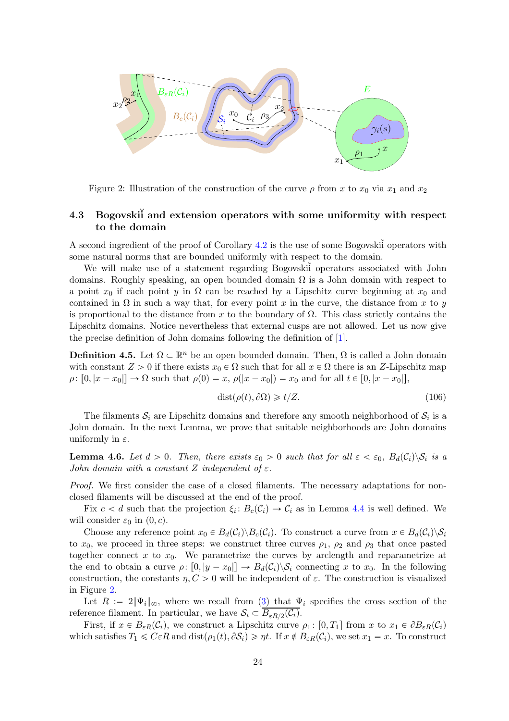

<span id="page-23-1"></span>Figure 2: Illustration of the construction of the curve  $\rho$  from x to  $x_0$  via  $x_1$  and  $x_2$ 

## <span id="page-23-0"></span>4.3 Bogovskii and extension operators with some uniformity with respect to the domain

A second ingredient of the proof of Corollary  $4.2$  is the use of some Bogovski<sup>i</sup> operators with some natural norms that are bounded uniformly with respect to the domain.

We will make use of a statement regarding Bogovski<sup>i</sup> operators associated with John domains. Roughly speaking, an open bounded domain  $\Omega$  is a John domain with respect to a point  $x_0$  if each point y in  $\Omega$  can be reached by a Lipschitz curve beginning at  $x_0$  and contained in  $\Omega$  in such a way that, for every point x in the curve, the distance from x to y is proportional to the distance from x to the boundary of  $\Omega$ . This class strictly contains the Lipschitz domains. Notice nevertheless that external cusps are not allowed. Let us now give the precise definition of John domains following the definition of [\[1\]](#page-48-8).

**Definition 4.5.** Let  $\Omega \subset \mathbb{R}^n$  be an open bounded domain. Then,  $\Omega$  is called a John domain with constant  $Z > 0$  if there exists  $x_0 \in \Omega$  such that for all  $x \in \Omega$  there is an Z-Lipschitz map  $\rho: [0, |x - x_0|] \to \Omega$  such that  $\rho(0) = x$ ,  $\rho(|x - x_0|) = x_0$  and for all  $t \in [0, |x - x_0|]$ ,

<span id="page-23-2"></span>
$$
dist(\rho(t), \partial \Omega) \geq t/Z.
$$
\n(106)

The filaments  $S_i$  are Lipschitz domains and therefore any smooth neighborhood of  $S_i$  is a John domain. In the next Lemma, we prove that suitable neighborhoods are John domains uniformly in  $\varepsilon$ .

<span id="page-23-3"></span>**Lemma 4.6.** Let  $d > 0$ . Then, there exists  $\varepsilon_0 > 0$  such that for all  $\varepsilon < \varepsilon_0$ ,  $B_d(\mathcal{C}_i) \setminus \mathcal{S}_i$  is a John domain with a constant Z independent of  $\varepsilon$ .

Proof. We first consider the case of a closed filaments. The necessary adaptations for nonclosed filaments will be discussed at the end of the proof.

Fix  $c < d$  such that the projection  $\xi_i: B_c(C_i) \to C_i$  as in Lemma [4.4](#page-20-1) is well defined. We will consider  $\varepsilon_0$  in  $(0, c)$ .

Choose any reference point  $x_0 \in B_d(\mathcal{C}_i) \backslash B_c(\mathcal{C}_i)$ . To construct a curve from  $x \in B_d(\mathcal{C}_i) \backslash S_i$ to  $x_0$ , we proceed in three steps: we construct three curves  $\rho_1$ ,  $\rho_2$  and  $\rho_3$  that once pasted together connect x to  $x_0$ . We parametrize the curves by arclength and reparametrize at the end to obtain a curve  $\rho: [0, |y - x_0|] \to B_d(\mathcal{C}_i) \backslash \mathcal{S}_i$  connecting x to  $x_0$ . In the following construction, the constants  $\eta, C > 0$  will be independent of  $\varepsilon$ . The construction is visualized in Figure [2.](#page-23-1)

Let  $R := 2\|\Psi_i\|_{\infty}$ , where we recall from [\(3\)](#page-2-4) that  $\Psi_i$  specifies the cross section of the reference filament. In particular, we have  $S_i \subset \overline{B_{\varepsilon R/2}(\mathcal{C}_i)}$ .

First, if  $x \in B_{\varepsilon R}(\mathcal{C}_i)$ , we construct a Lipschitz curve  $\rho_1$ :  $[0, T_1]$  from x to  $x_1 \in \partial B_{\varepsilon R}(\mathcal{C}_i)$ which satisfies  $T_1 \leqslant C \varepsilon R$  and  $dist(\rho_1(t), \partial S_i) \geqslant \eta t$ . If  $x \notin B_{\varepsilon R}(\mathcal{C}_i)$ , we set  $x_1 = x$ . To construct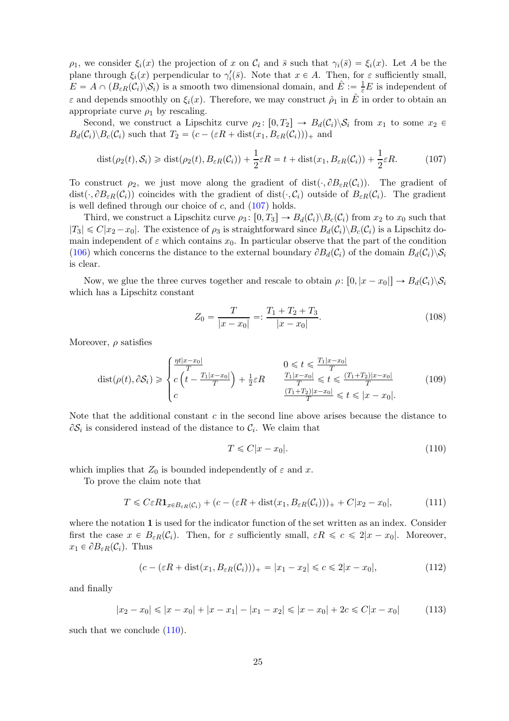$\rho_1$ , we consider  $\xi_i(x)$  the projection of x on  $\mathcal{C}_i$  and  $\bar{s}$  such that  $\gamma_i(\bar{s}) = \xi_i(x)$ . Let A be the plane through  $\xi_i(x)$  perpendicular to  $\gamma'_i(\bar{s})$ . Note that  $x \in A$ . Then, for  $\varepsilon$  sufficiently small,  $E = A \cap (B_{\varepsilon R}(\mathcal{C}_i) \setminus \mathcal{S}_i)$  is a smooth two dimensional domain, and  $\hat{E} := \frac{1}{\varepsilon}E$  is independent of  $\varepsilon$  and depends smoothly on  $\xi_i(x)$ . Therefore, we may construct  $\hat{\rho}_1$  in  $\hat{E}$  in order to obtain an appropriate curve  $\rho_1$  by rescaling.

Second, we construct a Lipschitz curve  $\rho_2: [0, T_2] \to B_d(\mathcal{C}_i) \backslash \mathcal{S}_i$  from  $x_1$  to some  $x_2 \in$  $B_d(\mathcal{C}_i) \backslash B_c(\mathcal{C}_i)$  such that  $T_2 = (c - (\varepsilon R + \text{dist}(x_1, B_{\varepsilon R}(\mathcal{C}_i)))_{+}$  and

$$
\text{dist}(\rho_2(t), \mathcal{S}_i) \ge \text{dist}(\rho_2(t), B_{\varepsilon R}(\mathcal{C}_i)) + \frac{1}{2}\varepsilon R = t + \text{dist}(x_1, B_{\varepsilon R}(\mathcal{C}_i)) + \frac{1}{2}\varepsilon R. \tag{107}
$$

To construct  $\rho_2$ , we just move along the gradient of dist( $\cdot$ ,  $\partial B_{\varepsilon R}(C_i)$ ). The gradient of dist $(\cdot, \partial B_{\varepsilon R}(\mathcal{C}_i))$  coincides with the gradient of dist $(\cdot, \mathcal{C}_i)$  outside of  $B_{\varepsilon R}(\mathcal{C}_i)$ . The gradient is well defined through our choice of  $c$ , and  $(107)$  holds.

Third, we construct a Lipschitz curve  $\rho_3: [0, T_3] \to B_d(\mathcal{C}_i) \backslash B_c(\mathcal{C}_i)$  from  $x_2$  to  $x_0$  such that  $|T_3| \leq C|x_2 - x_0|$ . The existence of  $\rho_3$  is straightforward since  $B_d(\mathcal{C}_i) \setminus B_c(\mathcal{C}_i)$  is a Lipschitz domain independent of  $\varepsilon$  which contains  $x_0$ . In particular observe that the part of the condition [\(106\)](#page-23-2) which concerns the distance to the external boundary  $\partial B_d(C_i)$  of the domain  $B_d(C_i)\setminus\mathcal{S}_i$ is clear.

Now, we glue the three curves together and rescale to obtain  $\rho: [0, |x - x_0|] \to B_d(\mathcal{C}_i) \backslash \mathcal{S}_i$ which has a Lipschitz constant

<span id="page-24-0"></span>
$$
Z_0 = \frac{T}{|x - x_0|} =: \frac{T_1 + T_2 + T_3}{|x - x_0|}.
$$
\n(108)

Moreover,  $\rho$  satisfies

$$
\text{dist}(\rho(t), \partial S_i) \geq \begin{cases} \frac{\eta t |x - x_0|}{T} & 0 \leq t \leq \frac{T_1 |x - x_0|}{T} \\ c \left( t - \frac{T_1 |x - x_0|}{T} \right) + \frac{1}{2} \varepsilon R & \frac{T_1 |x - x_0|}{T} \leq t \leq \frac{(T_1 + T_2) |x - x_0|}{T} \\ c & \frac{(T_1 + T_2) |x - x_0|}{T} \leq t \leq |x - x_0|. \end{cases} \tag{109}
$$

Note that the additional constant  $c$  in the second line above arises because the distance to  $\partial \mathcal{S}_i$  is considered instead of the distance to  $\mathcal{C}_i$ . We claim that

<span id="page-24-2"></span><span id="page-24-1"></span>
$$
T \leqslant C|x - x_0|.\tag{110}
$$

which implies that  $Z_0$  is bounded independently of  $\varepsilon$  and x.

To prove the claim note that

$$
T \leqslant C\varepsilon R \mathbf{1}_{x \in B_{\varepsilon R}(\mathcal{C}_i)} + (c - (\varepsilon R + \text{dist}(x_1, B_{\varepsilon R}(\mathcal{C}_i)))_+ + C|x_2 - x_0|,\tag{111}
$$

where the notation 1 is used for the indicator function of the set written as an index. Consider first the case  $x \in B_{\varepsilon R}(\mathcal{C}_i)$ . Then, for  $\varepsilon$  sufficiently small,  $\varepsilon R \leqslant c \leqslant 2|x - x_0|$ . Moreover,  $x_1 \in \partial B_{\varepsilon R}(\mathcal{C}_i)$ . Thus

$$
(c - (\varepsilon R + \text{dist}(x_1, B_{\varepsilon R}(C_i)))_+ = |x_1 - x_2| \leq c \leq 2|x - x_0|,\tag{112}
$$

and finally

$$
|x_2 - x_0| \le |x - x_0| + |x - x_1| - |x_1 - x_2| \le |x - x_0| + 2c \le C|x - x_0| \tag{113}
$$

such that we conclude  $(110)$ .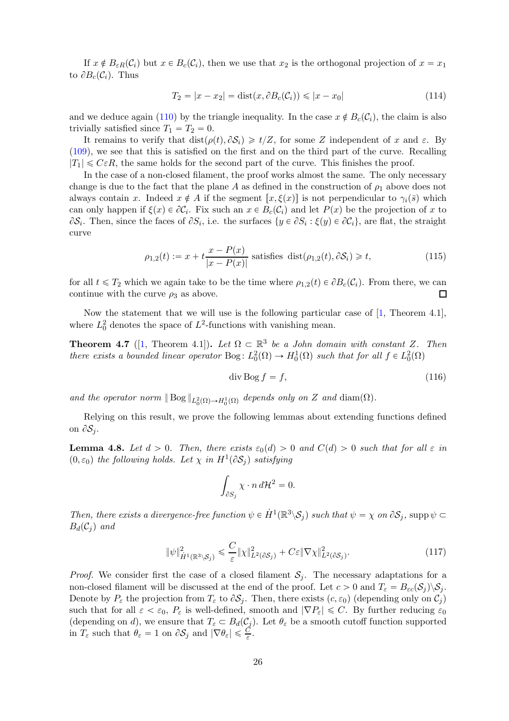If  $x \notin B_{\varepsilon R}(\mathcal{C}_i)$  but  $x \in B_c(\mathcal{C}_i)$ , then we use that  $x_2$  is the orthogonal projection of  $x = x_1$ to  $\partial B_c(\mathcal{C}_i)$ . Thus

$$
T_2 = |x - x_2| = \text{dist}(x, \partial B_c(\mathcal{C}_i)) \le |x - x_0| \tag{114}
$$

and we deduce again [\(110\)](#page-24-1) by the triangle inequality. In the case  $x \notin B_c(C_i)$ , the claim is also trivially satisfied since  $T_1 = T_2 = 0$ .

It remains to verify that  $dist(\rho(t), \partial S_i) \geq t/Z$ , for some Z independent of x and  $\varepsilon$ . By [\(109\)](#page-24-2), we see that this is satisfied on the first and on the third part of the curve. Recalling  $|T_1| \leqslant C \varepsilon R$ , the same holds for the second part of the curve. This finishes the proof.

In the case of a non-closed filament, the proof works almost the same. The only necessary change is due to the fact that the plane A as defined in the construction of  $\rho_1$  above does not always contain x. Indeed  $x \notin A$  if the segment  $[x, \xi(x)]$  is not perpendicular to  $\gamma_i(\bar{s})$  which can only happen if  $\xi(x) \in \partial \mathcal{C}_i$ . Fix such an  $x \in B_c(\mathcal{C}_i)$  and let  $P(x)$  be the projection of x to  $\partial S_i$ . Then, since the faces of  $\partial S_i$ , i.e. the surfaces  $\{y \in \partial S_i : \xi(y) \in \partial C_i\}$ , are flat, the straight curve

$$
\rho_{1,2}(t) := x + t \frac{x - P(x)}{|x - P(x)|} \text{ satisfies } \text{dist}(\rho_{1,2}(t), \partial \mathcal{S}_i) \geq t,
$$
\n(115)

for all  $t \leq T_2$  which we again take to be the time where  $\rho_{1,2}(t) \in \partial B_c(\mathcal{C}_i)$ . From there, we can continue with the curve  $\rho_3$  as above. continue with the curve  $\rho_3$  as above.

Now the statement that we will use is the following particular case of [\[1,](#page-48-8) Theorem 4.1], where  $L_0^2$  denotes the space of  $L^2$ -functions with vanishing mean.

<span id="page-25-0"></span>**Theorem 4.7** ([\[1,](#page-48-8) Theorem 4.1]). Let  $\Omega \subset \mathbb{R}^3$  be a John domain with constant Z. Then there exists a bounded linear operator Bog:  $L_0^2(\Omega) \to H_0^1(\Omega)$  such that for all  $f \in L_0^2(\Omega)$ 

$$
\operatorname{div} \operatorname{Bog} f = f,\tag{116}
$$

and the operator norm  $\| \text{Bog} \|_{L^2_0(\Omega) \to H^1_0(\Omega)}$  depends only on Z and diam $(\Omega)$ .

Relying on this result, we prove the following lemmas about extending functions defined on  $\partial S_i$ .

<span id="page-25-1"></span>**Lemma 4.8.** Let  $d > 0$ . Then, there exists  $\varepsilon_0(d) > 0$  and  $C(d) > 0$  such that for all  $\varepsilon$  in  $(0, \varepsilon_0)$  the following holds. Let  $\chi$  in  $H^1(\partial S_j)$  satisfying

$$
\int_{\partial S_j} \chi \cdot n \, d\mathcal{H}^2 = 0.
$$

Then, there exists a divergence-free function  $\psi \in \dot{H}^1(\mathbb{R}^3 \setminus \mathcal{S}_j)$  such that  $\psi = \chi$  on  $\partial \mathcal{S}_j$ , supp $\psi \subset \mathcal{S}_j$  $B_d(\mathcal{C}_i)$  and

$$
\|\psi\|_{\dot{H}^1(\mathbb{R}^3 \setminus \mathcal{S}_j)}^2 \leq \frac{C}{\varepsilon} \|\chi\|_{L^2(\partial \mathcal{S}_j)}^2 + C\varepsilon \|\nabla \chi\|_{L^2(\partial \mathcal{S}_j)}^2.
$$
\n(117)

*Proof.* We consider first the case of a closed filament  $S_i$ . The necessary adaptations for a non-closed filament will be discussed at the end of the proof. Let  $c > 0$  and  $T_{\varepsilon} = B_{\varepsilon c}(\mathcal{S}_j) \backslash \mathcal{S}_j$ . Denote by  $P_{\varepsilon}$  the projection from  $T_{\varepsilon}$  to  $\partial S_i$ . Then, there exists  $(c, \varepsilon_0)$  (depending only on  $\mathcal{C}_i$ ) such that for all  $\varepsilon < \varepsilon_0$ ,  $P_{\varepsilon}$  is well-defined, smooth and  $|\nabla P_{\varepsilon}| \leq C$ . By further reducing  $\varepsilon_0$ (depending on d), we ensure that  $T_{\varepsilon} \subset B_d(\mathcal{C}_j)$ . Let  $\theta_{\varepsilon}$  be a smooth cutoff function supported in  $T_{\varepsilon}$  such that  $\theta_{\varepsilon} = 1$  on  $\partial S_j$  and  $|\nabla \theta_{\varepsilon}| \leqslant \frac{C}{\varepsilon}$ .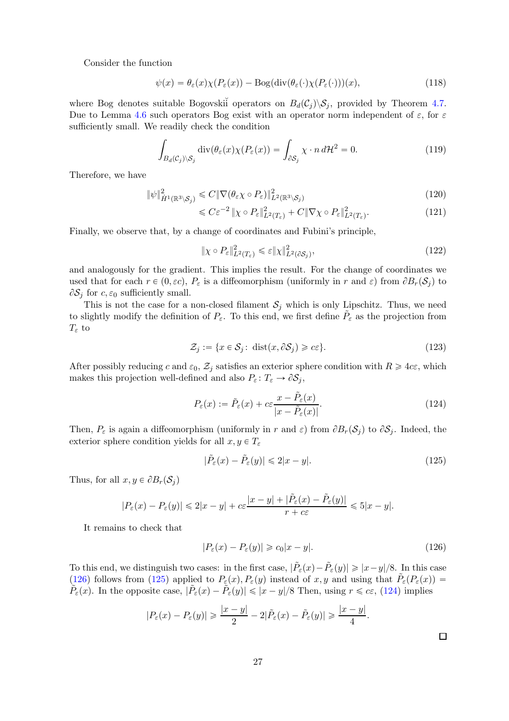Consider the function

$$
\psi(x) = \theta_{\varepsilon}(x)\chi(P_{\varepsilon}(x)) - \text{Bog}(\text{div}(\theta_{\varepsilon}(\cdot)\chi(P_{\varepsilon}(\cdot)))(x),\tag{118}
$$

where Bog denotes suitable Bogovskii operators on  $B_d(\mathcal{C}_i) \backslash \mathcal{S}_i$ , provided by Theorem [4.7.](#page-25-0) Due to Lemma [4.6](#page-23-3) such operators Bog exist with an operator norm independent of  $\varepsilon$ , for  $\varepsilon$ sufficiently small. We readily check the condition

$$
\int_{B_d(\mathcal{C}_j)\backslash\mathcal{S}_j} \operatorname{div}(\theta_{\varepsilon}(x)\chi(P_{\varepsilon}(x))) = \int_{\partial\mathcal{S}_j} \chi \cdot n \, d\mathcal{H}^2 = 0. \tag{119}
$$

Therefore, we have

$$
\|\psi\|_{\dot{H}^1(\mathbb{R}^3 \setminus \mathcal{S}_j)}^2 \leq C \|\nabla(\theta_\varepsilon \chi \circ P_\varepsilon)\|_{L^2(\mathbb{R}^3 \setminus \mathcal{S}_j)}^2 \tag{120}
$$

$$
\leqslant C\varepsilon^{-2} \|\chi \circ P_{\varepsilon}\|_{L^2(T_{\varepsilon})}^2 + C\|\nabla \chi \circ P_{\varepsilon}\|_{L^2(T_{\varepsilon})}^2. \tag{121}
$$

Finally, we observe that, by a change of coordinates and Fubini's principle,

$$
\|\chi \circ P_{\varepsilon}\|_{L^2(T_{\varepsilon})}^2 \leq \varepsilon \|\chi\|_{L^2(\partial S_j)}^2,
$$
\n(122)

and analogously for the gradient. This implies the result. For the change of coordinates we used that for each  $r \in (0, \varepsilon c)$ ,  $P_{\varepsilon}$  is a diffeomorphism (uniformly in r and  $\varepsilon$ ) from  $\partial B_r(\mathcal{S}_i)$  to  $\partial S_i$  for  $c, \varepsilon_0$  sufficiently small.

This is not the case for a non-closed filament  $S_j$  which is only Lipschitz. Thus, we need to slightly modify the definition of  $P_{\varepsilon}$ . To this end, we first define  $\tilde{P}_{\varepsilon}$  as the projection from  $T_{\varepsilon}$  to

$$
\mathcal{Z}_j := \{ x \in \mathcal{S}_j : \text{ dist}(x, \partial \mathcal{S}_j) \geq c\varepsilon \}. \tag{123}
$$

After possibly reducing c and  $\varepsilon_0$ ,  $\mathcal{Z}_j$  satisfies an exterior sphere condition with  $R \geq 4c\varepsilon$ , which makes this projection well-defined and also  $P_{\varepsilon} : T_{\varepsilon} \to \partial S_j$ ,

$$
P_{\varepsilon}(x) := \tilde{P}_{\varepsilon}(x) + c\varepsilon \frac{x - \tilde{P}_{\varepsilon}(x)}{|x - \tilde{P}_{\varepsilon}(x)|}.
$$
\n(124)

Then,  $P_{\varepsilon}$  is again a diffeomorphism (uniformly in r and  $\varepsilon$ ) from  $\partial B_r(\mathcal{S}_i)$  to  $\partial \mathcal{S}_i$ . Indeed, the exterior sphere condition yields for all  $x, y \in T_{\varepsilon}$ 

<span id="page-26-2"></span><span id="page-26-1"></span>
$$
|\tilde{P}_{\varepsilon}(x) - \tilde{P}_{\varepsilon}(y)| \leq 2|x - y|.
$$
\n(125)

Thus, for all  $x, y \in \partial B_r(\mathcal{S}_j)$ 

$$
|P_{\varepsilon}(x) - P_{\varepsilon}(y)| \leq 2|x - y| + c\varepsilon \frac{|x - y| + |\tilde{P}_{\varepsilon}(x) - \tilde{P}_{\varepsilon}(y)|}{r + c\varepsilon} \leq 5|x - y|.
$$

It remains to check that

<span id="page-26-0"></span>
$$
|P_{\varepsilon}(x) - P_{\varepsilon}(y)| \geq c_0 |x - y|.
$$
\n(126)

To this end, we distinguish two cases: in the first case,  $|\tilde{P}_{\varepsilon}(x) - \tilde{P}_{\varepsilon}(y)| \geq |x - y|/8$ . In this case [\(126\)](#page-26-0) follows from [\(125\)](#page-26-1) applied to  $P_{\varepsilon}(x), P_{\varepsilon}(y)$  instead of  $x, y$  and using that  $\tilde{P}_{\varepsilon}(P_{\varepsilon}(x)) =$  $\tilde{P}_{\varepsilon}(x)$ . In the opposite case,  $|\tilde{P}_{\varepsilon}(x) - \tilde{P}_{\varepsilon}(y)| \leq |x - y|/8$  Then, using  $r \leq c \varepsilon$ , [\(124\)](#page-26-2) implies

$$
|P_{\varepsilon}(x) - P_{\varepsilon}(y)| \geq \frac{|x - y|}{2} - 2|\tilde{P}_{\varepsilon}(x) - \tilde{P}_{\varepsilon}(y)| \geq \frac{|x - y|}{4}.
$$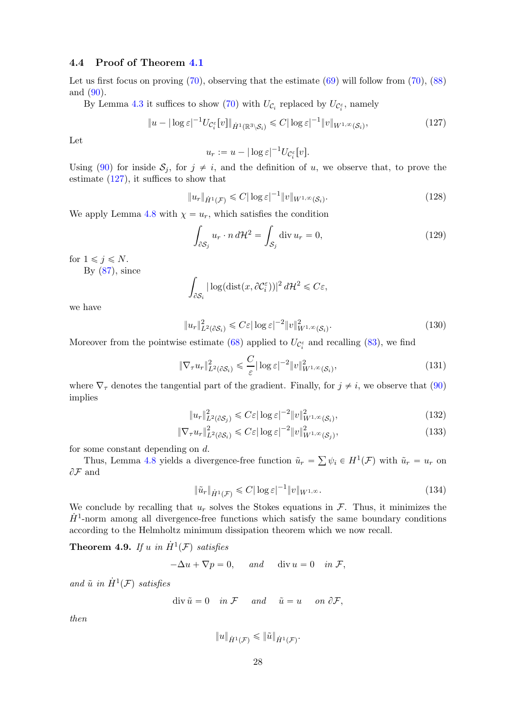### <span id="page-27-0"></span>4.4 Proof of Theorem [4.1](#page-18-0)

Let us first focus on proving  $(70)$ , observing that the estimate  $(69)$  will follow from  $(70)$ ,  $(88)$ and [\(90\)](#page-20-6).

By Lemma [4.3](#page-20-8) it suffices to show [\(70\)](#page-18-5) with  $U_{\mathcal{C}_i}$  replaced by  $U_{\mathcal{C}_i^{\varepsilon}}$ , namely

$$
||u - |\log \varepsilon|^{-1} U_{\mathcal{C}_i^{\varepsilon}}[v]||_{\dot{H}^1(\mathbb{R}^3 \setminus \mathcal{S}_i)} \leq C |\log \varepsilon|^{-1} ||v||_{W^{1,\infty}(\mathcal{S}_i)},
$$
\n(127)

Let

<span id="page-27-2"></span>
$$
u_r := u - |\log \varepsilon|^{-1} U_{\mathcal{C}_i^{\varepsilon}}[v].
$$

Using [\(90\)](#page-20-6) for inside  $S_j$ , for  $j \neq i$ , and the definition of u, we observe that, to prove the estimate  $(127)$ , it suffices to show that

$$
||u_r||_{\dot{H}^1(\mathcal{F})} \leq C|\log \varepsilon|^{-1}||v||_{W^{1,\infty}(\mathcal{S}_i)}.
$$
\n(128)

We apply Lemma [4.8](#page-25-1) with  $\chi = u_r$ , which satisfies the condition

$$
\int_{\partial S_j} u_r \cdot n \, d\mathcal{H}^2 = \int_{S_j} \text{div} \, u_r = 0,\tag{129}
$$

for  $1 \leq i \leq N$ .

By  $(87)$ , since

$$
\int_{\partial S_i} |\log(\text{dist}(x, \partial \mathcal{C}_i^{\varepsilon}))|^2 d\mathcal{H}^2 \leq C\varepsilon,
$$

we have

$$
||u_r||_{L^2(\partial S_i)}^2 \leqslant C\varepsilon |\log \varepsilon|^{-2} ||v||_{W^{1,\infty}(S_i)}^2.
$$
\n(130)

Moreover from the pointwise estimate [\(68\)](#page-17-4) applied to  $U_{\mathcal{C}_i^{\varepsilon}}$  and recalling [\(83\)](#page-19-1), we find

$$
\|\nabla_{\tau} u_r\|_{L^2(\partial \mathcal{S}_i)}^2 \leq \frac{C}{\varepsilon} |\log \varepsilon|^{-2} \|v\|_{W^{1,\infty}(\mathcal{S}_i)}^2,
$$
\n(131)

where  $\nabla_{\tau}$  denotes the tangential part of the gradient. Finally, for  $j \neq i$ , we observe that [\(90\)](#page-20-6) implies

$$
||u_r||_{L^2(\partial \mathcal{S}_j)}^2 \leqslant C\varepsilon |\log \varepsilon|^{-2} ||v||_{W^{1,\infty}(\mathcal{S}_i)}^2,
$$
\n(132)

$$
\|\nabla_{\tau}u_r\|_{L^2(\partial S_i)}^2 \leq C\varepsilon |\log \varepsilon|^{-2} \|v\|_{W^{1,\infty}(S_j)}^2,
$$
\n(133)

for some constant depending on d.

Thus, Lemma [4.8](#page-25-1) yields a divergence-free function  $\tilde{u}_r = \sum \psi_i \in H^1(\mathcal{F})$  with  $\tilde{u}_r = u_r$  on  $\partial\mathcal{F}$  and

$$
\|\tilde{u}_r\|_{\dot{H}^1(\mathcal{F})} \leq C |\log \varepsilon|^{-1} \|v\|_{W^{1,\infty}}.
$$
\n(134)

We conclude by recalling that  $u_r$  solves the Stokes equations in  $\mathcal{F}$ . Thus, it minimizes the  $H^1$ -norm among all divergence-free functions which satisfy the same boundary conditions according to the Helmholtz minimum dissipation theorem which we now recall.

<span id="page-27-1"></span>**Theorem 4.9.** If u in  $\dot{H}^1(\mathcal{F})$  satisfies

 $-\Delta u + \nabla p = 0$ , and div  $u = 0$  in F,

and  $\tilde{u}$  in  $\dot{H}^1(\mathcal{F})$  satisfies

$$
\operatorname{div} \tilde{u} = 0 \quad \text{in } \mathcal{F} \quad \text{and} \quad \tilde{u} = u \quad \text{on } \partial \mathcal{F},
$$

then

$$
||u||_{\dot{H}^{1}(\mathcal{F})} \leq ||\tilde{u}||_{\dot{H}^{1}(\mathcal{F})}.
$$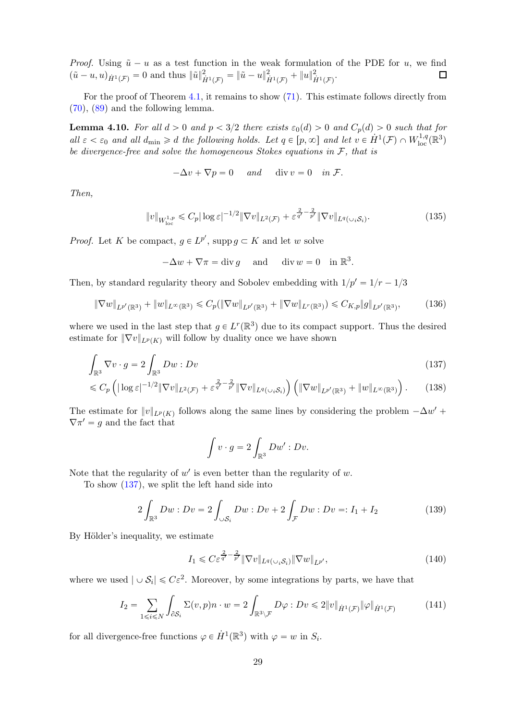*Proof.* Using  $\tilde{u} - u$  as a test function in the weak formulation of the PDE for u, we find  $(\tilde{u} - u, u)_{\tilde{u}^1(\mathcal{F})} = 0$  and thus  $\|\tilde{u}\|_{\tilde{u}^1(\mathcal{F})}^2 = \|\tilde{u} - u\|_{\tilde{u}^1(\mathcal{F})}^2 + \|u\|_{\tilde{u}^1(\mathcal{F})}^2$ .  $(\tilde{u}-u, u)_{\dot{H}^1(\mathcal{F})}=0$  and thus  $\|\tilde{u}\|^2_{\dot{H}^1(\mathcal{F})}=\|\tilde{u}-u\|^2_{\dot{H}^1(\mathcal{F})}+\|u\|^2_{\dot{H}^1(\mathcal{F})}.$ 

For the proof of Theorem [4.1,](#page-18-0) it remains to show [\(71\)](#page-18-2). This estimate follows directly from [\(70\)](#page-18-5), [\(89\)](#page-20-5) and the following lemma.

**Lemma 4.10.** For all  $d > 0$  and  $p < 3/2$  there exists  $\varepsilon_0(d) > 0$  and  $C_p(d) > 0$  such that for all  $\varepsilon < \varepsilon_0$  and all  $d_{\min} \ge d$  the following holds. Let  $q \in [p, \infty]$  and let  $v \in H^1(\mathcal{F}) \cap W^{1,q}_{loc}(\mathbb{R}^3)$ be divergence-free and solve the homogeneous Stokes equations in  $\mathcal{F}$ , that is

$$
-\Delta v + \nabla p = 0 \quad \text{and} \quad \text{div } v = 0 \quad \text{in } \mathcal{F}.
$$

Then,

$$
||v||_{W^{1,p}_{\text{loc}}} \leq C_p |\log \varepsilon|^{-1/2} \|\nabla v\|_{L^2(\mathcal{F})} + \varepsilon^{\frac{2}{q'} - \frac{2}{p'}} \|\nabla v\|_{L^q(\cup_i \mathcal{S}_i)}.
$$
\n(135)

*Proof.* Let K be compact,  $g \in L^{p'}$ , supp  $g \subset K$  and let w solve

$$
-\Delta w + \nabla \pi = \text{div}\,g \quad \text{and} \quad \text{div}\,w = 0 \quad \text{in }\mathbb{R}^3.
$$

Then, by standard regularity theory and Sobolev embedding with  $1/p' = 1/r - 1/3$ 

$$
\|\nabla w\|_{L^{p'}(\mathbb{R}^3)} + \|w\|_{L^{\infty}(\mathbb{R}^3)} \leq C_p (\|\nabla w\|_{L^{p'}(\mathbb{R}^3)} + \|\nabla w\|_{L^r(\mathbb{R}^3)}) \leq C_{K,p} \|g\|_{L^{p'}(\mathbb{R}^3)},
$$
(136)

where we used in the last step that  $g \in L^r(\mathbb{R}^3)$  due to its compact support. Thus the desired estimate for  $\|\nabla v\|_{L^p(K)}$  will follow by duality once we have shown

$$
\int_{\mathbb{R}^3} \nabla v \cdot g = 2 \int_{\mathbb{R}^3} Dw : Dv \tag{137}
$$

$$
\leqslant C_p \left( |\log \varepsilon|^{-1/2} \|\nabla v\|_{L^2(\mathcal{F})} + \varepsilon^{\frac{2}{q'} - \frac{2}{p'}} \|\nabla v\|_{L^q(\cup_i \mathcal{S}_i)} \right) \left( \|\nabla w\|_{L^{p'}(\mathbb{R}^3)} + \|w\|_{L^\infty(\mathbb{R}^3)} \right). \tag{138}
$$

The estimate for  $||v||_{L^p(K)}$  follows along the same lines by considering the problem  $-\Delta w'$  +  $\nabla \pi' = g$  and the fact that

<span id="page-28-0"></span>
$$
\int v \cdot g = 2 \int_{\mathbb{R}^3} Dw' : Dv.
$$

Note that the regularity of  $w'$  is even better than the regularity of  $w$ .

To show [\(137\)](#page-28-0), we split the left hand side into

$$
2\int_{\mathbb{R}^3} Dw : Dv = 2\int_{\cup S_i} Dw : Dv + 2\int_{\mathcal{F}} Dw : Dv =: I_1 + I_2
$$
 (139)

By Hölder's inequality, we estimate

$$
I_1 \leqslant C \varepsilon^{\frac{2}{q'} - \frac{2}{p'}} \|\nabla v\|_{L^q(\cup_i \mathcal{S}_i)} \|\nabla w\|_{L^{p'}},\tag{140}
$$

where we used  $|\cup S_i| \leq C\varepsilon^2$ . Moreover, by some integrations by parts, we have that

$$
I_2 = \sum_{1 \leq i \leq N} \int_{\partial S_i} \Sigma(v, p) n \cdot w = 2 \int_{\mathbb{R}^3 \setminus \mathcal{F}} D\varphi : Dv \leq 2 \|v\|_{\dot{H}^1(\mathcal{F})} \|\varphi\|_{\dot{H}^1(\mathcal{F})}
$$
(141)

for all divergence-free functions  $\varphi \in \dot{H}^1(\mathbb{R}^3)$  with  $\varphi = w$  in  $S_i$ .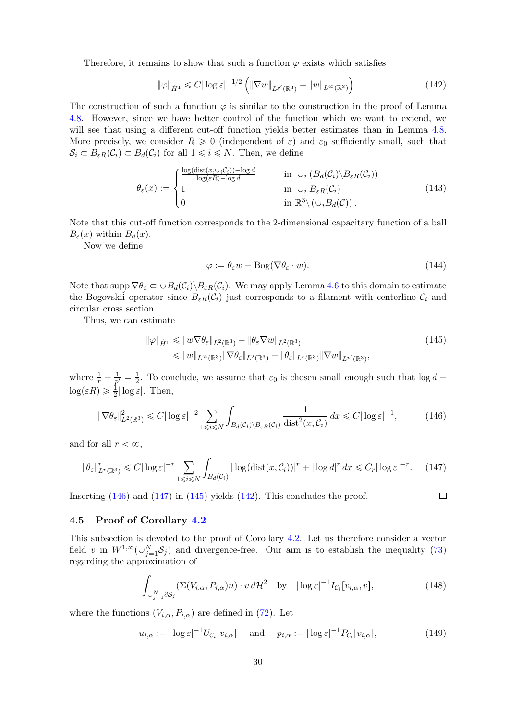Therefore, it remains to show that such a function  $\varphi$  exists which satisfies

<span id="page-29-4"></span>
$$
\|\varphi\|_{\dot{H}^1} \leq C |\log \varepsilon|^{-1/2} \left( \|\nabla w\|_{L^{p'}(\mathbb{R}^3)} + \|w\|_{L^{\infty}(\mathbb{R}^3)} \right). \tag{142}
$$

The construction of such a function  $\varphi$  is similar to the construction in the proof of Lemma [4.8.](#page-25-1) However, since we have better control of the function which we want to extend, we will see that using a different cut-off function yields better estimates than in Lemma [4.8.](#page-25-1) More precisely, we consider  $R \geq 0$  (independent of  $\varepsilon$ ) and  $\varepsilon_0$  sufficiently small, such that  $\mathcal{S}_i \subset B_{\varepsilon R}(\mathcal{C}_i) \subset B_d(\mathcal{C}_i)$  for all  $1 \leq i \leq N$ . Then, we define

$$
\theta_{\varepsilon}(x) := \begin{cases}\n\frac{\log(\text{dist}(x, \cup_{i} C_{i})) - \log d}{\log(\varepsilon R) - \log d} & \text{in } \cup_{i} (B_{d}(C_{i}) \setminus B_{\varepsilon R}(C_{i})) \\
1 & \text{in } \cup_{i} B_{\varepsilon R}(C_{i}) \\
0 & \text{in } \mathbb{R}^{3} \setminus (\cup_{i} B_{d}(C)).\n\end{cases}
$$
\n(143)

Note that this cut-off function corresponds to the 2-dimensional capacitary function of a ball  $B_{\varepsilon}(x)$  within  $B_{d}(x)$ .

Now we define

$$
\varphi := \theta_{\varepsilon} w - \text{Bog}(\nabla \theta_{\varepsilon} \cdot w). \tag{144}
$$

<span id="page-29-3"></span><span id="page-29-2"></span><span id="page-29-1"></span> $\Box$ 

Note that supp  $\nabla \theta_{\varepsilon} \subset \cup B_d(\mathcal{C}_i) \backslash B_{\varepsilon R}(\mathcal{C}_i)$ . We may apply Lemma [4.6](#page-23-3) to this domain to estimate the Bogovski<sup>i</sup> operator since  $B_{\varepsilon R}(\mathcal{C}_i)$  just corresponds to a filament with centerline  $\mathcal{C}_i$  and circular cross section.

Thus, we can estimate

$$
\|\varphi\|_{\dot{H}^1} \leq \|w\nabla\theta_{\varepsilon}\|_{L^2(\mathbb{R}^3)} + \|\theta_{\varepsilon}\nabla w\|_{L^2(\mathbb{R}^3)} \tag{145}
$$
  

$$
\leq \|w\|_{L^\infty(\mathbb{R}^3)} \|\nabla\theta_{\varepsilon}\|_{L^2(\mathbb{R}^3)} + \|\theta_{\varepsilon}\|_{L^r(\mathbb{R}^3)} \|\nabla w\|_{L^{p'}(\mathbb{R}^3)},
$$

where  $\frac{1}{r} + \frac{1}{p'}$  $\frac{1}{p'} = \frac{1}{2}$  $\frac{1}{2}$ . To conclude, we assume that  $\varepsilon_0$  is chosen small enough such that  $\log d$  –  $\log(\varepsilon R) \geq \frac{1}{2} |\log \varepsilon|$ . Then,

$$
\|\nabla \theta_{\varepsilon}\|_{L^{2}(\mathbb{R}^{3})}^{2} \leq C |\log \varepsilon|^{-2} \sum_{1 \leq i \leq N} \int_{B_{d}(\mathcal{C}_{i}) \setminus B_{\varepsilon R}(\mathcal{C}_{i})} \frac{1}{\text{dist}^{2}(x, \mathcal{C}_{i})} dx \leq C |\log \varepsilon|^{-1}, \quad (146)
$$

and for all  $r < \infty$ ,

$$
\|\theta_{\varepsilon}\|_{L^r(\mathbb{R}^3)}^r \leq C |\log \varepsilon|^{-r} \sum_{1 \leq i \leq N} \int_{B_d(\mathcal{C}_i)} |\log(\mathrm{dist}(x, \mathcal{C}_i))|^r + |\log d|^r \, dx \leq C_r |\log \varepsilon|^{-r}.\tag{147}
$$

Inserting  $(146)$  and  $(147)$  in  $(145)$  yields  $(142)$ . This concludes the proof.

#### <span id="page-29-0"></span>4.5 Proof of Corollary [4.2](#page-18-1)

This subsection is devoted to the proof of Corollary [4.2.](#page-18-1) Let us therefore consider a vector field v in  $W^{1,\infty}(\cup_{j=1}^N S_j)$  and divergence-free. Our aim is to establish the inequality [\(73\)](#page-18-4) regarding the approximation of

$$
\int_{\cup_{j=1}^{N} \partial S_j} (\Sigma(V_{i,\alpha}, P_{i,\alpha})n) \cdot v \, d\mathcal{H}^2 \quad \text{by} \quad |\log \varepsilon|^{-1} I_{\mathcal{C}_i}[v_{i,\alpha}, v], \tag{148}
$$

where the functions  $(V_{i,\alpha}, P_{i,\alpha})$  are defined in [\(72\)](#page-18-7). Let

$$
u_{i,\alpha} := |\log \varepsilon|^{-1} U_{\mathcal{C}_i}[v_{i,\alpha}] \quad \text{and} \quad p_{i,\alpha} := |\log \varepsilon|^{-1} P_{\mathcal{C}_i}[v_{i,\alpha}], \tag{149}
$$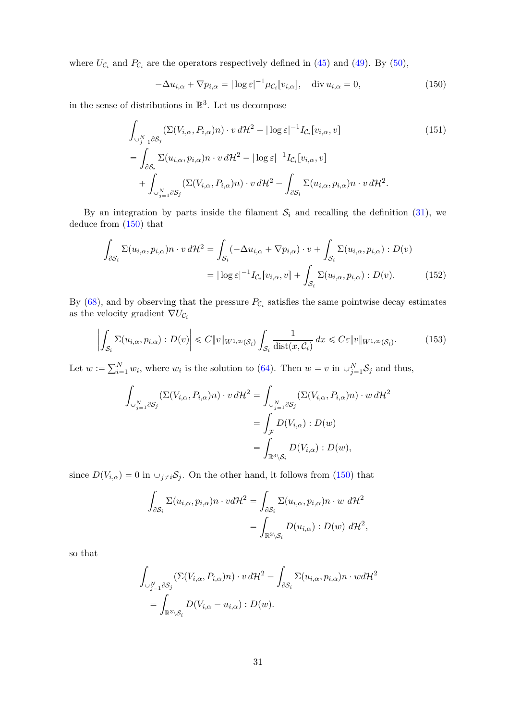where  $U_{\mathcal{C}_i}$  and  $P_{\mathcal{C}_i}$  are the operators respectively defined in [\(45\)](#page-9-5) and [\(49\)](#page-10-7). By [\(50\)](#page-10-8),

<span id="page-30-1"></span><span id="page-30-0"></span>
$$
-\Delta u_{i,\alpha} + \nabla p_{i,\alpha} = |\log \varepsilon|^{-1} \mu_{\mathcal{C}_i}[v_{i,\alpha}], \quad \text{div } u_{i,\alpha} = 0,
$$
\n(150)

in the sense of distributions in  $\mathbb{R}^3$ . Let us decompose

$$
\int_{\bigcup_{j=1}^{N} \partial S_{j}} (\Sigma(V_{i,\alpha}, P_{i,\alpha})n) \cdot v \, d\mathcal{H}^{2} - |\log \varepsilon|^{-1} I_{\mathcal{C}_{i}}[v_{i,\alpha}, v] \n= \int_{\partial S_{i}} \Sigma(u_{i,\alpha}, p_{i,\alpha})n \cdot v \, d\mathcal{H}^{2} - |\log \varepsilon|^{-1} I_{\mathcal{C}_{i}}[v_{i,\alpha}, v] \n+ \int_{\bigcup_{j=1}^{N} \partial S_{j}} (\Sigma(V_{i,\alpha}, P_{i,\alpha})n) \cdot v \, d\mathcal{H}^{2} - \int_{\partial S_{i}} \Sigma(u_{i,\alpha}, p_{i,\alpha})n \cdot v \, d\mathcal{H}^{2}.
$$
\n(151)

By an integration by parts inside the filament  $S_i$  and recalling the definition [\(31\)](#page-7-2), we deduce from [\(150\)](#page-30-0) that

$$
\int_{\partial S_i} \Sigma(u_{i,\alpha}, p_{i,\alpha}) n \cdot v \, d\mathcal{H}^2 = \int_{S_i} (-\Delta u_{i,\alpha} + \nabla p_{i,\alpha}) \cdot v + \int_{S_i} \Sigma(u_{i,\alpha}, p_{i,\alpha}) : D(v)
$$

$$
= |\log \varepsilon|^{-1} I_{\mathcal{C}_i}[v_{i,\alpha}, v] + \int_{S_i} \Sigma(u_{i,\alpha}, p_{i,\alpha}) : D(v). \tag{152}
$$

By  $(68)$ , and by observing that the pressure  $P_{\mathcal{C}_i}$  satisfies the same pointwise decay estimates as the velocity gradient  $\nabla U_{\mathcal{C}_i}$ 

$$
\left| \int_{\mathcal{S}_i} \Sigma(u_{i,\alpha}, p_{i,\alpha}) : D(v) \right| \leq C \|v\|_{W^{1,\infty}(\mathcal{S}_i)} \int_{\mathcal{S}_i} \frac{1}{\text{dist}(x, \mathcal{C}_i)} dx \leq C \varepsilon \|v\|_{W^{1,\infty}(\mathcal{S}_i)}.
$$
 (153)

Let  $w := \sum_{i=1}^{N} w_i$ , where  $w_i$  is the solution to [\(64\)](#page-17-1). Then  $w = v$  in  $\cup_{j=1}^{N} S_j$  and thus,

<span id="page-30-3"></span><span id="page-30-2"></span>
$$
\int_{\bigcup_{j=1}^{N} \partial S_{j}} (\Sigma(V_{i,\alpha}, P_{i,\alpha})n) \cdot v \, d\mathcal{H}^{2} = \int_{\bigcup_{j=1}^{N} \partial S_{j}} (\Sigma(V_{i,\alpha}, P_{i,\alpha})n) \cdot w \, d\mathcal{H}^{2}
$$
\n
$$
= \int_{\mathcal{F}} D(V_{i,\alpha}) : D(w)
$$
\n
$$
= \int_{\mathbb{R}^{3} \setminus S_{i}} D(V_{i,\alpha}) : D(w),
$$

since  $D(V_{i,\alpha}) = 0$  in  $\cup_{j\neq i} \mathcal{S}_j$ . On the other hand, it follows from [\(150\)](#page-30-0) that

$$
\int_{\partial S_i} \Sigma(u_{i,\alpha}, p_{i,\alpha}) n \cdot v d\mathcal{H}^2 = \int_{\partial S_i} \Sigma(u_{i,\alpha}, p_{i,\alpha}) n \cdot w \ d\mathcal{H}^2
$$

$$
= \int_{\mathbb{R}^3 \setminus S_i} D(u_{i,\alpha}) : D(w) \ d\mathcal{H}^2,
$$

so that

$$
\int_{\cup_{j=1}^{N} \partial S_{j}} (\Sigma(V_{i,\alpha}, P_{i,\alpha})n) \cdot v \, d\mathcal{H}^{2} - \int_{\partial S_{i}} \Sigma(u_{i,\alpha}, p_{i,\alpha})n \cdot w d\mathcal{H}^{2}
$$
\n
$$
= \int_{\mathbb{R}^{3} \setminus S_{i}} D(V_{i,\alpha} - u_{i,\alpha}) : D(w).
$$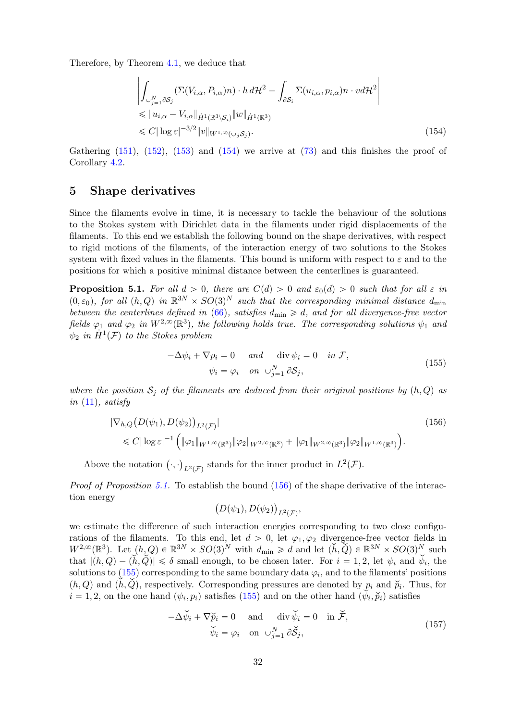Therefore, by Theorem [4.1,](#page-18-0) we deduce that

<span id="page-31-1"></span>
$$
\left| \int_{\cup_{j=1}^{N} \partial S_{j}} (\Sigma(V_{i,\alpha}, P_{i,\alpha})n) \cdot h \, d\mathcal{H}^{2} - \int_{\partial S_{i}} \Sigma(u_{i,\alpha}, p_{i,\alpha})n \cdot v d\mathcal{H}^{2} \right|
$$
  
\n
$$
\leq \|u_{i,\alpha} - V_{i,\alpha}\|_{\dot{H}^{1}(\mathbb{R}^{3}\setminus S_{i})} \|w\|_{\dot{H}^{1}(\mathbb{R}^{3})}
$$
  
\n
$$
\leq C |\log \varepsilon|^{-3/2} \|v\|_{W^{1,\infty}(\cup_{j} S_{j})}.
$$
\n(154)

Gathering  $(151)$ ,  $(152)$ ,  $(153)$  and  $(154)$  we arrive at  $(73)$  and this finishes the proof of Corollary [4.2.](#page-18-1)

## <span id="page-31-0"></span>5 Shape derivatives

Since the filaments evolve in time, it is necessary to tackle the behaviour of the solutions to the Stokes system with Dirichlet data in the filaments under rigid displacements of the filaments. To this end we establish the following bound on the shape derivatives, with respect to rigid motions of the filaments, of the interaction energy of two solutions to the Stokes system with fixed values in the filaments. This bound is uniform with respect to  $\varepsilon$  and to the positions for which a positive minimal distance between the centerlines is guaranteed.

<span id="page-31-2"></span>**Proposition 5.1.** For all  $d > 0$ , there are  $C(d) > 0$  and  $\varepsilon_0(d) > 0$  such that for all  $\varepsilon$  in  $(0, \varepsilon_0)$ , for all  $(h, Q)$  in  $\mathbb{R}^{3N} \times SO(3)^N$  such that the corresponding minimal distance  $d_{\min}$ between the centerlines defined in [\(66\)](#page-17-2), satisfies  $d_{\min} \ge d$ , and for all divergence-free vector fields  $\varphi_1$  and  $\varphi_2$  in  $W^{2,\infty}(\mathbb{R}^3)$ , the following holds true. The corresponding solutions  $\psi_1$  and  $\psi_2$  in  $\dot{H}^1(\mathcal{F})$  to the Stokes problem

<span id="page-31-4"></span>
$$
-\Delta \psi_i + \nabla p_i = 0 \quad and \quad \text{div } \psi_i = 0 \quad in \ \mathcal{F},
$$
  

$$
\psi_i = \varphi_i \quad on \ \cup_{j=1}^N \partial S_j,
$$
 (155)

where the position  $S_j$  of the filaments are deduced from their original positions by  $(h, Q)$  as in  $(11)$ , satisfy

$$
|\nabla_{h,Q}\big(D(\psi_1), D(\psi_2)\big)_{L^2(\mathcal{F})}|\n\leq C|\log \varepsilon|^{-1}\Big(\|\varphi_1\|_{W^{1,\infty}(\mathbb{R}^3)}\|\varphi_2\|_{W^{2,\infty}(\mathbb{R}^3)} + \|\varphi_1\|_{W^{2,\infty}(\mathbb{R}^3)}\|\varphi_2\|_{W^{1,\infty}(\mathbb{R}^3)}\Big).
$$
\n(156)

Above the notation  $\left(\cdot,\cdot\right)_{L^2(\mathcal{F})}$  stands for the inner product in  $L^2(\mathcal{F})$ .

Proof of Proposition [5.1.](#page-31-2) To establish the bound  $(156)$  of the shape derivative of the interaction energy

<span id="page-31-5"></span><span id="page-31-3"></span>
$$
(D(\psi_1), D(\psi_2))_{L^2(\mathcal{F})},
$$

we estimate the difference of such interaction energies corresponding to two close configurations of the filaments. To this end, let  $d > 0$ , let  $\varphi_1, \varphi_2$  divergence-free vector fields in  $W^{2,\infty}(\mathbb{R}^3)$ . Let  $(h, Q) \in \mathbb{R}^{3N} \times SO(3)^N$  with  $d_{\min} \geq d$  and let  $(h, \check{Q}) \in \mathbb{R}^{3N} \times SO(3)^N$  such that  $|(h, Q) - (h, Q)| \le \delta$  small enough, to be chosen later. For  $i = 1, 2$ , let  $\psi_i$  and  $\psi_i$ , the solutions to  $(155)$  corresponding to the same boundary data  $\varphi_i$ , and to the filaments' positions  $p_i$  and  $p_i$ ,  $Q$ ), respectively. Corresponding pressures are denoted by  $p_i$  and  $\tilde{p}_i$ . Thus, for  $i = 1, 2$ , on the one hand  $(\psi_i, p_i)$  satisfies [\(155\)](#page-31-4) and on the other hand  $(\psi_i, \check{p}_i)$  satisfies

$$
-\Delta \check{\psi}_i + \nabla \check{p}_i = 0 \quad \text{and} \quad \text{div } \check{\psi}_i = 0 \quad \text{in } \check{\mathcal{F}},
$$
  

$$
\check{\psi}_i = \varphi_i \quad \text{on } \cup_{j=1}^N \partial \check{\mathcal{S}}_j,
$$
 (157)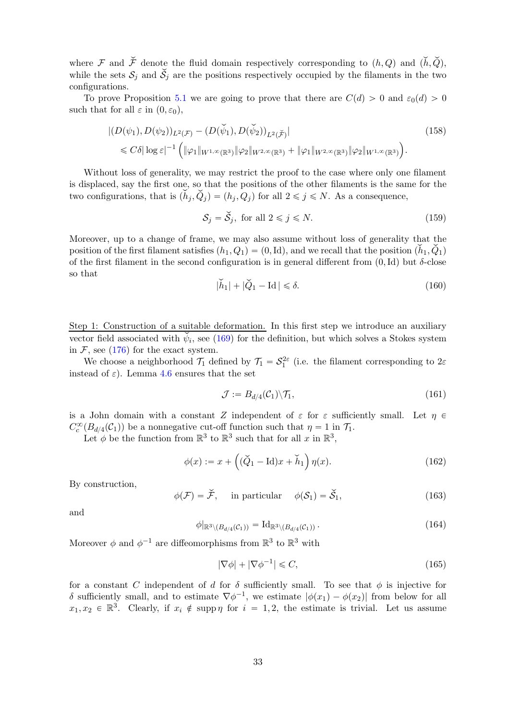where F and  $\tilde{\mathcal{F}}$  denote the fluid domain respectively corresponding to  $(h, Q)$  and  $(\dot{h}, \dot{Q})$ , while the sets  $S_j$  and  $\dot{S}_j$  are the positions respectively occupied by the filaments in the two configurations.

To prove Proposition [5.1](#page-31-2) we are going to prove that there are  $C(d) > 0$  and  $\varepsilon_0(d) > 0$ such that for all  $\varepsilon$  in  $(0, \varepsilon_0)$ ,

$$
|(D(\psi_1), D(\psi_2))_{L^2(\mathcal{F})} - (D(\check{\psi}_1), D(\check{\psi}_2))_{L^2(\check{\mathcal{F}})}|
$$
\n
$$
\leq C\delta |\log \varepsilon|^{-1} \left( \|\varphi_1\|_{W^{1,\infty}(\mathbb{R}^3)} \|\varphi_2\|_{W^{2,\infty}(\mathbb{R}^3)} + \|\varphi_1\|_{W^{2,\infty}(\mathbb{R}^3)} \|\varphi_2\|_{W^{1,\infty}(\mathbb{R}^3)} \right).
$$
\n(158)

Without loss of generality, we may restrict the proof to the case where only one filament is displaced, say the first one, so that the positions of the other filaments is the same for the two configurations, that is  $(\check{h}_i, \check{Q}_j) = (h_j, Q_j)$  for all  $2 \leq j \leq N$ . As a consequence,

<span id="page-32-7"></span><span id="page-32-6"></span>
$$
\mathcal{S}_j = \check{\mathcal{S}}_j, \text{ for all } 2 \le j \le N. \tag{159}
$$

Moreover, up to a change of frame, we may also assume without loss of generality that the position of the first filament satisfies  $(h_1, Q_1) = (0, Id)$ , and we recall that the position  $(h_1, Q_1)$ of the first filament in the second configuration is in general different from  $(0,Id)$  but  $\delta$ -close so that

<span id="page-32-1"></span>
$$
|\check{h}_1| + |\check{Q}_1 - \text{Id}| \le \delta. \tag{160}
$$

Step 1: Construction of a suitable deformation. In this first step we introduce an auxiliary vector field associated with  $\psi_i$ , see [\(169\)](#page-33-0) for the definition, but which solves a Stokes system in  $\mathcal{F}$ , see [\(176\)](#page-34-0) for the exact system.

We choose a neighborhood  $\mathcal{T}_1$  defined by  $\mathcal{T}_1 = \mathcal{S}_1^{2\varepsilon}$  (i.e. the filament corresponding to  $2\varepsilon$ instead of  $\varepsilon$ ). Lemma [4.6](#page-23-3) ensures that the set

<span id="page-32-2"></span>
$$
\mathcal{J} := B_{d/4}(\mathcal{C}_1) \backslash \mathcal{T}_1,\tag{161}
$$

is a John domain with a constant Z independent of  $\varepsilon$  for  $\varepsilon$  sufficiently small. Let  $\eta \in$  $C_c^{\infty}(B_{d/4}(\mathcal{C}_1))$  be a nonnegative cut-off function such that  $\eta = 1$  in  $\mathcal{T}_1$ .

Let  $\phi$  be the function from  $\mathbb{R}^3$  to  $\mathbb{R}^3$  such that for all x in  $\mathbb{R}^3$ ,

<span id="page-32-0"></span>
$$
\phi(x) := x + \left( (\check{Q}_1 - \text{Id})x + \check{h}_1 \right) \eta(x). \tag{162}
$$

By construction,

<span id="page-32-3"></span>
$$
\phi(\mathcal{F}) = \check{\mathcal{F}}, \quad \text{in particular} \quad \phi(\mathcal{S}_1) = \check{\mathcal{S}}_1,\tag{163}
$$

and

<span id="page-32-5"></span>
$$
\phi|_{\mathbb{R}^3 \setminus (B_{d/4}(\mathcal{C}_1))} = \mathrm{Id}_{\mathbb{R}^3 \setminus (B_{d/4}(\mathcal{C}_1))} . \tag{164}
$$

Moreover  $\phi$  and  $\phi^{-1}$  are diffeomorphisms from  $\mathbb{R}^3$  to  $\mathbb{R}^3$  with

<span id="page-32-4"></span>
$$
|\nabla \phi| + |\nabla \phi^{-1}| \leq C,\tag{165}
$$

for a constant C independent of d for  $\delta$  sufficiently small. To see that  $\phi$  is injective for δ sufficiently small, and to estimate  $\nabla \phi^{-1}$ , we estimate  $|\phi(x_1) - \phi(x_2)|$  from below for all  $x_1, x_2 \in \mathbb{R}^3$ . Clearly, if  $x_i \notin \text{supp } \eta$  for  $i = 1, 2$ , the estimate is trivial. Let us assume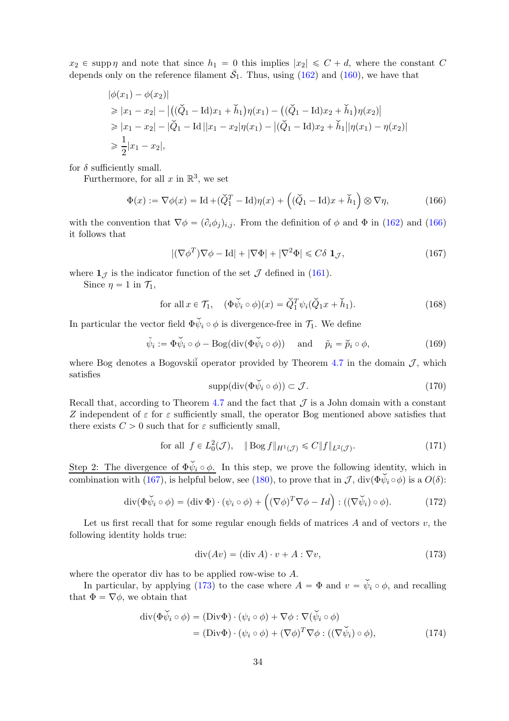$x_2 \in \text{supp } \eta$  and note that since  $h_1 = 0$  this implies  $|x_2| \leq C + d$ , where the constant C depends only on the reference filament  $\bar{S}_1$ . Thus, using [\(162\)](#page-32-0) and [\(160\)](#page-32-1), we have that

$$
|\phi(x_1) - \phi(x_2)|
$$
  
\n
$$
\geq |x_1 - x_2| - |((\check{Q}_1 - \text{Id})x_1 + \check{h}_1)\eta(x_1) - ((\check{Q}_1 - \text{Id})x_2 + \check{h}_1)\eta(x_2)|
$$
  
\n
$$
\geq |x_1 - x_2| - |\check{Q}_1 - \text{Id}||x_1 - x_2|\eta(x_1) - |(\check{Q}_1 - \text{Id})x_2 + \check{h}_1||\eta(x_1) - \eta(x_2)|
$$
  
\n
$$
\geq \frac{1}{2}|x_1 - x_2|,
$$

for  $\delta$  sufficiently small.

Furthermore, for all  $x$  in  $\mathbb{R}^3$ , we set

<span id="page-33-1"></span>
$$
\Phi(x) := \nabla \phi(x) = \text{Id} + (\check{Q}_1^T - \text{Id})\eta(x) + ((\check{Q}_1 - \text{Id})x + \check{h}_1) \otimes \nabla \eta,
$$
\n(166)

with the convention that  $\nabla \phi = (\partial_i \phi_j)_{i,j}$ . From the definition of  $\phi$  and  $\Phi$  in [\(162\)](#page-32-0) and [\(166\)](#page-33-1) it follows that

<span id="page-33-2"></span>
$$
|(\nabla \phi^T) \nabla \phi - \text{Id}| + |\nabla \Phi| + |\nabla^2 \Phi| \le C\delta \mathbf{1}_{\mathcal{J}},\tag{167}
$$

where  $\mathbf{1}_{\mathcal{J}}$  is the indicator function of the set  $\mathcal{J}$  defined in [\(161\)](#page-32-2).

Since  $\eta = 1$  in  $\mathcal{T}_1$ ,

for all 
$$
x \in \mathcal{T}_1
$$
,  $(\Phi \check{\psi}_i \circ \phi)(x) = \check{Q}_1^T \psi_i(\check{Q}_1 x + \check{h}_1)$ . (168)

In particular the vector field  $\Phi \psi_i \circ \phi$  is divergence-free in  $\mathcal{T}_1$ . We define

<span id="page-33-0"></span>
$$
\tilde{\psi}_i := \Phi \check{\psi}_i \circ \phi - \text{Bog}(\text{div}(\Phi \check{\psi}_i \circ \phi)) \quad \text{and} \quad \tilde{p}_i = \tilde{p}_i \circ \phi,
$$
\n(169)

where Bog denotes a Bogovski<sup>i</sup> operator provided by Theorem [4.7](#page-25-0) in the domain  $\mathcal{J}$ , which satisfies

<span id="page-33-6"></span>
$$
supp(\text{div}(\Phi\check{\psi}_i\circ\phi))\subset\mathcal{J}.\tag{170}
$$

Recall that, according to Theorem [4.7](#page-25-0) and the fact that  $\mathcal J$  is a John domain with a constant Z independent of  $\varepsilon$  for  $\varepsilon$  sufficiently small, the operator Bog mentioned above satisfies that there exists  $C > 0$  such that for  $\varepsilon$  sufficiently small,

$$
\text{for all } f \in L_0^2(\mathcal{J}), \quad \|\operatorname{Bog} f\|_{H^1(\mathcal{J})} \leq C \|f\|_{L^2(\mathcal{J})}.\tag{171}
$$

Step 2: The divergence of  $\Phi \psi_i \circ \phi$ . In this step, we prove the following identity, which in combination with [\(167\)](#page-33-2), is helpful below, see [\(180\)](#page-34-1), to prove that in  $\mathcal{J}$ , div $(\Phi \check{\psi}_i \circ \phi)$  is a  $O(\delta)$ :

$$
\operatorname{div}(\Phi \check{\psi}_i \circ \phi) = (\operatorname{div} \Phi) \cdot (\psi_i \circ \phi) + ((\nabla \phi)^T \nabla \phi - Id) : ((\nabla \check{\psi}_i) \circ \phi).
$$
 (172)

Let us first recall that for some regular enough fields of matrices  $A$  and of vectors  $v$ , the following identity holds true:

<span id="page-33-5"></span><span id="page-33-4"></span><span id="page-33-3"></span>
$$
\operatorname{div}(Av) = (\operatorname{div} A) \cdot v + A : \nabla v,\tag{173}
$$

where the operator div has to be applied row-wise to A.

In particular, by applying [\(173\)](#page-33-3) to the case where  $A = \Phi$  and  $v = \psi_i \circ \phi$ , and recalling that  $\Phi = \nabla \phi$ , we obtain that

$$
\operatorname{div}(\Phi \check{\psi}_i \circ \phi) = (\operatorname{Div}\Phi) \cdot (\psi_i \circ \phi) + \nabla \phi : \nabla(\check{\psi}_i \circ \phi)
$$
  
=  $(\operatorname{Div}\Phi) \cdot (\psi_i \circ \phi) + (\nabla \phi)^T \nabla \phi : ((\nabla \check{\psi}_i) \circ \phi),$  (174)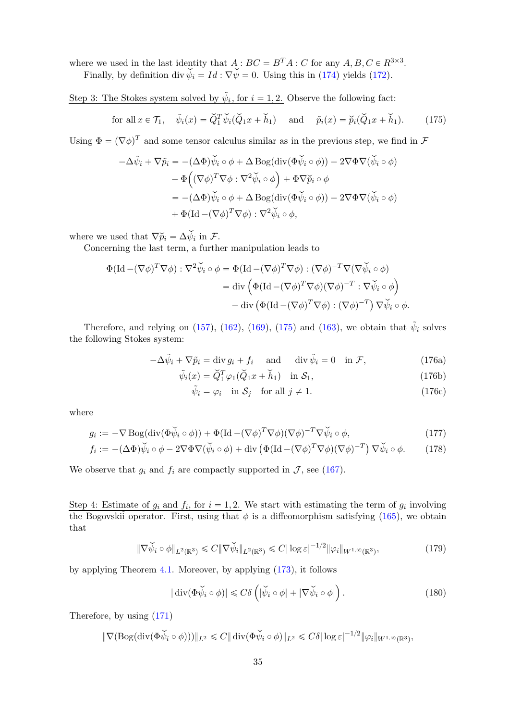where we used in the last identity that  $A : BC = B<sup>T</sup>A : C$  for any  $A, B, C \in R^{3 \times 3}$ .

Finally, by definition div  $\dot{\psi}_i = Id : \nabla \dot{\psi} = 0$ . Using this in [\(174\)](#page-33-4) yields [\(172\)](#page-33-5).

Step 3: The Stokes system solved by  $\tilde{\psi}_i$ , for  $i = 1, 2$ . Observe the following fact:

<span id="page-34-2"></span>for all 
$$
x \in \mathcal{T}_1
$$
,  $\tilde{\psi}_i(x) = \tilde{Q}_1^T \tilde{\psi}_i(\tilde{Q}_1 x + \tilde{h}_1)$  and  $\tilde{p}_i(x) = \tilde{p}_i(\tilde{Q}_1 x + \tilde{h}_1)$ . (175)

Using  $\Phi = (\nabla \phi)^T$  and some tensor calculus similar as in the previous step, we find in F

$$
-\Delta \tilde{\psi}_i + \nabla \tilde{p}_i = -(\Delta \Phi) \tilde{\psi}_i \circ \phi + \Delta \operatorname{Bog}(\operatorname{div}(\Phi \tilde{\psi}_i \circ \phi)) - 2 \nabla \Phi \nabla (\tilde{\psi}_i \circ \phi)
$$
  

$$
- \Phi \left( (\nabla \phi)^T \nabla \phi : \nabla^2 \tilde{\psi}_i \circ \phi \right) + \Phi \nabla \tilde{p}_i \circ \phi
$$
  

$$
= -(\Delta \Phi) \tilde{\psi}_i \circ \phi + \Delta \operatorname{Bog}(\operatorname{div}(\Phi \tilde{\psi}_i \circ \phi)) - 2 \nabla \Phi \nabla (\tilde{\psi}_i \circ \phi)
$$
  

$$
+ \Phi (\operatorname{Id} - (\nabla \phi)^T \nabla \phi) : \nabla^2 \tilde{\psi}_i \circ \phi,
$$

where we used that  $\nabla \widetilde{p}_i = \Delta \psi_i$  in  $\mathcal{F}$ .

Concerning the last term, a further manipulation leads to

$$
\Phi(\mathrm{Id} - (\nabla \phi)^T \nabla \phi) : \nabla^2 \widetilde{\psi}_i \circ \phi = \Phi(\mathrm{Id} - (\nabla \phi)^T \nabla \phi) : (\nabla \phi)^{-T} \nabla (\nabla \widetilde{\psi}_i \circ \phi)
$$
  
\n
$$
= \mathrm{div} \left( \Phi(\mathrm{Id} - (\nabla \phi)^T \nabla \phi)(\nabla \phi)^{-T} : \nabla \widetilde{\psi}_i \circ \phi \right)
$$
  
\n
$$
- \mathrm{div} \left( \Phi(\mathrm{Id} - (\nabla \phi)^T \nabla \phi) : (\nabla \phi)^{-T} \right) \nabla \widetilde{\psi}_i \circ \phi.
$$

Therefore, and relying on [\(157\)](#page-31-5), [\(162\)](#page-32-0), [\(169\)](#page-33-0), [\(175\)](#page-34-2) and [\(163\)](#page-32-3), we obtain that  $\tilde{\psi}_i$  solves the following Stokes system:

$$
-\Delta \tilde{\psi}_i + \nabla \tilde{p}_i = \text{div } g_i + f_i \quad \text{ and } \quad \text{div } \tilde{\psi}_i = 0 \quad \text{in } \mathcal{F}, \tag{176a}
$$

<span id="page-34-0"></span>
$$
\tilde{\psi}_i(x) = \tilde{Q}_1^T \varphi_1(\tilde{Q}_1 x + \tilde{h}_1) \quad \text{in } \mathcal{S}_1,\tag{176b}
$$

<span id="page-34-5"></span><span id="page-34-4"></span>
$$
\tilde{\psi}_i = \varphi_i \quad \text{in } \mathcal{S}_j \quad \text{for all } j \neq 1. \tag{176c}
$$

where

$$
g_i := -\nabla \operatorname{Bog}(\operatorname{div}(\Phi \check{\psi}_i \circ \phi)) + \Phi(\operatorname{Id} - (\nabla \phi)^T \nabla \phi)(\nabla \phi)^{-T} \nabla \check{\psi}_i \circ \phi,
$$
(177)

$$
f_i := -(\Delta \Phi) \check{\psi}_i \circ \phi - 2 \nabla \Phi \nabla (\check{\psi}_i \circ \phi) + \text{div} \left( \Phi (\text{Id} - (\nabla \phi)^T \nabla \phi) (\nabla \phi)^{-T} \right) \nabla \check{\psi}_i \circ \phi. \tag{178}
$$

We observe that  $g_i$  and  $f_i$  are compactly supported in  $\mathcal{J}$ , see [\(167\)](#page-33-2).

Step 4: Estimate of  $g_i$  and  $f_i$ , for  $i = 1, 2$ . We start with estimating the term of  $g_i$  involving the Bogovskiĭ operator. First, using that  $\phi$  is a diffeomorphism satisfying [\(165\)](#page-32-4), we obtain that

$$
\|\nabla \check{\psi}_i \circ \phi\|_{L^2(\mathbb{R}^3)} \leq C \|\nabla \check{\psi}_i\|_{L^2(\mathbb{R}^3)} \leq C |\log \varepsilon|^{-1/2} \|\varphi_i\|_{W^{1,\infty}(\mathbb{R}^3)},\tag{179}
$$

by applying Theorem [4.1.](#page-18-0) Moreover, by applying [\(173\)](#page-33-3), it follows

<span id="page-34-3"></span><span id="page-34-1"></span>
$$
|\operatorname{div}(\Phi\check{\psi}_i \circ \phi)| \leq C\delta \left( |\check{\psi}_i \circ \phi| + |\nabla \check{\psi}_i \circ \phi| \right). \tag{180}
$$

Therefore, by using [\(171\)](#page-33-6)

$$
\|\nabla(\mathrm{Bog}(\mathrm{div}(\Phi\check{\psi_i}\circ\phi)))\|_{L^2}\leqslant C\|\mathrm{div}(\Phi\check{\psi_i}\circ\phi)\|_{L^2}\leqslant C\delta|\log\epsilon|^{-1/2}\|\varphi_i\|_{W^{1,\infty}(\mathbb{R}^3)},
$$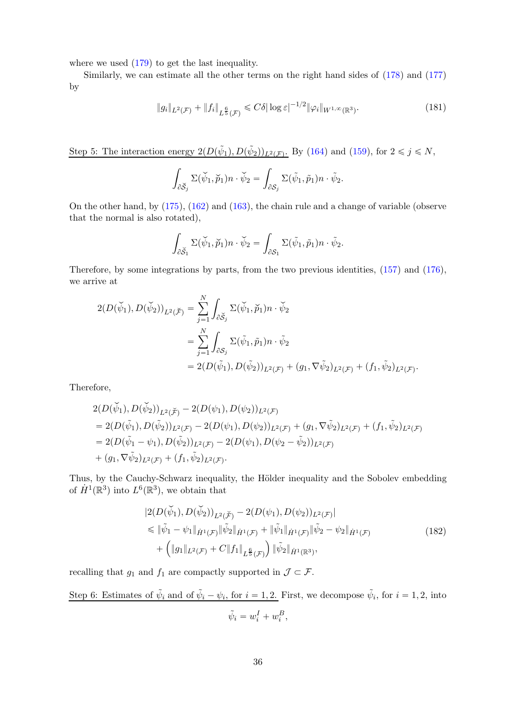where we used [\(179\)](#page-34-3) to get the last inequality.

Similarly, we can estimate all the other terms on the right hand sides of [\(178\)](#page-34-4) and [\(177\)](#page-34-5) by

$$
\|g_i\|_{L^2(\mathcal{F})} + \|f_i\|_{L^{\frac{6}{5}}(\mathcal{F})} \leq C\delta |\log \varepsilon|^{-1/2} \|\varphi_i\|_{W^{1,\infty}(\mathbb{R}^3)}.
$$
\n(181)

Step 5: The interaction energy  $2(D(\tilde{\psi}_1), D(\tilde{\psi}_2))_{L^2(\mathcal{F})}$ . By [\(164\)](#page-32-5) and [\(159\)](#page-32-6), for  $2 \leq j \leq N$ ,

<span id="page-35-1"></span>
$$
\int_{\partial \check{S}_j} \Sigma(\check{\psi}_1, \check{p}_1) n \cdot \check{\psi}_2 = \int_{\partial S_j} \Sigma(\check{\psi}_1, \tilde{p}_1) n \cdot \check{\psi}_2.
$$

On the other hand, by [\(175\)](#page-34-2), [\(162\)](#page-32-0) and [\(163\)](#page-32-3), the chain rule and a change of variable (observe that the normal is also rotated),

$$
\int_{\partial \check{S}_1} \Sigma(\check{\psi}_1, \check{p}_1) n \cdot \check{\psi}_2 = \int_{\partial S_1} \Sigma(\check{\psi}_1, \tilde{p}_1) n \cdot \check{\psi}_2.
$$

Therefore, by some integrations by parts, from the two previous identities, [\(157\)](#page-31-5) and [\(176\)](#page-34-0), we arrive at

$$
2(D(\breve{\psi}_1), D(\breve{\psi}_2))_{L^2(\breve{\mathcal{F}})} = \sum_{j=1}^N \int_{\partial \breve{S}_j} \Sigma(\breve{\psi}_1, \breve{p}_1) n \cdot \breve{\psi}_2
$$
  
= 
$$
\sum_{j=1}^N \int_{\partial S_j} \Sigma(\tilde{\psi}_1, \tilde{p}_1) n \cdot \tilde{\psi}_2
$$
  
= 
$$
2(D(\tilde{\psi}_1), D(\tilde{\psi}_2))_{L^2(\mathcal{F})} + (g_1, \nabla \tilde{\psi}_2)_{L^2(\mathcal{F})} + (f_1, \tilde{\psi}_2)_{L^2(\mathcal{F})}.
$$

Therefore,

$$
2(D(\check{\psi}_1), D(\check{\psi}_2))_{L^2(\check{\mathcal{F}})} - 2(D(\psi_1), D(\psi_2))_{L^2(\mathcal{F})}
$$
  
=  $2(D(\tilde{\psi}_1), D(\tilde{\psi}_2))_{L^2(\mathcal{F})} - 2(D(\psi_1), D(\psi_2))_{L^2(\mathcal{F})} + (g_1, \nabla \tilde{\psi}_2)_{L^2(\mathcal{F})} + (f_1, \tilde{\psi}_2)_{L^2(\mathcal{F})}$   
=  $2(D(\tilde{\psi}_1 - \psi_1), D(\tilde{\psi}_2))_{L^2(\mathcal{F})} - 2(D(\psi_1), D(\psi_2 - \tilde{\psi}_2))_{L^2(\mathcal{F})}$   
+  $(g_1, \nabla \tilde{\psi}_2)_{L^2(\mathcal{F})} + (f_1, \tilde{\psi}_2)_{L^2(\mathcal{F})}$ .

Thus, by the Cauchy-Schwarz inequality, the Hölder inequality and the Sobolev embedding of  $\hat{H}^1(\mathbb{R}^3)$  into  $L^6(\mathbb{R}^3)$ , we obtain that

<span id="page-35-0"></span>
$$
|2(D(\widetilde{\psi}_1), D(\widetilde{\psi}_2))_{L^2(\widetilde{\mathcal{F}})} - 2(D(\psi_1), D(\psi_2))_{L^2(\mathcal{F})}|
$$
  
\$\leqslant \|\widetilde{\psi}\_1 - \psi\_1\|\_{\dot{H}^1(\mathcal{F})} \|\widetilde{\psi}\_2\|\_{\dot{H}^1(\mathcal{F})} + \|\widetilde{\psi}\_1\|\_{\dot{H}^1(\mathcal{F})} \|\widetilde{\psi}\_2 - \psi\_2\|\_{\dot{H}^1(\mathcal{F})}\n+ \left( \|g\_1\|\_{L^2(\mathcal{F})} + C \|f\_1\|\_{L^{\frac{6}{5}}(\mathcal{F})} \right) \|\widetilde{\psi}\_2\|\_{\dot{H}^1(\mathbb{R}^3)}, \tag{182}

recalling that  $g_1$  and  $f_1$  are compactly supported in  $\mathcal{J} \subset \mathcal{F}$ .

Step 6: Estimates of  $\tilde{\psi}_i$  and of  $\tilde{\psi}_i - \psi_i$ , for  $i = 1, 2$ . First, we decompose  $\tilde{\psi}_i$ , for  $i = 1, 2$ , into  $\tilde{\psi}_i = w_i^I + w_i^B,$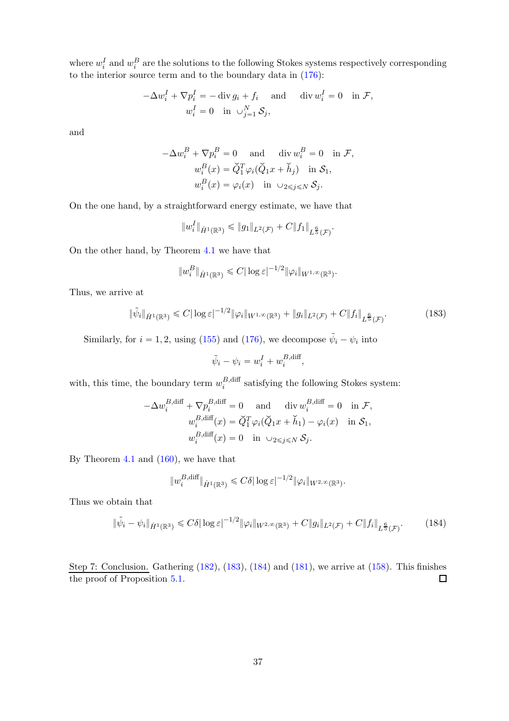where  $w_i^I$  and  $w_i^B$  are the solutions to the following Stokes systems respectively corresponding to the interior source term and to the boundary data in [\(176\)](#page-34-0):

$$
-\Delta w_i^I + \nabla p_i^I = -\operatorname{div} g_i + f_i \quad \text{and} \quad \operatorname{div} w_i^I = 0 \quad \text{in } \mathcal{F},
$$

$$
w_i^I = 0 \quad \text{in } \cup_{j=1}^N \mathcal{S}_j,
$$

and

$$
-\Delta w_i^B + \nabla p_i^B = 0 \quad \text{and} \quad \text{div } w_i^B = 0 \quad \text{in } \mathcal{F},
$$

$$
w_i^B(x) = \check{Q}_1^T \varphi_i (\check{Q}_1 x + \check{h}_j) \quad \text{in } \mathcal{S}_1,
$$

$$
w_i^B(x) = \varphi_i(x) \quad \text{in } \cup_{2 \le j \le N} \mathcal{S}_j.
$$

On the one hand, by a straightforward energy estimate, we have that

$$
||w_i^I||_{\dot{H}^1(\mathbb{R}^3)} \leq ||g_1||_{L^2(\mathcal{F})} + C||f_1||_{L^{\frac{6}{5}}(\mathcal{F})}.
$$

On the other hand, by Theorem [4.1](#page-18-0) we have that

$$
||w_i^B||_{\dot{H}^1(\mathbb{R}^3)} \leq C |\log \varepsilon|^{-1/2} ||\varphi_i||_{W^{1,\infty}(\mathbb{R}^3)}.
$$

Thus, we arrive at

$$
\|\tilde{\psi}_i\|_{\dot{H}^1(\mathbb{R}^3)} \leq C |\log \varepsilon|^{-1/2} \|\varphi_i\|_{W^{1,\infty}(\mathbb{R}^3)} + \|g_i\|_{L^2(\mathcal{F})} + C \|f_i\|_{L^{\frac{6}{5}}(\mathcal{F})}. \tag{183}
$$

Similarly, for  $i = 1, 2$ , using [\(155\)](#page-31-4) and [\(176\)](#page-34-0), we decompose  $\tilde{\psi}_i - \psi_i$  into

<span id="page-36-0"></span>
$$
\tilde{\psi}_i - \psi_i = w_i^I + w_i^{B, \text{diff}},
$$

with, this time, the boundary term  $w_i^{B,\text{diff}}$  $i<sup>B, dml</sup>$  satisfying the following Stokes system:

$$
-\Delta w_i^{B,\text{diff}} + \nabla p_i^{B,\text{diff}} = 0 \quad \text{and} \quad \text{div } w_i^{B,\text{diff}} = 0 \quad \text{in } \mathcal{F},
$$
  

$$
w_i^{B,\text{diff}}(x) = \check{Q}_1^T \varphi_i(\check{Q}_1 x + \check{h}_1) - \varphi_i(x) \quad \text{in } \mathcal{S}_1,
$$
  

$$
w_i^{B,\text{diff}}(x) = 0 \quad \text{in } \cup_{2 \le j \le N} \mathcal{S}_j.
$$

By Theorem [4.1](#page-18-0) and  $(160)$ , we have that

<span id="page-36-1"></span>
$$
||w_i^{B,\text{diff}}||_{\dot{H}^1(\mathbb{R}^3)} \leq C\delta |\log \varepsilon|^{-1/2} ||\varphi_i||_{W^{2,\infty}(\mathbb{R}^3)}.
$$

Thus we obtain that

$$
\|\tilde{\psi}_i - \psi_i\|_{\dot{H}^1(\mathbb{R}^3)} \le C\delta |\log \varepsilon|^{-1/2} \|\varphi_i\|_{W^{2,\infty}(\mathbb{R}^3)} + C \|g_i\|_{L^2(\mathcal{F})} + C \|f_i\|_{L^{\frac{6}{5}}(\mathcal{F})}. \tag{184}
$$

Step 7: Conclusion. Gathering [\(182\)](#page-35-0), [\(183\)](#page-36-0), [\(184\)](#page-36-1) and [\(181\)](#page-35-1), we arrive at [\(158\)](#page-32-7). This finishes the proof of Proposition [5.1.](#page-31-2)  $\Box$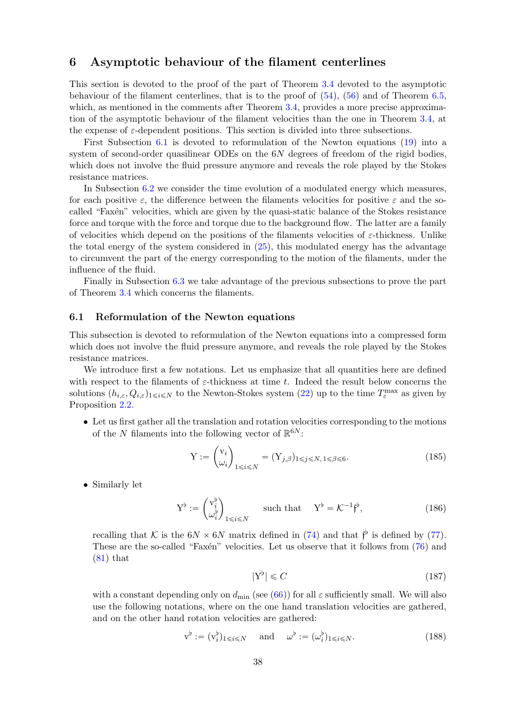## <span id="page-37-0"></span>6 Asymptotic behaviour of the filament centerlines

This section is devoted to the proof of the part of Theorem [3.4](#page-10-1) devoted to the asymptotic behaviour of the filament centerlines, that is to the proof of [\(54\)](#page-11-1), [\(56\)](#page-11-2) and of Theorem [6.5,](#page-43-1) which, as mentioned in the comments after Theorem [3.4,](#page-10-1) provides a more precise approximation of the asymptotic behaviour of the filament velocities than the one in Theorem [3.4,](#page-10-1) at the expense of  $\varepsilon$ -dependent positions. This section is divided into three subsections.

First Subsection [6.1](#page-37-1) is devoted to reformulation of the Newton equations [\(19\)](#page-5-3) into a system of second-order quasilinear ODEs on the 6N degrees of freedom of the rigid bodies, which does not involve the fluid pressure anymore and reveals the role played by the Stokes resistance matrices.

In Subsection [6.2](#page-39-0) we consider the time evolution of a modulated energy which measures, for each positive  $\varepsilon$ , the difference between the filaments velocities for positive  $\varepsilon$  and the socalled "Faxén" velocities, which are given by the quasi-static balance of the Stokes resistance force and torque with the force and torque due to the background flow. The latter are a family of velocities which depend on the positions of the filaments velocities of  $\varepsilon$ -thickness. Unlike the total energy of the system considered in [\(25\)](#page-6-4), this modulated energy has the advantage to circumvent the part of the energy corresponding to the motion of the filaments, under the influence of the fluid.

Finally in Subsection [6.3](#page-43-0) we take advantage of the previous subsections to prove the part of Theorem [3.4](#page-10-1) which concerns the filaments.

#### <span id="page-37-1"></span>6.1 Reformulation of the Newton equations

This subsection is devoted to reformulation of the Newton equations into a compressed form which does not involve the fluid pressure anymore, and reveals the role played by the Stokes resistance matrices.

We introduce first a few notations. Let us emphasize that all quantities here are defined with respect to the filaments of  $\varepsilon$ -thickness at time t. Indeed the result below concerns the solutions  $(h_{i,\varepsilon}, Q_{i,\varepsilon})_{1\leq i\leq N}$  to the Newton-Stokes system [\(22\)](#page-5-6) up to the time  $T_{\varepsilon}^{\max}$  as given by Proposition [2.2.](#page-6-1)

• Let us first gather all the translation and rotation velocities corresponding to the motions of the N filaments into the following vector of  $\mathbb{R}^{6N}$ :

$$
Y := \begin{pmatrix} v_i \\ \omega_i \end{pmatrix}_{1 \leq i \leq N} = (Y_{j,\beta})_{1 \leq j \leq N, 1 \leq \beta \leq 6}.
$$
 (185)

• Similarly let

$$
\mathbf{Y}^{\flat} := \begin{pmatrix} \mathbf{v}_i^{\flat} \\ \omega_i^{\flat} \end{pmatrix}_{1 \leq i \leq N} \qquad \text{such that} \qquad \mathbf{Y}^{\flat} = \mathcal{K}^{-1} \mathbf{f}^{\flat}, \tag{186}
$$

recalling that K is the  $6N \times 6N$  matrix defined in [\(74\)](#page-18-8) and that  $f^{\flat}$  is defined by [\(77\)](#page-19-2). These are the so-called "Faxen" velocities. Let us observe that it follows from  $(76)$  and  $(81)$  that

<span id="page-37-4"></span><span id="page-37-3"></span><span id="page-37-2"></span>
$$
|\mathbf{Y}^{\flat}| \leqslant C \tag{187}
$$

with a constant depending only on  $d_{\text{min}}$  (see [\(66\)](#page-17-2)) for all  $\varepsilon$  sufficiently small. We will also use the following notations, where on the one hand translation velocities are gathered, and on the other hand rotation velocities are gathered:

$$
\mathbf{v}^{\flat} := (\mathbf{v}_i^{\flat})_{1 \leqslant i \leqslant N} \quad \text{and} \quad \omega^{\flat} := (\omega_i^{\flat})_{1 \leqslant i \leqslant N}.
$$
 (188)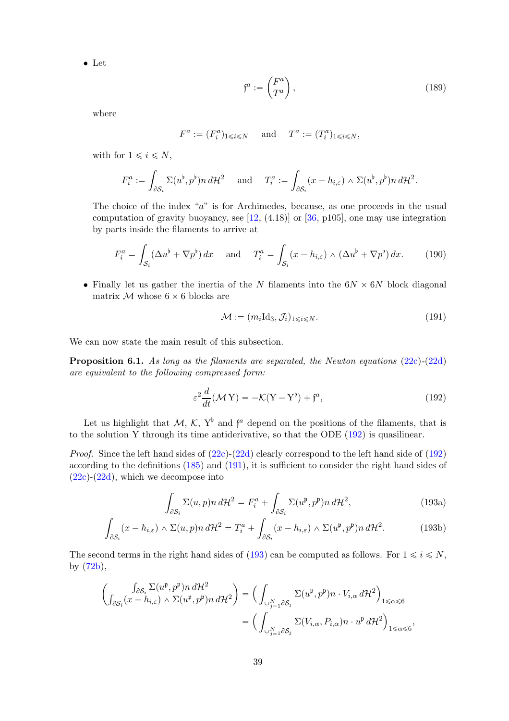• Let

$$
\mathfrak{f}^a := \begin{pmatrix} F^a \\ T^a \end{pmatrix},\tag{189}
$$

where

$$
F^a := (F_i^a)_{1 \le i \le N}
$$
 and  $T^a := (T_i^a)_{1 \le i \le N}$ ,

with for  $1 \leq i \leq N$ ,

$$
F_i^a := \int_{\partial S_i} \Sigma(u^{\flat}, p^{\flat}) n \, d\mathcal{H}^2 \quad \text{ and } \quad T_i^a := \int_{\partial S_i} (x - h_{i,\varepsilon}) \wedge \Sigma(u^{\flat}, p^{\flat}) n \, d\mathcal{H}^2.
$$

The choice of the index "a" is for Archimedes, because, as one proceeds in the usual computation of gravity buoyancy, see  $[12, (4.18)]$  or  $[36, p105]$ , one may use integration by parts inside the filaments to arrive at

$$
F_i^a = \int_{\mathcal{S}_i} (\Delta u^b + \nabla p^b) dx \quad \text{and} \quad T_i^a = \int_{\mathcal{S}_i} (x - h_{i,\varepsilon}) \wedge (\Delta u^b + \nabla p^b) dx. \tag{190}
$$

• Finally let us gather the inertia of the N filaments into the  $6N \times 6N$  block diagonal matrix  $M$  whose  $6 \times 6$  blocks are

<span id="page-38-3"></span><span id="page-38-1"></span><span id="page-38-0"></span>
$$
\mathcal{M} := (m_i \mathrm{Id}_3, \mathcal{J}_i)_{1 \le i \le N}.
$$
\n(191)

We can now state the main result of this subsection.

Proposition 6.1. As long as the filaments are separated, the Newton equations [\(22c\)](#page-5-4)-[\(22d\)](#page-5-5) are equivalent to the following compressed form:

$$
\varepsilon^2 \frac{d}{dt} (\mathcal{M} Y) = -\mathcal{K}(Y - Y^\flat) + \mathfrak{f}^a,\tag{192}
$$

Let us highlight that  $M$ ,  $K$ ,  $Y^{\flat}$  and  $f^{\alpha}$  depend on the positions of the filaments, that is to the solution Y through its time antiderivative, so that the ODE [\(192\)](#page-38-0) is quasilinear.

*Proof.* Since the left hand sides of  $(22c)-(22d)$  $(22c)-(22d)$  clearly correspond to the left hand side of  $(192)$ according to the definitions [\(185\)](#page-37-2) and [\(191\)](#page-38-1), it is sufficient to consider the right hand sides of  $(22c)-(22d)$  $(22c)-(22d)$  $(22c)-(22d)$ , which we decompose into

<span id="page-38-2"></span>
$$
\int_{\partial S_i} \Sigma(u, p) n \, d\mathcal{H}^2 = F_i^a + \int_{\partial S_i} \Sigma(u^{\mathfrak{p}}, p^{\mathfrak{p}}) n \, d\mathcal{H}^2,\tag{193a}
$$

$$
\int_{\partial S_i} (x - h_{i,\varepsilon}) \wedge \Sigma(u, p) n \, d\mathcal{H}^2 = T_i^a + \int_{\partial S_i} (x - h_{i,\varepsilon}) \wedge \Sigma(u^{\mathfrak{p}}, p^{\mathfrak{p}}) n \, d\mathcal{H}^2. \tag{193b}
$$

The second terms in the right hand sides of [\(193\)](#page-38-2) can be computed as follows. For  $1 \le i \le N$ , by [\(72b\)](#page-18-9),

$$
\begin{aligned}\n\left(\int_{\partial S_i} \sum (u^{\mathfrak{p}}, p^{\mathfrak{p}}) n \, d\mathcal{H}^2 \right) &= \left(\int_{\cup_{j=1}^N \partial S_j} \Sigma (u^{\mathfrak{p}}, p^{\mathfrak{p}}) n \cdot V_{i,\alpha} \, d\mathcal{H}^2\right)_{1 \leq \alpha \leq 6} \\
&= \left(\int_{\cup_{j=1}^N \partial S_j} \Sigma (V_{i,\alpha}, P_{i,\alpha}) n \cdot u^{\mathfrak{p}} \, d\mathcal{H}^2\right)_{1 \leq \alpha \leq 6},\n\end{aligned}
$$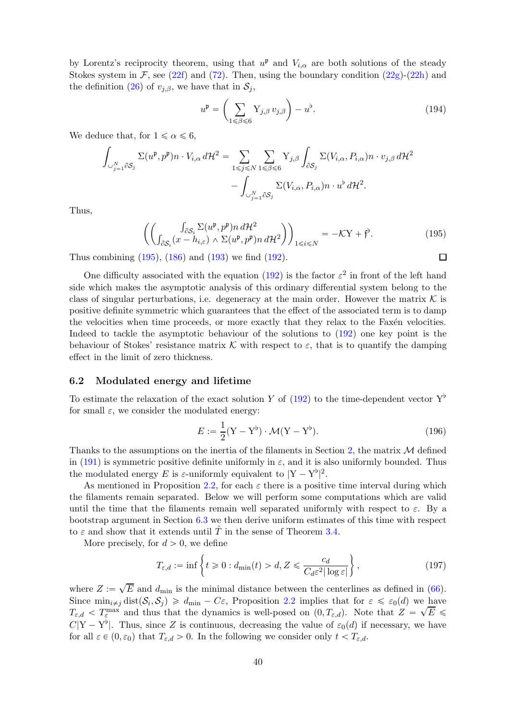by Lorentz's reciprocity theorem, using that  $u^{\mathfrak{p}}$  and  $V_{i,\alpha}$  are both solutions of the steady Stokes system in F, see [\(22f\)](#page-5-9) and [\(72\)](#page-18-7). Then, using the boundary condition [\(22g\)](#page-5-8)-[\(22h\)](#page-5-7) and the definition [\(26\)](#page-7-4) of  $v_{j,\beta}$ , we have that in  $\mathcal{S}_j$ ,

$$
u^{\mathfrak{p}} = \left(\sum_{1 \leq \beta \leq 6} Y_{j,\beta} v_{j,\beta}\right) - u^{\mathfrak{b}}.\tag{194}
$$

<span id="page-39-1"></span> $\Box$ 

We deduce that, for  $1 \le \alpha \le 6$ ,

$$
\int_{\cup_{j=1}^{N} \partial S_{j}} \Sigma(u^{p}, p^{p}) n \cdot V_{i,\alpha} d\mathcal{H}^{2} = \sum_{1 \leq j \leq N} \sum_{1 \leq \beta \leq 6} Y_{j,\beta} \int_{\partial S_{j}} \Sigma(V_{i,\alpha}, P_{i,\alpha}) n \cdot v_{j,\beta} d\mathcal{H}^{2} - \int_{\cup_{j=1}^{N} \partial S_{j}} \Sigma(V_{i,\alpha}, P_{i,\alpha}) n \cdot u^{b} d\mathcal{H}^{2}.
$$

Thus,

$$
\left( \left( \int_{\partial S_i} \sum (u^{\mathfrak{p}}, p^{\mathfrak{p}}) n \, d\mathcal{H}^2 \right) \right)_{1 \le i \le N} = -\mathcal{K}Y + \mathfrak{f}^{\flat}.
$$
\n(195)

Thus combining [\(195\)](#page-39-1), [\(186\)](#page-37-3) and [\(193\)](#page-38-2) we find [\(192\)](#page-38-0).

One difficulty associated with the equation [\(192\)](#page-38-0) is the factor  $\varepsilon^2$  in front of the left hand side which makes the asymptotic analysis of this ordinary differential system belong to the class of singular perturbations, i.e. degeneracy at the main order. However the matrix  $\mathcal K$  is positive definite symmetric which guarantees that the effect of the associated term is to damp the velocities when time proceeds, or more exactly that they relax to the Faxén velocities. Indeed to tackle the asymptotic behaviour of the solutions to [\(192\)](#page-38-0) one key point is the behaviour of Stokes' resistance matrix K with respect to  $\varepsilon$ , that is to quantify the damping effect in the limit of zero thickness.

#### <span id="page-39-0"></span>6.2 Modulated energy and lifetime

To estimate the relaxation of the exact solution Y of [\(192\)](#page-38-0) to the time-dependent vector  $Y^{\flat}$ for small  $\varepsilon$ , we consider the modulated energy:

<span id="page-39-2"></span>
$$
E := \frac{1}{2}(\mathbf{Y} - \mathbf{Y}^{\flat}) \cdot \mathcal{M}(\mathbf{Y} - \mathbf{Y}^{\flat}).
$$
\n(196)

Thanks to the assumptions on the inertia of the filaments in Section [2,](#page-2-0) the matrix  $\mathcal M$  defined in [\(191\)](#page-38-1) is symmetric positive definite uniformly in  $\varepsilon$ , and it is also uniformly bounded. Thus the modulated energy E is  $\varepsilon$ -uniformly equivalent to  $|Y - Y^{\flat}|^2$ .

As mentioned in Proposition [2.2,](#page-6-1) for each  $\varepsilon$  there is a positive time interval during which the filaments remain separated. Below we will perform some computations which are valid until the time that the filaments remain well separated uniformly with respect to  $\varepsilon$ . By a bootstrap argument in Section [6.3](#page-43-0) we then derive uniform estimates of this time with respect to  $\varepsilon$  and show that it extends until  $\hat{T}$  in the sense of Theorem [3.4.](#page-10-1)

More precisely, for  $d > 0$ , we define

$$
T_{\varepsilon,d} := \inf \left\{ t \geq 0 : d_{\min}(t) > d, Z \leqslant \frac{c_d}{C_d \varepsilon^2 |\log \varepsilon|} \right\},\tag{197}
$$

where  $Z := \sqrt{E}$  and  $d_{\text{min}}$  is the minimal distance between the centerlines as defined in [\(66\)](#page-17-2). Since  $\min_{i \neq j} \text{dist}(\mathcal{S}_i, \mathcal{S}_j) \geq d_{\text{min}} - C\varepsilon$ , Proposition [2.2](#page-6-1) implies that for  $\varepsilon \leq \varepsilon_0(d)$  we have  $T_{\varepsilon,d} < T_{\varepsilon}^{\max}$  and thus that the dynamics is well-posed on  $(0,T_{\varepsilon,d})$ . Note that  $Z = \sqrt{E}$  $C|Y - Y^{\flat}|$ . Thus, since Z is continuous, decreasing the value of  $\varepsilon_0(d)$  if necessary, we have for all  $\varepsilon \in (0, \varepsilon_0)$  that  $T_{\varepsilon,d} > 0$ . In the following we consider only  $t < T_{\varepsilon,d}$ .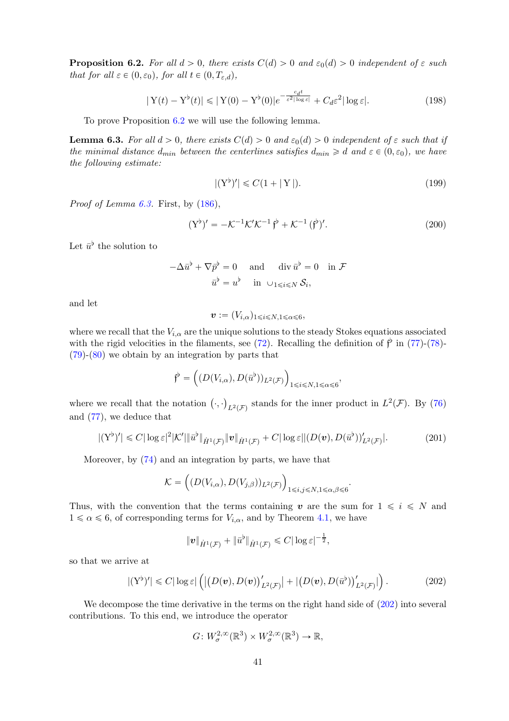<span id="page-40-0"></span>**Proposition 6.2.** For all  $d > 0$ , there exists  $C(d) > 0$  and  $\varepsilon_0(d) > 0$  independent of  $\varepsilon$  such that for all  $\varepsilon \in (0, \varepsilon_0)$ , for all  $t \in (0, T_{\varepsilon,d})$ ,

$$
|\mathbf{Y}(t) - \mathbf{Y}^{\flat}(t)| \le |\mathbf{Y}(0) - \mathbf{Y}^{\flat}(0)|e^{-\frac{c_d t}{\varepsilon^2 |\log \varepsilon|}} + C_d \varepsilon^2 |\log \varepsilon|.
$$
 (198)

To prove Proposition [6.2](#page-40-0) we will use the following lemma.

<span id="page-40-1"></span>**Lemma 6.3.** For all  $d > 0$ , there exists  $C(d) > 0$  and  $\varepsilon_0(d) > 0$  independent of  $\varepsilon$  such that if the minimal distance  $d_{min}$  between the centerlines satisfies  $d_{min} \ge d$  and  $\varepsilon \in (0, \varepsilon_0)$ , we have the following estimate:

<span id="page-40-3"></span>
$$
|(Y^{\flat})'|\leqslant C(1+|Y|). \tag{199}
$$

*Proof of Lemma [6.3.](#page-40-1)* First, by  $(186)$ ,

$$
(Y^{\flat})' = -\mathcal{K}^{-1}\mathcal{K}'\mathcal{K}^{-1} \mathfrak{f}^{\flat} + \mathcal{K}^{-1} (\mathfrak{f}^{\flat})'.
$$
 (200)

Let  $\bar{u}^{\flat}$  the solution to

$$
-\Delta \bar{u}^{\flat} + \nabla \bar{p}^{\flat} = 0 \quad \text{and} \quad \text{div } \bar{u}^{\flat} = 0 \quad \text{in } \mathcal{F}
$$

$$
\bar{u}^{\flat} = u^{\flat} \quad \text{in } \cup_{1 \leq i \leq N} \mathcal{S}_{i},
$$

and let

$$
\boldsymbol{v} := (V_{i,\alpha})_{1 \leqslant i \leqslant N, 1 \leqslant \alpha \leqslant 6},
$$

where we recall that the  $V_{i,\alpha}$  are the unique solutions to the steady Stokes equations associated with the rigid velocities in the filaments, see [\(72\)](#page-18-7). Recalling the definition of  $\hat{f}^{\flat}$  in [\(77\)](#page-19-2)-[\(78\)](#page-19-5)-[\(79\)](#page-19-6)-[\(80\)](#page-19-7) we obtain by an integration by parts that

$$
\mathfrak{f}^{\flat} = \left( (D(V_{i,\alpha}), D(\bar{u}^{\flat}))_{L^2(\mathcal{F})} \right)_{1 \leq i \leq N, 1 \leq \alpha \leq 6},
$$

where we recall that the notation  $(\cdot, \cdot)_{L^2(\mathcal{F})}$  stands for the inner product in  $L^2(\mathcal{F})$ . By [\(76\)](#page-19-3) and [\(77\)](#page-19-2), we deduce that

$$
|(Y^{\flat})'|\leq C|\log \varepsilon|^2 |\mathcal{K}'|\|\bar{u}^{\flat}\|_{\dot{H}^1(\mathcal{F})}\|\mathbf{v}\|_{\dot{H}^1(\mathcal{F})}+C|\log \varepsilon||(D(\mathbf{v}),D(\bar{u}^{\flat}))|_{L^2(\mathcal{F})}|.\tag{201}
$$

Moreover, by [\(74\)](#page-18-8) and an integration by parts, we have that

$$
\mathcal{K} = \left( (D(V_{i,\alpha}), D(V_{j,\beta}))_{L^2(\mathcal{F})} \right)_{1 \le i,j \le N, 1 \le \alpha,\beta \le 6}.
$$

Thus, with the convention that the terms containing  $v$  are the sum for  $1 \leq i \leq N$  and  $1 \le \alpha \le 6$ , of corresponding terms for  $V_{i,\alpha}$ , and by Theorem [4.1,](#page-18-0) we have

$$
\|\boldsymbol{v}\|_{\dot{H}^1(\mathcal{F})}+\|\bar{u}^{\flat}\|_{\dot{H}^1(\mathcal{F})}\leqslant C|\log\epsilon|^{-\frac{1}{2}},
$$

so that we arrive at

$$
|(Y^{\flat})'|\leq C|\log \varepsilon|\left(\left|\left(D(\boldsymbol{v}),D(\boldsymbol{v})\right)'_{L^2(\mathcal{F})}\right|+\left|\left(D(\boldsymbol{v}),D(\bar{u}^{\flat})\right)'_{L^2(\mathcal{F})}\right|\right).
$$
\n(202)

We decompose the time derivative in the terms on the right hand side of  $(202)$  into several contributions. To this end, we introduce the operator

<span id="page-40-2"></span>
$$
G\colon W^{2,\infty}_{\sigma}(\mathbb{R}^3)\times W^{2,\infty}_{\sigma}(\mathbb{R}^3)\to \mathbb{R},
$$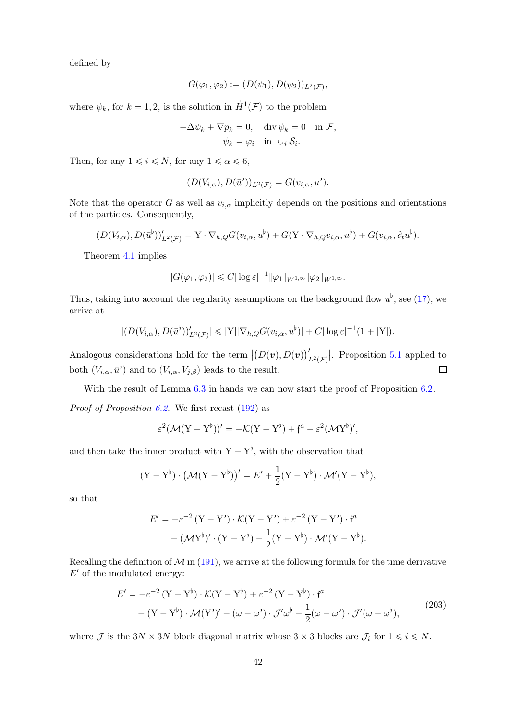defined by

$$
G(\varphi_1, \varphi_2) := (D(\psi_1), D(\psi_2))_{L^2(\mathcal{F})},
$$

where  $\psi_k$ , for  $k = 1, 2$ , is the solution in  $\dot{H}^1(\mathcal{F})$  to the problem

$$
-\Delta \psi_k + \nabla p_k = 0, \quad \text{div } \psi_k = 0 \quad \text{in } \mathcal{F},
$$

$$
\psi_k = \varphi_i \quad \text{in } \cup_i \mathcal{S}_i.
$$

Then, for any  $1 \le i \le N$ , for any  $1 \le \alpha \le 6$ ,

$$
(D(V_{i,\alpha}), D(\bar{u}^{\flat}))_{L^2(\mathcal{F})} = G(v_{i,\alpha}, u^{\flat}).
$$

Note that the operator G as well as  $v_{i,\alpha}$  implicitly depends on the positions and orientations of the particles. Consequently,

$$
(D(V_{i,\alpha}), D(\bar{u}^{\flat}))'_{L^2(\mathcal{F})} = \mathbf{Y} \cdot \nabla_{h,Q} G(v_{i,\alpha}, u^{\flat}) + G(\mathbf{Y} \cdot \nabla_{h,Q} v_{i,\alpha}, u^{\flat}) + G(v_{i,\alpha}, \partial_t u^{\flat}).
$$

Theorem [4.1](#page-18-0) implies

$$
|G(\varphi_1, \varphi_2)| \leq C |\log \varepsilon|^{-1} ||\varphi_1||_{W^{1,\infty}} ||\varphi_2||_{W^{1,\infty}}.
$$

Thus, taking into account the regularity assumptions on the background flow  $u^{\flat}$ , see [\(17\)](#page-4-8), we arrive at

$$
|(D(V_{i,\alpha}), D(\bar{u}^{\flat}))'_{L^2(\mathcal{F})}| \leq |Y| |\nabla_{h,Q} G(v_{i,\alpha}, u^{\flat})| + C |\log \varepsilon|^{-1} (1+|Y|).
$$

Analogous considerations hold for the term  $|(D(v), D(v))'_{L^2(\mathcal{F})}|$ . Proposition [5.1](#page-31-2) applied to both  $(V_{i,\alpha}, \bar{u}^{\flat})$  and to  $(V_{i,\alpha}, V_{j,\beta})$  leads to the result.  $\Box$ 

With the result of Lemma [6.3](#page-40-1) in hands we can now start the proof of Proposition [6.2.](#page-40-0)

Proof of Proposition [6.2.](#page-40-0) We first recast [\(192\)](#page-38-0) as

$$
\varepsilon^2 (\mathcal{M}(\mathbf{Y}-\mathbf{Y}^{\flat}))' = -\mathcal{K}(\mathbf{Y}-\mathbf{Y}^{\flat}) + \mathfrak{f}^a - \varepsilon^2 (\mathcal{M}\mathbf{Y}^{\flat})',
$$

and then take the inner product with  $Y - Y^{\flat}$ , with the observation that

$$
(\mathbf{Y} - \mathbf{Y}^{\flat}) \cdot (\mathcal{M}(\mathbf{Y} - \mathbf{Y}^{\flat}))' = E' + \frac{1}{2}(\mathbf{Y} - \mathbf{Y}^{\flat}) \cdot \mathcal{M}'(\mathbf{Y} - \mathbf{Y}^{\flat}),
$$

so that

<span id="page-41-0"></span>
$$
E' = -\varepsilon^{-2} (Y - Y^{\flat}) \cdot \mathcal{K}(Y - Y^{\flat}) + \varepsilon^{-2} (Y - Y^{\flat}) \cdot \mathfrak{f}^{a}
$$

$$
- (\mathcal{M}Y^{\flat})' \cdot (Y - Y^{\flat}) - \frac{1}{2} (Y - Y^{\flat}) \cdot \mathcal{M}'(Y - Y^{\flat}).
$$

Recalling the definition of  $\mathcal M$  in [\(191\)](#page-38-1), we arrive at the following formula for the time derivative  $E'$  of the modulated energy:

$$
E' = -\varepsilon^{-2} (Y - Y^{\flat}) \cdot \mathcal{K}(Y - Y^{\flat}) + \varepsilon^{-2} (Y - Y^{\flat}) \cdot \mathfrak{f}^{a}
$$
  
-(Y - Y^{\flat}) \cdot \mathcal{M}(Y^{\flat})' - (\omega - \omega^{\flat}) \cdot \mathcal{J}' \omega^{\flat} - \frac{1}{2} (\omega - \omega^{\flat}) \cdot \mathcal{J}' (\omega - \omega^{\flat}), \qquad (203)

where  $\mathcal{J}$  is the  $3N \times 3N$  block diagonal matrix whose  $3 \times 3$  blocks are  $\mathcal{J}_i$  for  $1 \leq i \leq N$ .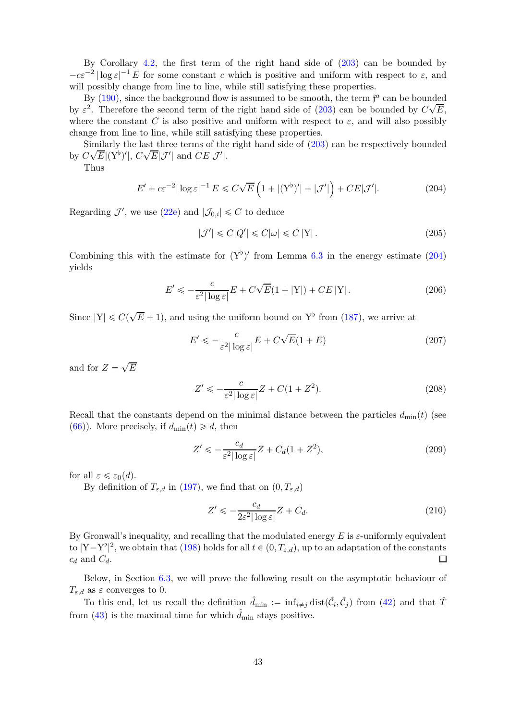By Corollary [4.2,](#page-18-1) the first term of the right hand side of [\(203\)](#page-41-0) can be bounded by  $-c\varepsilon^{-2} |\log \varepsilon|^{-1} E$  for some constant c which is positive and uniform with respect to  $\varepsilon$ , and will possibly change from line to line, while still satisfying these properties.

By  $(190)$ , since the background flow is assumed to be smooth, the term  $f^a$  can be bounded by  $\varepsilon^2$ . Therefore the second term of the right hand side of [\(203\)](#page-41-0) can be bounded by  $C\sqrt{E}$ , where the constant C is also positive and uniform with respect to  $\varepsilon$ , and will also possibly change from line to line, while still satisfying these properties.

Similarly the last three terms of the right hand side of [\(203\)](#page-41-0) can be respectively bounded by  $C\sqrt{E}|(Y^b)'|$ ,  $C\sqrt{E}|\mathcal{J}'|$  and  $CE|\mathcal{J}'|$ .

Thus

$$
E' + c\varepsilon^{-2}|\log \varepsilon|^{-1} E \leq C\sqrt{E}\left(1 + |(Y^{\flat})'| + |\mathcal{J}'|\right) + CE|\mathcal{J}'|.
$$
 (204)

Regarding  $\mathcal{J}'$ , we use [\(22e\)](#page-5-10) and  $|\mathcal{J}_{0,i}| \leq C$  to deduce

<span id="page-42-0"></span>
$$
|\mathcal{J}'| \leq C|Q'| \leq C|\omega| \leq C|Y|.
$$
\n(205)

Combining this with the estimate for  $(Y^{\flat})'$  from Lemma [6.3](#page-40-1) in the energy estimate [\(204\)](#page-42-0) yields

$$
E' \leqslant -\frac{c}{\varepsilon^2 |\log \varepsilon|} E + C\sqrt{E} (1 + |Y|) + C E |Y|.
$$
 (206)

Since  $|Y| \leq C(\sqrt{E} + 1)$ , and using the uniform bound on  $Y^{\flat}$  from [\(187\)](#page-37-4), we arrive at

$$
E' \le -\frac{c}{\varepsilon^2 |\log \varepsilon|} E + C\sqrt{E}(1+E)
$$
\n(207)

and for  $Z = \sqrt{E}$ 

$$
Z' \leqslant -\frac{c}{\varepsilon^2 |\log \varepsilon|} Z + C(1 + Z^2). \tag{208}
$$

Recall that the constants depend on the minimal distance between the particles  $d_{\text{min}}(t)$  (see [\(66\)](#page-17-2)). More precisely, if  $d_{\min}(t) \geq d$ , then

$$
Z' \le -\frac{c_d}{\varepsilon^2 |\log \varepsilon|} Z + C_d (1 + Z^2),\tag{209}
$$

for all  $\varepsilon \leqslant \varepsilon_0(d)$ .

By definition of  $T_{\varepsilon,d}$  in [\(197\)](#page-39-2), we find that on  $(0, T_{\varepsilon,d})$ 

$$
Z' \leqslant -\frac{c_d}{2\varepsilon^2 |\log \varepsilon|} Z + C_d. \tag{210}
$$

By Gronwall's inequality, and recalling that the modulated energy  $E$  is  $\varepsilon$ -uniformly equivalent to  $|Y-Y^b|^2$ , we obtain that [\(198\)](#page-40-3) holds for all  $t \in (0, T_{\varepsilon,d})$ , up to an adaptation of the constants  $c_d$  and  $C_d$ .

Below, in Section [6.3,](#page-43-0) we will prove the following result on the asymptotic behaviour of  $T_{\varepsilon,d}$  as  $\varepsilon$  converges to 0.

To this end, let us recall the definition  $\hat{d}_{\min} := \inf_{i \neq j} \text{dist}(\hat{\mathcal{C}}_i, \hat{\mathcal{C}}_j)$  from [\(42\)](#page-9-6) and that  $\hat{T}$ from [\(43\)](#page-9-7) is the maximal time for which  $\ddot{d}_{\text{min}}$  stays positive.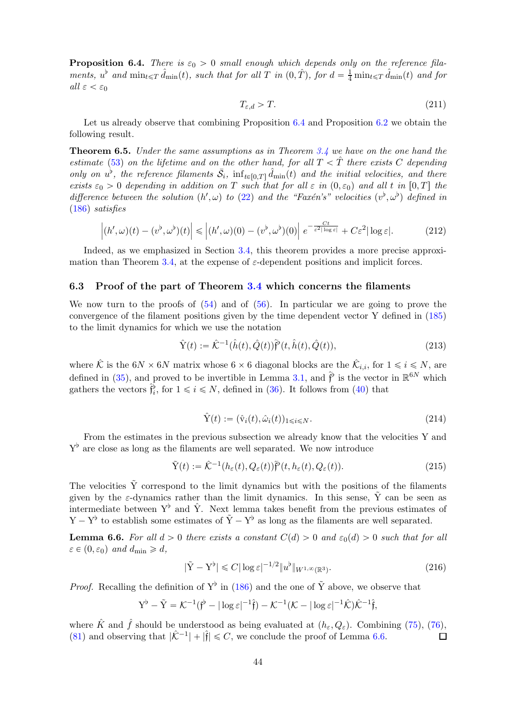<span id="page-43-2"></span>**Proposition 6.4.** There is  $\varepsilon_0 > 0$  small enough which depends only on the reference filaments,  $u^{\flat}$  and  $\min_{t \leq T} \hat{d}_{\min}(t)$ , such that for all T in  $(0, \hat{T})$ , for  $d = \frac{1}{4} \min_{t \leq T} \hat{d}_{\min}(t)$  and for all  $\varepsilon < \varepsilon_0$ 

$$
T_{\varepsilon,d} > T.
$$
\n<sup>(211)</sup>

Let us already observe that combining Proposition [6.4](#page-43-2) and Proposition [6.2](#page-40-0) we obtain the following result.

<span id="page-43-1"></span>**Theorem 6.5.** Under the same assumptions as in Theorem  $3.4$  we have on the one hand the estimate [\(53\)](#page-11-3) on the lifetime and on the other hand, for all  $T < \hat{T}$  there exists C depending only on  $u^{\flat}$ , the reference filaments  $\bar{S}_i$ ,  $\inf_{t\in[0,T]}\hat{d}_{\min}(t)$  and the initial velocities, and there exists  $\varepsilon_0 > 0$  depending in addition on T such that for all  $\varepsilon$  in  $(0, \varepsilon_0)$  and all t in  $[0, T]$  the difference between the solution  $(h', \omega)$  to [\(22\)](#page-5-6) and the "Faxén's" velocities  $(v^{\flat}, \omega^{\flat})$  defined in [\(186\)](#page-37-3) satisfies

$$
\left| (h',\omega)(t) - (v^{\flat},\omega^{\flat})(t) \right| \leq \left| (h',\omega)(0) - (v^{\flat},\omega^{\flat})(0) \right| e^{-\frac{Ct}{\varepsilon^2 |\log \varepsilon|}} + C\varepsilon^2 |\log \varepsilon|. \tag{212}
$$

Indeed, as we emphasized in Section [3.4,](#page-10-0) this theorem provides a more precise approxi-mation than Theorem [3.4,](#page-10-1) at the expense of  $\varepsilon$ -dependent positions and implicit forces.

#### <span id="page-43-0"></span>6.3 Proof of the part of Theorem [3.4](#page-10-1) which concerns the filaments

We now turn to the proofs of  $(54)$  and of  $(56)$ . In particular we are going to prove the convergence of the filament positions given by the time dependent vector Y defined in [\(185\)](#page-37-2) to the limit dynamics for which we use the notation

$$
\hat{Y}(t) := \hat{\mathcal{K}}^{-1}(\hat{h}(t), \hat{Q}(t))\hat{\mathfrak{f}}^{\flat}(t, \hat{h}(t), \hat{Q}(t)),\tag{213}
$$

where  $\hat{\mathcal{K}}$  is the  $6N \times 6N$  matrix whose  $6 \times 6$  diagonal blocks are the  $\hat{\mathcal{K}}_{i,i}$ , for  $1 \leq i \leq N$ , are defined in [\(35\)](#page-8-8), and proved to be invertible in Lemma [3.1,](#page-8-6) and  $\hat{\mathfrak{f}}^{\flat}$  is the vector in  $\mathbb{R}^{6N}$  which gathers the vectors  $\hat{\mathfrak{f}}_i^{\flat}$ , for  $1 \leq i \leq N$ , defined in [\(36\)](#page-8-2). It follows from [\(40\)](#page-9-1) that

<span id="page-43-5"></span><span id="page-43-4"></span>
$$
\hat{\mathbf{Y}}(t) := (\hat{\mathbf{v}}_i(t), \hat{\omega}_i(t))_{1 \le i \le N}.
$$
\n(214)

From the estimates in the previous subsection we already know that the velocities Y and  $Y^{\flat}$  are close as long as the filaments are well separated. We now introduce

$$
\tilde{Y}(t) := \hat{\mathcal{K}}^{-1}(h_{\varepsilon}(t), Q_{\varepsilon}(t))\hat{\mathfrak{f}}^{b}(t, h_{\varepsilon}(t), Q_{\varepsilon}(t)).
$$
\n(215)

The velocities  $\tilde{Y}$  correspond to the limit dynamics but with the positions of the filaments given by the  $\varepsilon$ -dynamics rather than the limit dynamics. In this sense,  $\tilde{Y}$  can be seen as intermediate between  $Y^{\flat}$  and  $\hat{Y}$ . Next lemma takes benefit from the previous estimates of  $Y - Y^{\flat}$  to establish some estimates of  $\tilde{Y} - Y^{\flat}$  as long as the filaments are well separated.

<span id="page-43-3"></span>**Lemma 6.6.** For all  $d > 0$  there exists a constant  $C(d) > 0$  and  $\varepsilon_0(d) > 0$  such that for all  $\varepsilon \in (0, \varepsilon_0)$  and  $d_{\min} \geq d$ ,

$$
|\tilde{Y} - Y^{\flat}| \leq C |\log \varepsilon|^{-1/2} \|u^{\flat}\|_{W^{1,\infty}(\mathbb{R}^3)}.
$$
\n(216)

*Proof.* Recalling the definition of  $Y^{\flat}$  in [\(186\)](#page-37-3) and the one of  $\tilde{Y}$  above, we observe that

$$
Y^{\flat} - \tilde{Y} = \mathcal{K}^{-1}(\mathfrak{f}^{\flat} - |\log \varepsilon|^{-1}\hat{\mathfrak{f}}) - \mathcal{K}^{-1}(\mathcal{K} - |\log \varepsilon|^{-1}\hat{\mathcal{K}})\hat{\mathcal{K}}^{-1}\hat{\mathfrak{f}},
$$

where  $\hat{K}$  and  $\hat{f}$  should be understood as being evaluated at  $(h_{\varepsilon}, Q_{\varepsilon})$ . Combining [\(75\)](#page-18-3), [\(76\)](#page-19-3), (81) and observing that  $|\hat{K}^{-1}| + |\hat{f}| \leq C$ , we conclude the proof of Lemma 6.6. [\(81\)](#page-19-4) and observing that  $|\hat{\mathcal{K}}^{-1}| + |\hat{\mathfrak{f}}| \leq C$ , we conclude the proof of Lemma [6.6.](#page-43-3)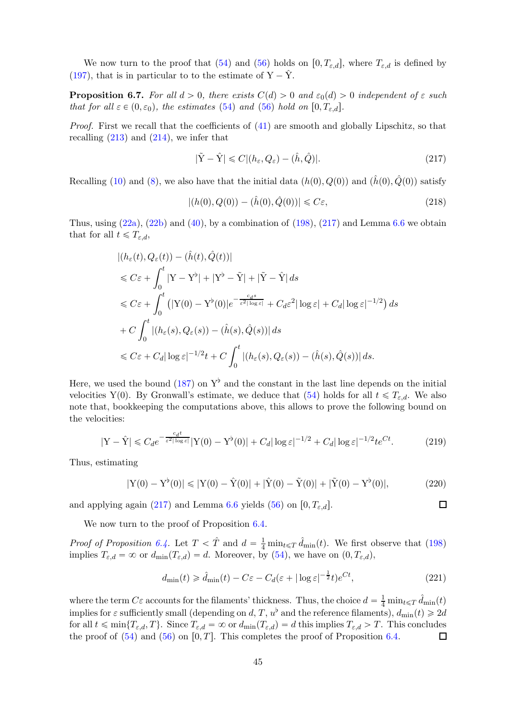We now turn to the proof that [\(54\)](#page-11-1) and [\(56\)](#page-11-2) holds on  $[0, T_{\varepsilon,d}]$ , where  $T_{\varepsilon,d}$  is defined by [\(197\)](#page-39-2), that is in particular to to the estimate of  $Y - \hat{Y}$ .

**Proposition 6.7.** For all  $d > 0$ , there exists  $C(d) > 0$  and  $\varepsilon_0(d) > 0$  independent of  $\varepsilon$  such that for all  $\varepsilon \in (0, \varepsilon_0)$ , the estimates [\(54\)](#page-11-1) and [\(56\)](#page-11-2) hold on  $[0, T_{\varepsilon,d}]$ .

Proof. First we recall that the coefficients of  $(41)$  are smooth and globally Lipschitz, so that recalling  $(213)$  and  $(214)$ , we infer that

<span id="page-44-0"></span>
$$
|\tilde{Y} - \hat{Y}| \leq C |(h_{\varepsilon}, Q_{\varepsilon}) - (\hat{h}, \hat{Q})|.
$$
\n(217)

Recalling [\(10\)](#page-3-2) and [\(8\)](#page-3-3), we also have that the initial data  $(h(0), Q(0))$  and  $(\hat{h}(0), \hat{Q}(0))$  satisfy

$$
|(h(0), Q(0)) - (\hat{h}(0), \hat{Q}(0))| \leq C\varepsilon,
$$
\n(218)

Thus, using  $(22a)$ ,  $(22b)$  and  $(40)$ , by a combination of  $(198)$ ,  $(217)$  and Lemma [6.6](#page-43-3) we obtain that for all  $t \leq T_{\varepsilon,d}$ ,

$$
|(h_{\varepsilon}(t), Q_{\varepsilon}(t)) - (\hat{h}(t), \hat{Q}(t))|
$$
  
\n
$$
\leq C\varepsilon + \int_{0}^{t} |Y - Y^{\flat}| + |Y^{\flat} - \tilde{Y}| + |\tilde{Y} - \hat{Y}| ds
$$
  
\n
$$
\leq C\varepsilon + \int_{0}^{t} (|Y(0) - Y^{\flat}(0)|e^{-\frac{c_d s}{\varepsilon^2 |\log \varepsilon|}} + C_d \varepsilon^2 |\log \varepsilon| + C_d |\log \varepsilon|^{-1/2}) ds
$$
  
\n
$$
+ C \int_{0}^{t} |(h_{\varepsilon}(s), Q_{\varepsilon}(s)) - (\hat{h}(s), \hat{Q}(s))| ds
$$
  
\n
$$
\leq C\varepsilon + C_d |\log \varepsilon|^{-1/2} t + C \int_{0}^{t} |(h_{\varepsilon}(s), Q_{\varepsilon}(s)) - (\hat{h}(s), \hat{Q}(s))| ds.
$$

Here, we used the bound [\(187\)](#page-37-4) on  $Y^{\flat}$  and the constant in the last line depends on the initial velocities Y(0). By Gronwall's estimate, we deduce that [\(54\)](#page-11-1) holds for all  $t \leq T_{\varepsilon,d}$ . We also note that, bookkeeping the computations above, this allows to prove the following bound on the velocities:

$$
|\mathbf{Y} - \hat{\mathbf{Y}}| \leq C_d e^{-\frac{c_d t}{\varepsilon^2 |\log \varepsilon|}} |\mathbf{Y}(0) - \mathbf{Y}^\flat(0)| + C_d |\log \varepsilon|^{-1/2} + C_d |\log \varepsilon|^{-1/2} t e^{Ct}.
$$
 (219)

Thus, estimating

$$
|Y(0) - Y^{\flat}(0)| \le |Y(0) - \hat{Y}(0)| + |\hat{Y}(0) - \tilde{Y}(0)| + |\tilde{Y}(0) - Y^{\flat}(0)|,
$$
\n(220)

and applying again [\(217\)](#page-44-0) and Lemma [6.6](#page-43-3) yields [\(56\)](#page-11-2) on  $[0, T_{\varepsilon,d}]$ .

We now turn to the proof of Proposition [6.4.](#page-43-2)

*Proof of Proposition [6.4.](#page-43-2)* Let  $T < \hat{T}$  and  $d = \frac{1}{4} \min_{t \leq T} \hat{d}_{\min}(t)$ . We first observe that [\(198\)](#page-40-3) implies  $T_{\varepsilon,d} = \infty$  or  $d_{\min}(T_{\varepsilon,d}) = d$ . Moreover, by [\(54\)](#page-11-1), we have on  $(0, T_{\varepsilon,d})$ ,

$$
d_{\min}(t) \geq \hat{d}_{\min}(t) - C\varepsilon - C_d(\varepsilon + |\log \varepsilon|^{-\frac{1}{2}}t)e^{Ct},\tag{221}
$$

 $\Box$ 

where the term  $C\varepsilon$  accounts for the filaments' thickness. Thus, the choice  $d = \frac{1}{4} \min_{t \le T} \hat{d}_{\min}(t)$ implies for  $\varepsilon$  sufficiently small (depending on d, T,  $u^{\flat}$  and the reference filaments),  $d_{\min}(t) \geq 2d$ for all  $t \leq \min\{T_{\varepsilon,d}, T\}$ . Since  $T_{\varepsilon,d} = \infty$  or  $d_{\min}(T_{\varepsilon,d}) = d$  this implies  $T_{\varepsilon,d} > T$ . This concludes the proof of  $(54)$  and  $(56)$  on  $[0, T]$ . This completes the proof of Proposition [6.4.](#page-43-2) □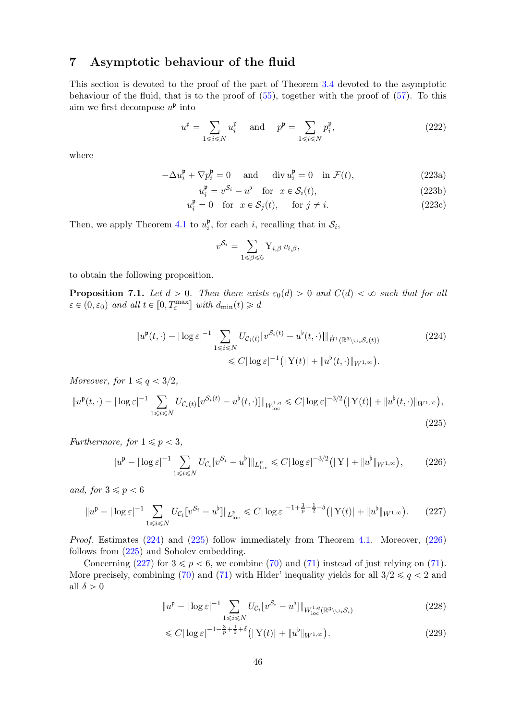## <span id="page-45-0"></span>7 Asymptotic behaviour of the fluid

This section is devoted to the proof of the part of Theorem [3.4](#page-10-1) devoted to the asymptotic behaviour of the fluid, that is to the proof of [\(55\)](#page-11-0), together with the proof of [\(57\)](#page-12-0). To this aim we first decompose  $u^{\mathfrak{p}}$  into

$$
u^{\mathfrak{p}} = \sum_{1 \le i \le N} u_i^{\mathfrak{p}} \quad \text{and} \quad p^{\mathfrak{p}} = \sum_{1 \le i \le N} p_i^{\mathfrak{p}}, \tag{222}
$$

where

$$
-\Delta u_i^{\mathfrak{p}} + \nabla p_i^{\mathfrak{p}} = 0 \quad \text{and} \quad \text{div } u_i^{\mathfrak{p}} = 0 \quad \text{in } \mathcal{F}(t), \tag{223a}
$$

$$
u_i^{\mathfrak{p}} = v^{\mathcal{S}_i} - u^{\mathfrak{b}} \quad \text{for} \quad x \in \mathcal{S}_i(t), \tag{223b}
$$

$$
u_i^{\mathfrak{p}} = 0 \quad \text{for} \quad x \in \mathcal{S}_j(t), \qquad \text{for } j \neq i. \tag{223c}
$$

Then, we apply Theorem [4.1](#page-18-0) to  $u_i^{\mathfrak{p}}$  $_i^{\mathfrak{p}}$ , for each *i*, recalling that in  $\mathcal{S}_i$ ,

<span id="page-45-4"></span><span id="page-45-3"></span><span id="page-45-2"></span>
$$
v^{\mathcal{S}_i} = \sum_{1 \leq \beta \leq 6} \mathbf{Y}_{i,\beta} v_{i,\beta},
$$

to obtain the following proposition.

<span id="page-45-1"></span>**Proposition 7.1.** Let  $d > 0$ . Then there exists  $\varepsilon_0(d) > 0$  and  $C(d) < \infty$  such that for all  $\varepsilon \in (0, \varepsilon_0)$  and all  $t \in [0, T_{\varepsilon}^{\max}]$  with  $d_{\min}(t) \geq d$ 

$$
\|u^{\mathfrak{p}}(t,\cdot)-|\log \varepsilon|^{-1} \sum_{1\leq i\leq N} U_{\mathcal{C}_i(t)}[v^{\mathcal{S}_i(t)}-u^{\mathfrak{b}}(t,\cdot)]\|_{\dot{H}^1(\mathbb{R}^3\setminus\cup_i\mathcal{S}_i(t))}
$$
\n
$$
\leq C|\log \varepsilon|^{-1} \left( |Y(t)| + \|u^{\mathfrak{b}}(t,\cdot)\|_{W^{1,\infty}} \right).
$$
\n(224)

Moreover, for  $1 \leq q < 3/2$ ,

$$
\|u^{\mathfrak{p}}(t,\cdot)-|\log \varepsilon|^{-1} \sum_{1 \leq i \leq N} U_{\mathcal{C}_{i}(t)}[v^{\mathcal{S}_{i}(t)} - u^{\mathfrak{b}}(t,\cdot)]\|_{W_{\text{loc}}^{1,q}} \leq C |\log \varepsilon|^{-3/2} \left( |Y(t)| + \|u^{\mathfrak{b}}(t,\cdot)\|_{W^{1,\infty}} \right),\tag{225}
$$

Furthermore, for  $1 \leq p < 3$ ,

$$
||u^{\mathfrak{p}} - |\log \varepsilon|^{-1} \sum_{1 \leq i \leq N} U_{\mathcal{C}_i} [v^{\mathcal{S}_i} - u^{\mathfrak{b}}]||_{L^p_{\text{loc}}} \leq C |\log \varepsilon|^{-3/2} (|Y| + ||u^{\mathfrak{b}}||_{W^{1,\infty}}), \tag{226}
$$

and, for  $3 \leqslant p < 6$ 

$$
||u^{\mathfrak{p}} - |\log \varepsilon|^{-1} \sum_{1 \leq i \leq N} U_{\mathcal{C}_{i}} [v^{\mathcal{S}_{i}} - u^{\mathfrak{b}}]||_{L^{p}_{\text{loc}}} \leq C |\log \varepsilon|^{-1 + \frac{3}{p} - \frac{1}{2} - \delta} (|Y(t)| + ||u^{\mathfrak{b}}||_{W^{1,\infty}}). \tag{227}
$$

Proof. Estimates [\(224\)](#page-45-2) and [\(225\)](#page-45-3) follow immediately from Theorem [4.1.](#page-18-0) Moreover, [\(226\)](#page-45-4) follows from [\(225\)](#page-45-3) and Sobolev embedding.

Concerning [\(227\)](#page-45-5) for  $3 \leq p < 6$ , we combine [\(70\)](#page-18-5) and [\(71\)](#page-18-2) instead of just relying on (71). More precisely, combining [\(70\)](#page-18-5) and [\(71\)](#page-18-2) with Hlder' inequality yields for all  $3/2 \le q < 2$  and all  $\delta > 0$ 

<span id="page-45-5"></span>
$$
||u^{\mathfrak{p}} - |\log \varepsilon|^{-1} \sum_{1 \leq i \leq N} U_{\mathcal{C}_i} [v^{\mathcal{S}_i} - u^{\mathfrak{b}}]||_{W^{1,q}_{\text{loc}}(\mathbb{R}^3 \setminus \cup_i \mathcal{S}_i)}
$$
(228)

<span id="page-45-6"></span>
$$
\leq C|\log \varepsilon|^{-1-\frac{3}{p}+\frac{1}{2}+\delta} \big( |Y(t)| + \|u^{\flat}\|_{W^{1,\infty}} \big). \tag{229}
$$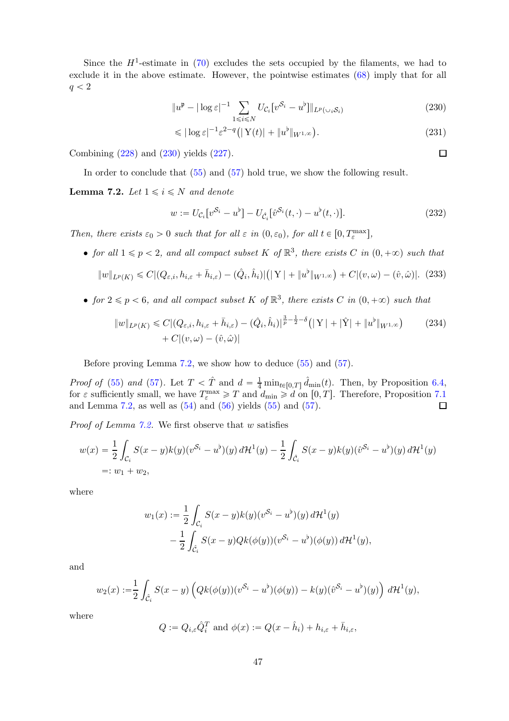Since the  $H^1$ -estimate in [\(70\)](#page-18-5) excludes the sets occupied by the filaments, we had to exclude it in the above estimate. However, the pointwise estimates [\(68\)](#page-17-4) imply that for all  $q < 2$ 

$$
||u^{\mathfrak{p}} - |\log \varepsilon|^{-1} \sum_{1 \leq i \leq N} U_{\mathcal{C}_i} [v^{\mathcal{S}_i} - u^{\mathfrak{b}}]||_{L^p(\cup_i \mathcal{S}_i)}
$$
(230)

$$
\leqslant |\log \varepsilon|^{-1} \varepsilon^{2-q} \left( |Y(t)| + \|u^{\flat}\|_{W^{1,\infty}} \right). \tag{231}
$$

Combining [\(228\)](#page-45-6) and [\(230\)](#page-46-0) yields [\(227\)](#page-45-5).

In order to conclude that [\(55\)](#page-11-0) and [\(57\)](#page-12-0) hold true, we show the following result.

<span id="page-46-1"></span>**Lemma 7.2.** Let  $1 \leq i \leq N$  and denote

$$
w := U_{\mathcal{C}_i} [v^{\mathcal{S}_i} - u^{\flat}] - U_{\hat{\mathcal{C}}_i} [\hat{v}^{\mathcal{S}_i}(t, \cdot) - u^{\flat}(t, \cdot)]. \tag{232}
$$

Then, there exists  $\varepsilon_0 > 0$  such that for all  $\varepsilon$  in  $(0, \varepsilon_0)$ , for all  $t \in [0, T_{\varepsilon}^{\max}]$ ,

• for all  $1 \leqslant p < 2$ , and all compact subset K of  $\mathbb{R}^3$ , there exists C in  $(0, +\infty)$  such that

<span id="page-46-2"></span>
$$
||w||_{L^{p}(K)} \leq C|(Q_{\varepsilon,i}, h_{i,\varepsilon} + \bar{h}_{i,\varepsilon}) - (\hat{Q}_{i}, \hat{h}_{i})|(|Y| + ||u^{\flat}||_{W^{1,\infty}}) + C|(v,\omega) - (\hat{v},\hat{\omega})|.
$$
 (233)

• for  $2 \leq p < 6$ , and all compact subset K of  $\mathbb{R}^3$ , there exists C in  $(0, +\infty)$  such that

$$
||w||_{L^{p}(K)} \leq C |(Q_{\varepsilon,i}, h_{i,\varepsilon} + \bar{h}_{i,\varepsilon}) - (\hat{Q}_{i}, \hat{h}_{i})|^{\frac{3}{p} - \frac{1}{2} - \delta} (|\mathbf{Y}| + |\hat{\mathbf{Y}}| + ||u^{b}||_{W^{1,\infty}}) \qquad (234)
$$
  
+  $C |(v, \omega) - (\hat{v}, \hat{\omega})|$ 

Before proving Lemma [7.2,](#page-46-1) we show how to deduce [\(55\)](#page-11-0) and [\(57\)](#page-12-0).

*Proof of* [\(55\)](#page-11-0) and [\(57\)](#page-12-0). Let  $T < \hat{T}$  and  $d = \frac{1}{4} \min_{t \in [0,T]} \hat{d}_{\min}(t)$ . Then, by Proposition [6.4,](#page-43-2) for  $\varepsilon$  sufficiently small, we have  $T_{\varepsilon}^{\max} \geqslant T$  and  $d_{\min} \geqslant d$  on  $[0, T]$ . Therefore, Proposition [7.1](#page-45-1) and Lemma [7.2,](#page-46-1) as well as  $(54)$  and  $(56)$  yields  $(55)$  and  $(57)$ .

*Proof of Lemma [7.2.](#page-46-1)* We first observe that  $w$  satisfies

$$
w(x) = \frac{1}{2} \int_{\mathcal{C}_i} S(x - y)k(y)(v^{\mathcal{S}_i} - u^{\flat})(y) d\mathcal{H}^1(y) - \frac{1}{2} \int_{\hat{\mathcal{C}}_i} S(x - y)k(y)(\hat{v}^{\mathcal{S}_i} - u^{\flat})(y) d\mathcal{H}^1(y)
$$
  
=:  $w_1 + w_2$ ,

where

$$
w_1(x) := \frac{1}{2} \int_{\mathcal{C}_i} S(x - y)k(y)(v^{\mathcal{S}_i} - u^{\flat})(y) d\mathcal{H}^1(y)
$$

$$
- \frac{1}{2} \int_{\hat{\mathcal{C}}_i} S(x - y)Qk(\phi(y))(v^{\mathcal{S}_i} - u^{\flat})(\phi(y)) d\mathcal{H}^1(y),
$$

and

$$
w_2(x) := \frac{1}{2} \int_{\hat{\mathcal{C}}_i} S(x - y) \left( Qk(\phi(y)) (v^{\mathcal{S}_i} - u^\flat)(\phi(y)) - k(y) (\hat{v}^{\mathcal{S}_i} - u^\flat)(y) \right) d\mathcal{H}^1(y),
$$

where

$$
Q := Q_{i,\varepsilon} \hat{Q}_i^T \text{ and } \phi(x) := Q(x - \hat{h}_i) + h_{i,\varepsilon} + \bar{h}_{i,\varepsilon},
$$

<span id="page-46-3"></span><span id="page-46-0"></span> $\Box$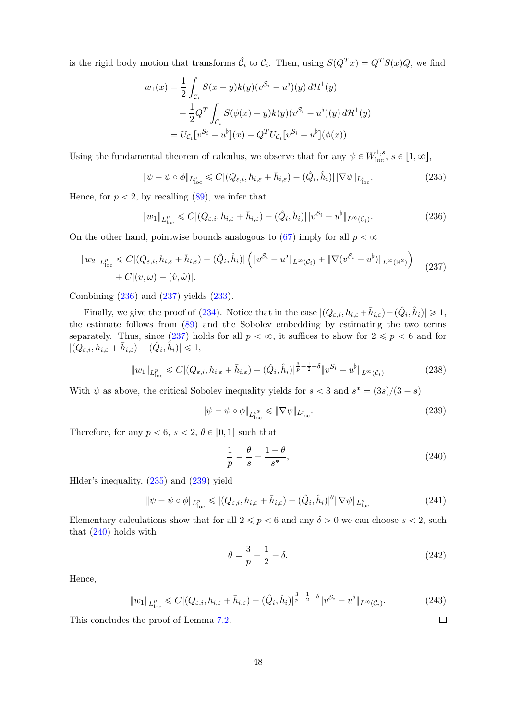is the rigid body motion that transforms  $\hat{C}_i$  to  $C_i$ . Then, using  $S(Q^Tx) = Q^TS(x)Q$ , we find

$$
w_1(x) = \frac{1}{2} \int_{C_i} S(x - y)k(y)(v^{S_i} - u^b)(y) d\mathcal{H}^1(y)
$$
  

$$
- \frac{1}{2} Q^T \int_{C_i} S(\phi(x) - y)k(y)(v^{S_i} - u^b)(y) d\mathcal{H}^1(y)
$$
  

$$
= U_{C_i}[v^{S_i} - u^b](x) - Q^T U_{C_i}[v^{S_i} - u^b](\phi(x)).
$$

Using the fundamental theorem of calculus, we observe that for any  $\psi \in W^{1,s}_{loc}$ ,  $s \in [1,\infty]$ ,

<span id="page-47-2"></span>
$$
\|\psi - \psi \circ \phi\|_{L^s_{\text{loc}}} \leq C |(Q_{\varepsilon,i}, h_{i,\varepsilon} + \bar{h}_{i,\varepsilon}) - (\hat{Q}_i, \hat{h}_i)| \|\nabla \psi\|_{L^s_{\text{loc}}}.
$$
\n(235)

Hence, for  $p < 2$ , by recalling [\(89\)](#page-20-5), we infer that

<span id="page-47-0"></span>
$$
||w_1||_{L^p_{\text{loc}}} \leq C|(Q_{\varepsilon,i}, h_{i,\varepsilon} + \bar{h}_{i,\varepsilon}) - (\hat{Q}_i, \hat{h}_i)||v^{\mathcal{S}_i} - u^\flat||_{L^\infty(\mathcal{C}_i)}.
$$
\n(236)

On the other hand, pointwise bounds analogous to [\(67\)](#page-17-5) imply for all  $p < \infty$ 

$$
||w_2||_{L^p_{loc}} \leq C|(Q_{\varepsilon,i}, h_{i,\varepsilon} + \bar{h}_{i,\varepsilon}) - (\hat{Q}_i, \hat{h}_i)| \left( ||v^{\mathcal{S}_i} - u^\flat||_{L^\infty(\mathcal{C}_i)} + ||\nabla(v^{\mathcal{S}_i} - u^\flat)||_{L^\infty(\mathbb{R}^3)} \right) + C|(v,\omega) - (\hat{v},\hat{\omega})|.
$$
\n(237)

Combining [\(236\)](#page-47-0) and [\(237\)](#page-47-1) yields [\(233\)](#page-46-2).

Finally, we give the proof of [\(234\)](#page-46-3). Notice that in the case  $|(Q_{\varepsilon,i}, h_{i,\varepsilon} + \bar{h}_{i,\varepsilon}) - (\hat{Q}_i, \hat{h}_i)| \geq 1$ , the estimate follows from [\(89\)](#page-20-5) and the Sobolev embedding by estimating the two terms separately. Thus, since [\(237\)](#page-47-1) holds for all  $p < \infty$ , it suffices to show for  $2 \leq p < 6$  and for  $|(Q_{\varepsilon,i}, h_{i,\varepsilon} + \bar{h}_{i,\varepsilon}) - (\hat{Q}_i, \hat{h}_i)| \leq 1,$ 

$$
||w_1||_{L^p_{loc}} \leq C |(Q_{\varepsilon,i}, h_{i,\varepsilon} + \bar{h}_{i,\varepsilon}) - (\hat{Q}_i, \hat{h}_i)|^{\frac{3}{p} - \frac{1}{2} - \delta} ||v^{\mathcal{S}_i} - u^{\flat}||_{L^{\infty}(\mathcal{C}_i)}
$$
(238)

With  $\psi$  as above, the critical Sobolev inequality yields for  $s < 3$  and  $s^* = (3s)/(3 - s)$ 

<span id="page-47-1"></span>
$$
\|\psi - \psi \circ \phi\|_{L^{s}_{\text{loc}}} \leq \|\nabla \psi\|_{L^{s}_{\text{loc}}}.\tag{239}
$$

Therefore, for any  $p < 6$ ,  $s < 2$ ,  $\theta \in [0, 1]$  such that

<span id="page-47-3"></span>
$$
\frac{1}{p} = \frac{\theta}{s} + \frac{1-\theta}{s^*},\tag{240}
$$

Hlder's inequality, [\(235\)](#page-47-2) and [\(239\)](#page-47-3) yield

$$
\|\psi - \psi \circ \phi\|_{L^p_{\text{loc}}} \leq (Q_{\varepsilon,i}, h_{i,\varepsilon} + \bar{h}_{i,\varepsilon}) - (\hat{Q}_i, \hat{h}_i)^{\theta} \|\nabla \psi\|_{L^s_{\text{loc}}}
$$
(241)

Elementary calculations show that for all  $2 \leq p < 6$  and any  $\delta > 0$  we can choose  $s < 2$ , such that  $(240)$  holds with

$$
\theta = \frac{3}{p} - \frac{1}{2} - \delta. \tag{242}
$$

Hence,

$$
||w_1||_{L^p_{\text{loc}}} \leq C |(Q_{\varepsilon,i}, h_{i,\varepsilon} + \bar{h}_{i,\varepsilon}) - (\hat{Q}_i, \hat{h}_i)|^{\frac{3}{p} - \frac{1}{2} - \delta} ||v^{\mathcal{S}_i} - u^{\flat}||_{L^\infty(\mathcal{C}_i)}.
$$
\n(243)

This concludes the proof of Lemma [7.2.](#page-46-1)

<span id="page-47-4"></span> $\Box$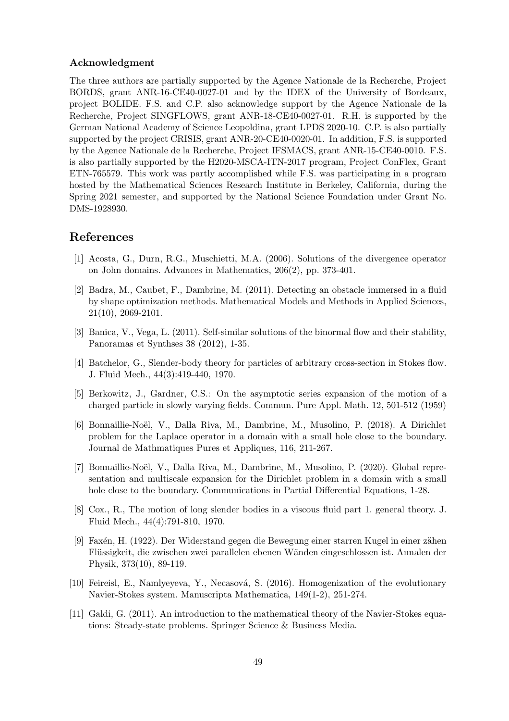#### Acknowledgment

The three authors are partially supported by the Agence Nationale de la Recherche, Project BORDS, grant ANR-16-CE40-0027-01 and by the IDEX of the University of Bordeaux, project BOLIDE. F.S. and C.P. also acknowledge support by the Agence Nationale de la Recherche, Project SINGFLOWS, grant ANR-18-CE40-0027-01. R.H. is supported by the German National Academy of Science Leopoldina, grant LPDS 2020-10. C.P. is also partially supported by the project CRISIS, grant ANR-20-CE40-0020-01. In addition, F.S. is supported by the Agence Nationale de la Recherche, Project IFSMACS, grant ANR-15-CE40-0010. F.S. is also partially supported by the H2020-MSCA-ITN-2017 program, Project ConFlex, Grant ETN-765579. This work was partly accomplished while F.S. was participating in a program hosted by the Mathematical Sciences Research Institute in Berkeley, California, during the Spring 2021 semester, and supported by the National Science Foundation under Grant No. DMS-1928930.

## <span id="page-48-8"></span>References

- [1] Acosta, G., Durn, R.G., Muschietti, M.A. (2006). Solutions of the divergence operator on John domains. Advances in Mathematics, 206(2), pp. 373-401.
- [2] Badra, M., Caubet, F., Dambrine, M. (2011). Detecting an obstacle immersed in a fluid by shape optimization methods. Mathematical Models and Methods in Applied Sciences, 21(10), 2069-2101.
- <span id="page-48-6"></span>[3] Banica, V., Vega, L. (2011). Self-similar solutions of the binormal flow and their stability, Panoramas et Synthses 38 (2012), 1-35.
- <span id="page-48-5"></span>[4] Batchelor, G., Slender-body theory for particles of arbitrary cross-section in Stokes flow. J. Fluid Mech., 44(3):419-440, 1970.
- <span id="page-48-3"></span>[5] Berkowitz, J., Gardner, C.S.: On the asymptotic series expansion of the motion of a charged particle in slowly varying fields. Commun. Pure Appl. Math. 12, 501-512 (1959)
- <span id="page-48-0"></span>[6] Bonnaillie-Noël, V., Dalla Riva, M., Dambrine, M., Musolino, P. (2018). A Dirichlet problem for the Laplace operator in a domain with a small hole close to the boundary. Journal de Mathmatiques Pures et Appliques, 116, 211-267.
- <span id="page-48-1"></span>[7] Bonnaillie-Noël, V., Dalla Riva, M., Dambrine, M., Musolino, P. (2020). Global representation and multiscale expansion for the Dirichlet problem in a domain with a small hole close to the boundary. Communications in Partial Differential Equations, 1-28.
- <span id="page-48-4"></span>[8] Cox., R., The motion of long slender bodies in a viscous fluid part 1. general theory. J. Fluid Mech., 44(4):791-810, 1970.
- [9] Faxén, H. (1922). Der Widerstand gegen die Bewegung einer starren Kugel in einer zähen Flüssigkeit, die zwischen zwei parallelen ebenen Wänden eingeschlossen ist. Annalen der Physik, 373(10), 89-119.
- <span id="page-48-2"></span>[10] Feireisl, E., Namlyeyeva, Y., Necasová, S. (2016). Homogenization of the evolutionary Navier-Stokes system. Manuscripta Mathematica, 149(1-2), 251-274.
- <span id="page-48-7"></span>[11] Galdi, G. (2011). An introduction to the mathematical theory of the Navier-Stokes equations: Steady-state problems. Springer Science & Business Media.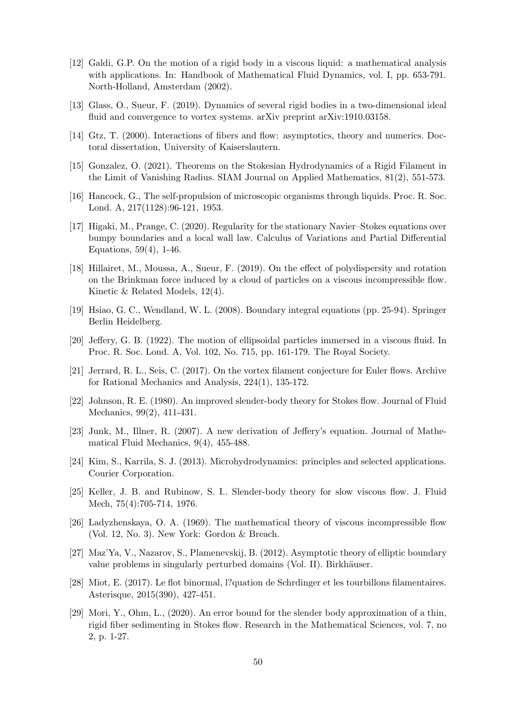- <span id="page-49-17"></span>[12] Galdi, G.P. On the motion of a rigid body in a viscous liquid: a mathematical analysis with applications. In: Handbook of Mathematical Fluid Dynamics, vol. I, pp. 653-791. North-Holland, Amsterdam (2002).
- <span id="page-49-11"></span><span id="page-49-6"></span>[13] Glass, O., Sueur, F. (2019). Dynamics of several rigid bodies in a two-dimensional ideal fluid and convergence to vortex systems. arXiv preprint arXiv:1910.03158.
- <span id="page-49-8"></span>[14] Gtz, T. (2000). Interactions of fibers and flow: asymptotics, theory and numerics. Doctoral dissertation, University of Kaiserslautern.
- <span id="page-49-3"></span>[15] Gonzalez, O. (2021). Theorems on the Stokesian Hydrodynamics of a Rigid Filament in the Limit of Vanishing Radius. SIAM Journal on Applied Mathematics, 81(2), 551-573.
- <span id="page-49-13"></span>[16] Hancock, G., The self-propulsion of microscopic organisms through liquids. Proc. R. Soc. Lond. A, 217(1128):96-121, 1953.
- [17] Higaki, M., Prange, C. (2020). Regularity for the stationary Navier–Stokes equations over bumpy boundaries and a local wall law. Calculus of Variations and Partial Differential Equations, 59(4), 1-46.
- <span id="page-49-14"></span>[18] Hillairet, M., Moussa, A., Sueur, F. (2019). On the effect of polydispersity and rotation on the Brinkman force induced by a cloud of particles on a viscous incompressible flow. Kinetic & Related Models, 12(4).
- <span id="page-49-2"></span><span id="page-49-0"></span>[19] Hsiao, G. C., Wendland, W. L. (2008). Boundary integral equations (pp. 25-94). Springer Berlin Heidelberg.
- <span id="page-49-10"></span>[20] Jeffery, G. B. (1922). The motion of ellipsoidal particles immersed in a viscous fluid. In Proc. R. Soc. Lond. A, Vol. 102, No. 715, pp. 161-179. The Royal Society.
- [21] Jerrard, R. L., Seis, C. (2017). On the vortex filament conjecture for Euler flows. Archive for Rational Mechanics and Analysis, 224(1), 135-172.
- <span id="page-49-5"></span><span id="page-49-1"></span>[22] Johnson, R. E. (1980). An improved slender-body theory for Stokes flow. Journal of Fluid Mechanics, 99(2), 411-431.
- [23] Junk, M., Illner, R. (2007). A new derivation of Jeffery's equation. Journal of Mathematical Fluid Mechanics, 9(4), 455-488.
- <span id="page-49-15"></span><span id="page-49-4"></span>[24] Kim, S., Karrila, S. J. (2013). Microhydrodynamics: principles and selected applications. Courier Corporation.
- [25] Keller, J. B. and Rubinow, S. I.. Slender-body theory for slow viscous flow. J. Fluid Mech, 75(4):705-714, 1976.
- <span id="page-49-16"></span>[26] Ladyzhenskaya, O. A. (1969). The mathematical theory of viscous incompressible flow (Vol. 12, No. 3). New York: Gordon & Breach.
- <span id="page-49-12"></span>[27] Maz'Ya, V., Nazarov, S., Plamenevskij, B. (2012). Asymptotic theory of elliptic boundary value problems in singularly perturbed domains (Vol. II). Birkhäuser.
- <span id="page-49-9"></span>[28] Miot, E. (2017). Le flot binormal, l?quation de Schrdinger et les tourbillons filamentaires. Asterisque, 2015(390), 427-451.
- <span id="page-49-7"></span>[29] Mori, Y., Ohm, L., (2020). An error bound for the slender body approximation of a thin, rigid fiber sedimenting in Stokes flow. Research in the Mathematical Sciences, vol. 7, no 2, p. 1-27.